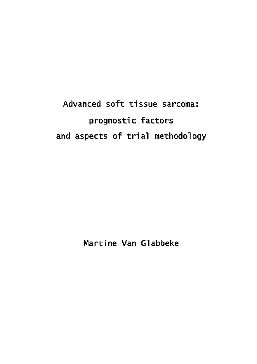# Advanced soft tissue sarcoma: prognostic factors and aspects of trial methodology

# Martine Van Glabbeke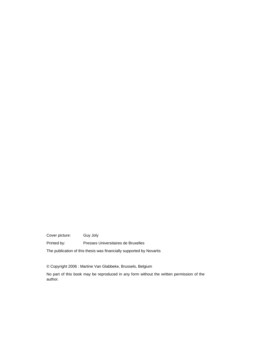Cover picture: Guy Joly

Printed by: Presses Universitaires de Bruxelles

The publication of this thesis was financially supported by Novartis

© Copyright 2006 : Martine Van Glabbeke, Brussels, Belgium

No part of this book may be reproduced in any form without the written permission of the author.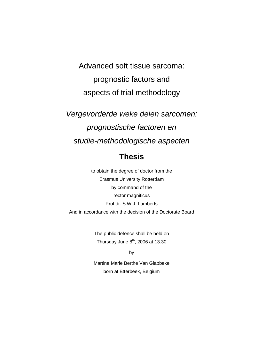Advanced soft tissue sarcoma: prognostic factors and aspects of trial methodology

*Vergevorderde weke delen sarcomen: prognostische factoren en studie-methodologische aspecten* 

# **Thesis**

to obtain the degree of doctor from the Erasmus University Rotterdam by command of the rector magnificus Prof.dr. S.W.J. Lamberts And in accordance with the decision of the Doctorate Board

> The public defence shall be held on Thursday June  $8<sup>th</sup>$ , 2006 at 13.30

> > by

Martine Marie Berthe Van Glabbeke born at Etterbeek, Belgium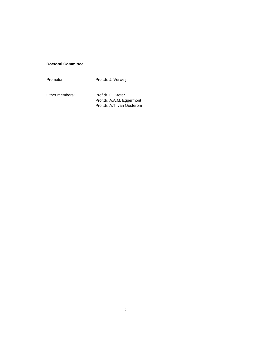# **Doctoral Committee**

Promotor Prof.dr. J. Verweij

Other members: Prof.dr. G. Stoter Prof.dr. A.A.M. Eggermont Prof.dr. A.T. van Oosterom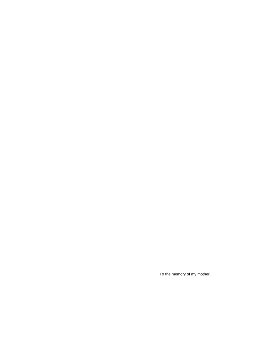To the memory of my mother,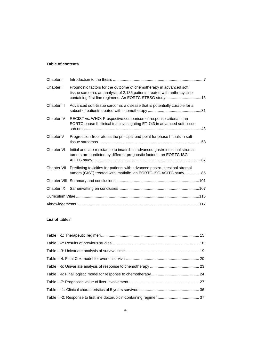# **Table of contents**

| Chapter I   |                                                                                                                                                                                                              |  |
|-------------|--------------------------------------------------------------------------------------------------------------------------------------------------------------------------------------------------------------|--|
| Chapter II  | Prognostic factors for the outcome of chemotherapy in advanced soft<br>tissue sarcoma: an analysis of 2,185 patients treated with anthracycline-<br>containing first-line regimens. An EORTC STBSG study. 13 |  |
| Chapter III | Advanced soft-tissue sarcoma: a disease that is potentially curable for a                                                                                                                                    |  |
| Chapter IV  | RECIST vs. WHO: Prospective comparison of response criteria in an<br>EORTC phase II clinical trial investigating ET-743 in advanced soft tissue                                                              |  |
| Chapter V   | Progression-free rate as the principal end-point for phase II trials in soft-                                                                                                                                |  |
| Chapter VI  | Initial and late resistance to imatinib in advanced gastrointestinal stromal<br>tumors are predicted by different prognostic factors: an EORTC-ISG-                                                          |  |
| Chapter VII | Predicting toxicities for patients with advanced gastro-intestinal stromal<br>tumors (GIST) treated with imatinib: an EORTC-ISG-AGITG study. 85                                                              |  |
|             |                                                                                                                                                                                                              |  |
| Chapter IX  |                                                                                                                                                                                                              |  |
|             |                                                                                                                                                                                                              |  |
|             |                                                                                                                                                                                                              |  |

# **List of tables**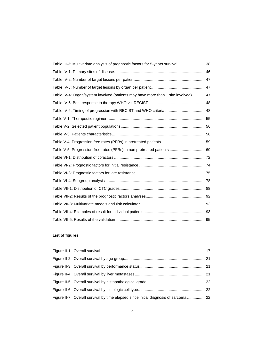| Table III-3: Multivariate analysis of prognostic factors for 5-years survival38     |  |
|-------------------------------------------------------------------------------------|--|
|                                                                                     |  |
|                                                                                     |  |
|                                                                                     |  |
| Table IV-4: Organ/system involved (patients may have more than 1 site involved)  47 |  |
|                                                                                     |  |
| Table IV-6: Timing of progression with RECIST and WHO criteria  48                  |  |
|                                                                                     |  |
|                                                                                     |  |
|                                                                                     |  |
|                                                                                     |  |
| Table V-5: Progression-free rates (PFRs) in non pretreated patients  60             |  |
|                                                                                     |  |
|                                                                                     |  |
|                                                                                     |  |
|                                                                                     |  |
|                                                                                     |  |
|                                                                                     |  |
|                                                                                     |  |
|                                                                                     |  |
|                                                                                     |  |

# **List of figures**

| Figure II-7: Overall survival by time elapsed since initial diagnosis of sarcoma 22 |  |
|-------------------------------------------------------------------------------------|--|
|                                                                                     |  |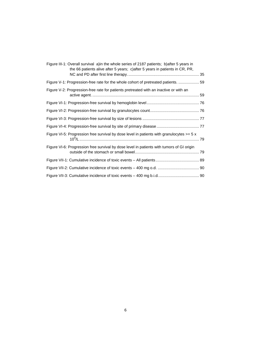| Figure III-1: Overall survival a) in the whole series of 2187 patients; b) after 5 years in<br>the 66 patients alive after 5 years; c) after 5 years in patients in CR, PR, |  |
|-----------------------------------------------------------------------------------------------------------------------------------------------------------------------------|--|
| Figure V-1: Progression-free rate for the whole cohort of pretreated patients.  59                                                                                          |  |
| Figure V-2: Progression-free rate for patients pretreated with an inactive or with an                                                                                       |  |
|                                                                                                                                                                             |  |
|                                                                                                                                                                             |  |
|                                                                                                                                                                             |  |
|                                                                                                                                                                             |  |
| Figure VI-5: Progression free survival by dose level in patients with granulocytes $>= 5 x$                                                                                 |  |
| Figure VI-6: Progression free survival by dose level in patients with tumors of GI origin                                                                                   |  |
|                                                                                                                                                                             |  |
|                                                                                                                                                                             |  |
|                                                                                                                                                                             |  |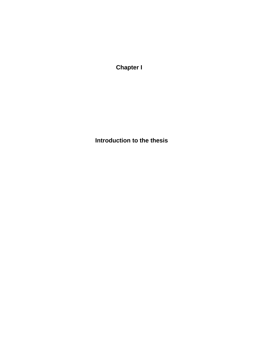**Introduction to the thesis**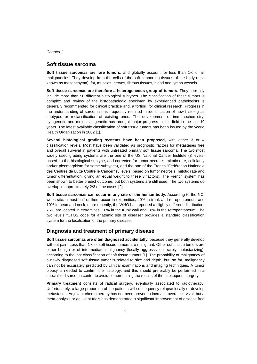# **Soft tissue sarcoma**

**Soft tissue sarcomas are rare tumors**, and globally account for less than 1% of all malignancies. They develop from the cells of the soft supporting tissues of the body (also known as mesenchyma): fat, muscles, nerves, fibrous tissues, blood and lymph vessels.

**Soft tissue sarcomas are therefore a heterogeneous group of tumors**. They currently include more than 50 different histological subtypes. The classification of these tumors is complex and review of the histopathologic specimen by experienced pathologists is generally recommended for clinical practice and, a fortiori, for clinical research. Progress in the understanding of sarcoma has frequently resulted in identification of new histological subtypes or reclassification of existing ones. The development of immunochemistry, cytogenetic and molecular genetic has brought major progress in this field in the last 10 years. The latest available classification of soft tissue tumors has been issued by the World Health Organization in 2002 [1].

**Several histological grading systems have been proposed,** with either 3 or 4 classification levels**.** Most have been validated as prognostic factors for metastases free and overall survival in patients with untreated primary soft tissue sarcoma. The two most widely used grading systems are the one of the US National Cancer Institute (3 levels, based on the histological subtype, and corrected for tumor necrosis, mitotic rate, cellularity and/or pleomorphism for some subtypes), and the one of the French "Fédération Nationale des Centres de Lutte Contre le Cancer" (3 levels, based on tumor necrosis, mitotic rate and tumor differentiation, giving an equal weight to these 3 factors). The French system has been shown to better predict outcome, but both systems are still used. The two systems do overlap in approximately 2/3 of the cases [2].

**Soft tissue sarcomas can occur in any site of the human body**. According to the NCI webs site, almost half of them occur in extremities, 40% in trunk and retroperitoneum and 10% in head and neck; more recently, the WHO has reported a slightly different distribution: 75% are located in extremities, 10% in the trunk wall and 10% in the retroperitoneum. The two levels "CTOS code for anatomic site of disease" provides a standard classification system for the localization of the primary disease.

# **Diagnosis and treatment of primary disease**

**Soft tissue sarcomas are often diagnosed accidentally,** because they generally develop without pain. Less than 1% of soft tissue tumors are malignant. Other soft tissue tumors are either benign or of intermediate malignancy (locally aggressive or rarely metastasizing), according to the last classification of soft tissue tumors [1]. The probability of malignancy of a newly diagnosed soft tissue tumor is related to size and depth, but, so far, malignancy can not be accurately predicted by clinical examinations and imaging techniques. A tumor biopsy is needed to confirm the histology, and this should preferably be performed in a specialized sarcoma center to avoid compromising the results of the subsequent surgery.

**Primary treatment** consists of radical surgery, eventually associated to radiotherapy. Unfortunately, a large proportion of the patients will subsequently relapse locally or develop metastases. Adjuvant chemotherapy has not been proved to increase overall survival, but a meta-analysis or adjuvant trials has demonstrated a significant improvement of disease free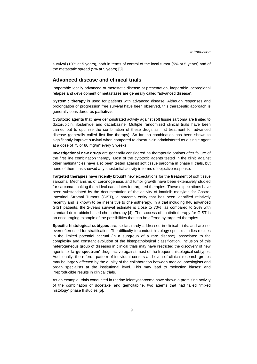survival (10% at 5 years), both in terms of control of the local tumor (5% at 5 years) and of the metastatic spread (9% at 5 years) [3].

# **Advanced disease and clinical trials**

Inoperable locally advanced or metastatic disease at presentation, inoperable locoregional relapse and development of metastases are generally called "advanced disease".

**Systemic therapy** is used for patients with advanced disease. Although responses and prolongation of progression free survival have been observed, this therapeutic approach is generally considered **as palliative**.

**Cytotoxic agents** that have demonstrated activity against soft tissue sarcoma are limited to doxorubicin, ifosfamide and dacarbazine. Multiple randomized clinical trials have been carried out to optimize the combination of these drugs as first treatment for advanced disease (generally called first line therapy). So far, no combination has been shown to significantly improve survival when compared to doxorubicin administered as a single agent at a dose of 75 or 80 mg/m $^2$  every 3 weeks.

**Investigational new drugs** are generally considered as therapeutic options after failure of the first line combination therapy. Most of the cytotoxic agents tested in the clinic against other malignancies have also been tested against soft tissue sarcoma in phase II trials, but none of them has showed any substantial activity in terms of objective response.

**Targeted therapies** have recently brought new expectations for the treatment of soft tissue sarcoma. Mechanisms of carcinogenesis and tumor growth have been extensively studied for sarcoma, making them ideal candidates for targeted therapies. These expectations have been substantiated by the documentation of the activity of imatinib mesylate for Gastro-Intestinal Stromal Tumors (GIST), a sarcoma entity that has been identified relatively recently and is known to be insensitive to chemotherapy. In a trial including 946 advanced GIST patients, the 2-years survival estimate is close to 70%, as compared to 20% with standard doxorubicin based chemotherapy [4]. The success of imatinib therapy for GIST is an encouraging example of the possibilities that can be offered by targeted therapies.

**Specific histological subtypes** are, so far, rarely addressed in clinical trials, and are not even often used for stratification. The difficulty to conduct histology specific studies resides in the limited potential accrual (in a subgroup of a rare disease), associated to the complexity and constant evolution of the histopathological classification. Inclusion of this heterogeneous group of diseases in clinical trials may have restricted the discovery of new agents to "**large spectrum**" drugs active against most of the frequent histological subtypes. Additionally, the referral pattern of individual centers and even of clinical research groups may be largely affected by the quality of the collaboration between medical oncologists and organ specialists at the institutional level. This may lead to "selection biases" and irreproducible results in clinical trials.

As an example, trials conducted in uterine leiomyosarcoma have shown a promising activity of the combination of docetaxel and gemcitabine, two agents that had failed "mixed histology" phase II studies [5].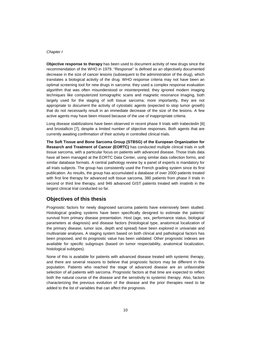**Objective response to therapy** has been used to document activity of new drugs since the recommendation of the WHO in 1979. "Response" is defined as an objectively documented decrease in the size of cancer lesions (subsequent to the administration of the drug), which translates a biological activity of the drug. WHO response criteria may not have been an optimal screening tool for new drugs in sarcoma: they used a complex response evaluation algorithm that was often misunderstood or misinterpreted; they ignored modern imaging techniques like computerized tomographic scans and magnetic resonance imaging, both largely used for the staging of soft tissue sarcoma; more importantly, they are not appropriate to document the activity of cytostatic agents (expected to stop tumor growth) that do not necessarily result in an immediate decrease of the size of the lesions. A few active agents may have been missed because of the use of inappropriate criteria.

Long disease stabilizations have been observed in recent phase II trials with trabectedin [6] and brostallicin [7], despite a limited number of objective responses. Both agents that are currently awaiting confirmation of their activity in controlled clinical trials.

**The Soft Tissue and Bone Sarcoma Group (STBSG) of the European Organization for Research and Treatment of Cancer (EORTC)** has conducted multiple clinical trials in soft tissue sarcoma, with a particular focus on patients with advanced disease. Those trials data have all been managed at the EORTC Data Center, using similar data collection forms, and similar database formats. A central pathology review by a panel of experts is mandatory for all trials subjects. The group has consistently used the French grading system since its first publication. As results, the group has accumulated a database of over 2000 patients treated with first line therapy for advanced soft tissue sarcoma, 380 patients from phase II trials in second or third line therapy, and 946 advanced GIST patients treated with imatinib in the largest clinical trial conducted so far.

# **Objectives of this thesis**

Prognostic factors for newly diagnosed sarcoma patients have extensively been studied. Histological grading systems have been specifically designed to estimate the patients' survival from primary disease presentation. Host (age, sex, performance status, biological parameters at diagnosis) and disease factors (histological type, anatomical localization of the primary disease, tumor size, depth and spread) have been explored in univariate and multivariate analyses. A staging system based on both clinical and pathological factors has been proposed, and its prognostic value has been validated. Other prognostic indexes are available for specific subgroups (based on tumor respectability, anatomical localization, histological subtypes).

None of this is available for patients with advanced disease treated with systemic therapy, and there are several reasons to believe that prognostic factors may be different in this population. Patients who reached the stage of advanced disease are an unfavorable selection of all patients with sarcoma. Prognostic factors at that time are expected to reflect both the natural course of the disease and the sensitivity to systemic therapy. Also, factors characterizing the previous evolution of the disease and the prior therapies need to be added to the list of variables that can affect the prognosis.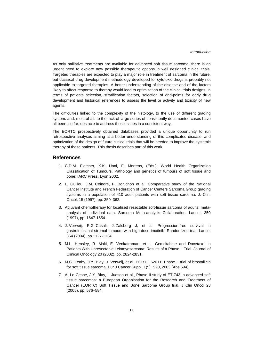#### *Introduction*

As only palliative treatments are available for advanced soft tissue sarcoma, there is an urgent need to explore new possible therapeutic options in well designed clinical trials. Targeted therapies are expected to play a major role in treatment of sarcoma in the future, but classical drug development methodology developed for cytotoxic drugs is probably not applicable to targeted therapies. A better understanding of the disease and of the factors likely to affect response to therapy would lead to optimization of the clinical trials designs, in terms of patients selection, stratification factors, selection of end-points for early drug development and historical references to assess the level or activity and toxicity of new agents.

The difficulties linked to the complexity of the histology, to the use of different grading system, and, most of all, to the lack of large series of consistently documented cases have all been, so far, obstacle to address those issues in a consistent way.

The EORTC prospectively obtained databases provided a unique opportunity to run retrospective analyses aiming at a better understanding of this complicated disease, and optimization of the design of future clinical trials that will be needed to improve the systemic therapy of these patients. This thesis describes part of this work.

### **References**

- 1. C.D.M. Fletcher, K.K. Unni, F. Mertens, (Eds.), World Health Organization Classification of Tumours. Pathology and genetics of tumours of soft tissue and bone; IARC Press, Lyon 2002.
- 2. L. Guillou, J.M. Coindre, F. Bonichon et al. Comparative study of the National Cancer Institute and French Federation of Cancer Centers Sarcoma Group grading systems in a population of 410 adult patients with soft tissue sarcoma. J. Clin. Oncol. 15 (1997), pp. 350–362.
- 3. Adjuvant chemotherapy for localised resectable soft-tissue sarcoma of adults: metaanalysis of individual data. Sarcoma Meta-analysis Collaboration. Lancet. 350 (1997), pp. 1647-1654.
- 4. J. Verweij, P.G. Casali, J. Zalcberg J, et al. Progression-free survival in gastrointestinal stromal tumours with high-dose imatinib: Randomized trial. Lancet 364 (2004), pp.1127-1134.
- 5. M.L. Hensley, R. Maki, E. Venkatraman, et al. Gemcitabine and Docetaxel in Patients With Unresectable Leiomyosarcoma: Results of a Phase II Trial. Journal of Clinical Oncology 20 (2002), pp. 2824-2831.
- 6. M.G. Leahy, J.Y. Blay, J. Verweij, et al. EORTC 62011: Phase II trial of brostallicin for soft tissue sarcoma. Eur J Cancer Suppl. 1(5): S20, 2003 (Abs.694).
- 7. A. Le Cesne, J.Y. Blay, I. Judson et al., Phase II study of ET-743 in advanced soft tissue sarcomas: a European Organisation for the Research and Treatment of Cancer (EORTC) Soft Tissue and Bone Sarcoma Group trial, J Clin Oncol 23 (2005), pp. 576–584.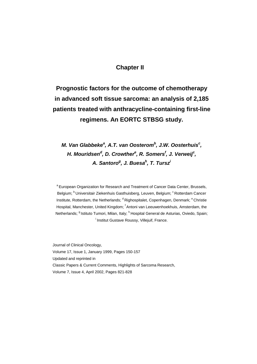**Prognostic factors for the outcome of chemotherapy in advanced soft tissue sarcoma: an analysis of 2,185 patients treated with anthracycline-containing first-line regimens. An EORTC STBSG study.** 

*M. Van Glabbeke<sup>a</sup>, A.T. van Oosterom<sup>b</sup>, J.W. Oosterhuis<sup>c</sup>, H. Mouridsen<sup>d</sup>, D. Crowther<sup>e</sup>, R. Somers<sup>f</sup>, J. Verweij<sup>c</sup>, A. Santorog , J. Buesah , T. Turszi* 

<sup>a</sup> European Organization for Research and Treatment of Cancer Data Center, Brussels, Belgium; <sup>b</sup> Universitair Ziekenhuis Gasthuisberg, Leuven, Belgium; <sup>c</sup> Rotterdam Cancer Institute, Rotterdam, the Netherlands; d Righospitalet, Copenhagen, Denmark; <sup>e</sup> Christie Hospital, Manchester, United Kingdom; f Antoni van Leeuwenhoekhuis, Amsterdam, the Netherlands; <sup>9</sup> Istituto Tumori, Milan, Italy; <sup>h</sup> Hospital General de Asturias, Oviedo, Spain; <sup>i</sup> Institut Gustave Roussy, Villejuif, France.

Journal of Clinical Oncology, Volume 17, Issue 1, January 1999, Pages 150-157 Updated and reprinted in Classic Papers & Current Comments, Highlights of Sarcoma Research, Volume 7, Issue 4, April 2002, Pages 821-828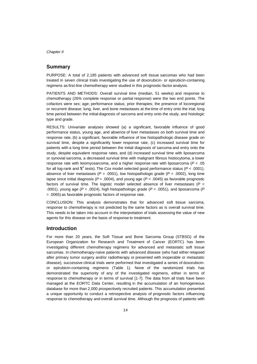## **Summary**

PURPOSE: A total of 2,185 patients with advanced soft tissue sarcomas who had been treated in seven clinical trials investigating the use of doxorubicin- or epirubicin-containing regimens as first-line chemotherapy were studied in this prognostic-factor analysis.

PATIENTS AND METHODS: Overall survival time (median, 51 weeks) and response to chemotherapy (26% complete response or partial response) were the two end points. The cofactors were sex; age; performance status; prior therapies; the presence of locoregional or recurrent disease; lung, liver, and bone metastases at the time of entry onto the trial; long time period between the initial diagnosis of sarcoma and entry onto the study; and histologic type and grade.

RESULTS: Univariate analyses showed (a) a significant, favorable influence of good performance status, young age, and absence of liver metastases on both survival time and response rate, (b) a significant, favorable influence of low histopathologic disease grade on survival time, despite a significantly lower response rate, (c) increased survival time for patients with a long time period between the initial diagnosis of sarcoma and entry onto the study, despite equivalent response rates, and (d) increased survival time with liposarcoma or synovial sarcoma, a decreased survival time with malignant fibrous histiocytoma, a lower response rate with leiomyosarcoma, and a higher response rate with liposarcoma (*P* < .05 for all log-rank and  $\mathbb{X}^2$  tests). The Cox model selected good performance status (*P* < .0001), absence of liver metastases ( $P = .0001$ ), low histopathologic grade ( $P = .0002$ ), long time lapse since initial diagnosis ( $P = .0004$ ), and young age ( $P = .0045$ ) as favorable prognostic factors of survival time. The logistic model selected absence of liver metastases (*P* < .0001), young age (*P* = .0024), high histopathologic grade (*P* = .0051), and liposarcoma (*P* = .0065) as favorable prognostic factors of response rate.

CONCLUSION: This analysis demonstrates that for advanced soft tissue sarcoma, response to chemotherapy is not predicted by the same factors as is overall survival time. This needs to be taken into account in the interpretation of trials assessing the value of new agents for this disease on the basis of response to treatment.

# **Introduction**

For more than 20 years, the Soft Tissue and Bone Sarcoma Group (STBSG) of the European Organization for Research and Treatment of Cancer (EORTC) has been investigating different chemotherapy regimens for advanced and metastatic soft tissue sarcomas. In chemotherapy-naive patients with advanced disease (who had either relapsed after primary tumor surgery and/or radiotherapy or presented with inoperable or metastatic disease), successive clinical trials were performed that investigated a series of doxorubicinor epirubicin-containing regimens (Table 1). None of the randomized trials has demonstrated the superiority of any of the investigated regimens, either in terms of response to chemotherapy or in terms of survival [1-7]. The data from all trials have been managed at the EORTC Data Center, resulting in the accumulation of an homogeneous database for more than 2,000 prospectively recruited patients. This accumulation presented a unique opportunity to conduct a retrospective analysis of prognostic factors influencing response to chemotherapy and overall survival time. Although the prognosis of patients with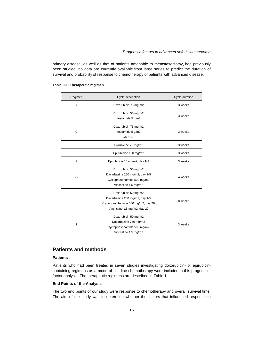#### *Prognostic factors in advanced soft tissue sarcoma*

primary disease, as well as that of patients amenable to metastasectomy, had previously been studied, no data are currently available from large series to predict the duration of survival and probability of response to chemotherapy of patients with advanced disease.

| Regimen                                                                                                            | Cycle description                                                                                                             | Cycle duration |
|--------------------------------------------------------------------------------------------------------------------|-------------------------------------------------------------------------------------------------------------------------------|----------------|
| A                                                                                                                  | Doxorubicin 75 mg/m2                                                                                                          | 3 weeks        |
| B                                                                                                                  | Doxorubicin 50 mg/m2<br>lfosfamide 5 g/m2                                                                                     | 3 weeks        |
| C                                                                                                                  | Doxorubicin 75 mg/m2<br>lfosfamide 5 g/m2<br>GM-CSF                                                                           | 3 weeks        |
| D                                                                                                                  | Epirubicine 75 mg/m2                                                                                                          | 3 weeks        |
| E                                                                                                                  | Epirubicine 150 mg/m2                                                                                                         | 3 weeks        |
| F                                                                                                                  | Epirubicine 50 mg/m2, day 1-3                                                                                                 | 3 weeks        |
| Doxorubicin 50 mg/m2<br>Dacarbazine 250 mg/m2, day 1-5<br>G<br>Cyclophosphamide 500 mg/m2<br>Vincristine 1.5 mg/m2 |                                                                                                                               | 4 weeks        |
| H                                                                                                                  | Doxorubicin 50 mg/m2<br>Dacarbazine 250 mg/m2, day 1-5<br>Cyclophosphamide 500 mg/m2, day 29<br>Vincristine 1.5 mg/m2, day 29 | 8 weeks        |
| I                                                                                                                  | Doxorubicin 50 mg/m2<br>Dacarbazine 750 mg/m2<br>Cyclophosphamide 500 mg/m2<br>Vincristine 1.5 mg/m2                          | 3 weeks        |

## **Table II-1: Therapeutic regimen**

# **Patients and methods**

# **Patients**

Patients who had been treated in seven studies investigating doxorubicin- or epirubicincontaining regimens as a mode of first-line chemotherapy were included in this prognosticfactor analysis. The therapeutic regimens are described in Table 1.

### **End Points of the Analysis**

The two end points of our study were response to chemotherapy and overall survival time. The aim of the study was to determine whether the factors that influenced response to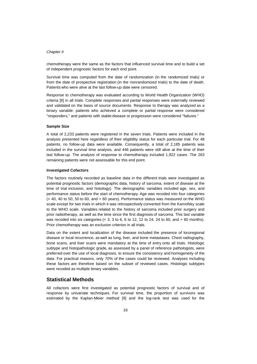chemotherapy were the same as the factors that influenced survival time and to build a set of independent prognostic factors for each end point.

Survival time was computed from the date of randomization (in the randomized trials) or from the date of prospective registration (in the nonrandomized trials) to the date of death. Patients who were alive at the last follow-up date were censored.

Response to chemotherapy was evaluated according to World Health Organization (WHO) criteria [8] in all trials. Complete responses and partial responses were externally reviewed and validated on the basis of source documents. Response to therapy was analyzed as a binary variable: patients who achieved a complete or partial response were considered "responders," and patients with stable disease or progression were considered "failures."

#### **Sample Size**

A total of 2,233 patients were registered in the seven trials. Patients were included in the analysis presented here regardless of their eligibility status for each particular trial. For 48 patients, no follow-up data were available. Consequently, a total of 2,185 patients was included in the survival time analysis, and 446 patients were still alive at the time of their last follow-up. The analysis of response to chemotherapy included 1,922 cases. The 263 remaining patients were not assessable for this end point.

#### **Investigated Cofactors**

The factors routinely recorded as baseline data in the different trials were investigated as potential prognostic factors (demographic data, history of sarcoma, extent of disease at the time of trial inclusion, and histology). The demographic variables included age, sex, and performance status before the start of chemotherapy. Age was recoded into four categories  $(< 40, 40, 50, 50, 60,$  and  $> 60$  years). Performance status was measured on the WHO scale except for two trials in which it was retrospectively converted from the Karnofsky scale to the WHO scale. Variables related to the history of sarcoma included prior surgery and prior radiotherapy, as well as the time since the first diagnosis of sarcoma. This last variable was recoded into six categories  $($  < 3, 3 to 6, 6 to 12, 12 to 24, 24 to 60, and > 60 months). Prior chemotherapy was an exclusion criterion in all trials.

Data on the extent and localization of the disease included the presence of locoregional disease or local recurrence, as well as lung, liver, and bone metastases. Chest radiography, bone scans, and liver scans were mandatory at the time of entry onto all trials. Histologic subtype and histopathologic grade, as assessed by a panel of reference pathologists, were preferred over the use of local diagnosis, to ensure the consistency and homogeneity of the data. For practical reasons, only 70% of the cases could be reviewed. Analyses including these factors are therefore based on the subset of reviewed cases. Histologic subtypes were recoded as multiple binary variables.

# **Statistical Methods**

All cofactors were first investigated as potential prognostic factors of survival and of response by univariate techniques. For survival time, the proportion of survivors was estimated by the Kaplan-Meier method [9] and the log-rank test was used for the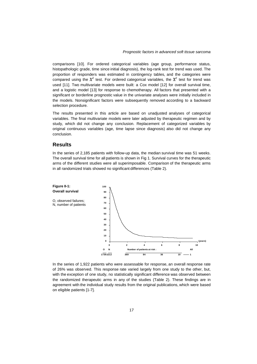comparisons [10]. For ordered categorical variables (age group, performance status, histopathologic grade, time since initial diagnosis), the log-rank test for trend was used. The proportion of responders was estimated in contingency tables, and the categories were compared using the  $X^2$  test. For ordered categorical variables, the  $X^2$  test for trend was used [11]. Two multivariate models were built: a Cox model [12] for overall survival time, and a logistic model [13] for response to chemotherapy. All factors that presented with a significant or borderline prognostic value in the univariate analyses were initially included in the models. Nonsignificant factors were subsequently removed according to a backward selection procedure.

The results presented in this article are based on unadjusted analyses of categorical variables. The final multivariate models were later adjusted by therapeutic regimen and by study, which did not change any conclusion. Replacement of categorized variables by original continuous variables (age, time lapse since diagnosis) also did not change any conclusion.

# **Results**

In the series of 2,185 patients with follow-up data, the median survival time was 51 weeks. The overall survival time for all patients is shown in Fig 1. Survival curves for the therapeutic arms of the different studies were all superimposable. Comparison of the therapeutic arms in all randomized trials showed no significant differences (Table 2).



In the series of 1,922 patients who were assessable for response, an overall response rate of 26% was observed. This response rate varied largely from one study to the other, but, with the exception of one study, no statistically significant difference was observed between the randomized therapeutic arms in any of the studies (Table 2). These findings are in agreement with the individual study results from the original publications, which were based on eligible patients [1-7].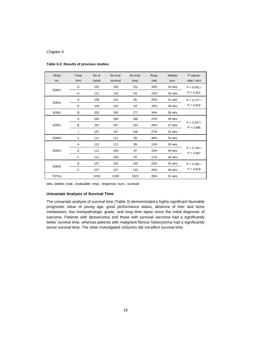| Study<br>no. | Treat.<br>Arm | No of<br>cases | No eval.<br>survival | No eval.<br>resp. | Resp.<br>rate | Median<br>surv. | P-values:<br>resp / surv     |
|--------------|---------------|----------------|----------------------|-------------------|---------------|-----------------|------------------------------|
| 62861        | G             | 191            | 184                  | 151               | 34%           | 44 wks          | $P = 0.001 /$                |
|              | H             | 121            | 118                  | 93                | 15%           | 42 wks          | $P = 0.422$                  |
| 62801        | Α             | 106            | 101                  | 85                | 25%           | 41 wks          | $P = 0.277/$                 |
|              | D             | 104            | 102                  | 84                | 18%           | 46 wks          | $P = 0.622$                  |
| 62842        | B             | 203            | 195                  | 177               | 34%           | 58 wks          |                              |
|              | Α             | 295            | 289                  | 266               | 23%           | 49 wks          | $P = 0.437 /$<br>$P = 0.896$ |
| 62851        | B             | 297            | 287                  | 254               | 28%           | 57 wks          |                              |
|              |               | 157            | 157                  | 146               | 27%           | 51 wks          |                              |
| 62883        | C             | 111            | 111                  | 99                | 46%           | 54 wks          |                              |
|              | A             | 112            | 111                  | 99                | 13%           | 50 wks          |                              |
| 62901        | E             | 111            | 109                  | 97                | 16%           | 48 wks          | $P = 0.705 /$<br>$P = 0.967$ |
|              | F             | 111            | 109                  | 93                | 17%           | 45 wks          |                              |
| 62903        | B             | 157            | 155                  | 145               | 23%           | 55 wks          | $P = 0.491 /$                |
|              | C             | 157            | 157                  | 133               | 26%           | 49 wks          | $P = 0.919$                  |
| <b>TOTAL</b> |               | 2233           | 2185                 | 1922              | 26%           | 51 wks          |                              |

#### **Table II-2: Results of previous studies**

wks, weeks; eval., evaluable; resp., response; surv., survival

#### **Univariate Analysis of Survival Time**

The univariate analysis of survival time (Table 3) demonstrated a highly significant favorable prognostic value of young age, good performance status, absence of liver and bone metastases, low histopathologic grade, and long time lapse since the initial diagnosis of sarcoma. Patients with liposarcoma and those with synovial sarcoma had a significantly better survival time, whereas patients with malignant fibrous histiocytoma had a significantly worse survival time. The other investigated cofactors did not affect survival time.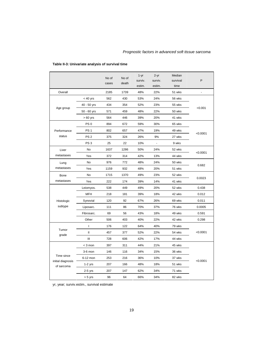# *Prognostic factors in advanced soft tissue sarcoma*

|                                 |                 | No of<br>cases | No of<br>death | $1 - yr$<br>surviv. | $2 - yr$<br>surviv. | Median<br>survival | P        |
|---------------------------------|-----------------|----------------|----------------|---------------------|---------------------|--------------------|----------|
|                                 |                 |                |                | estim.              | estim.              | time               |          |
| Overall                         |                 | 2185           | 1739           | 48%                 | 22%                 | 51 wks             |          |
|                                 | $< 40$ yrs      | 562            | 430            | 53%                 | 24%                 | 56 wks             |          |
| Age group                       | 40 - 50 yrs     | 434            | 354            | 52%                 | 23%                 | 55 wks             | < 0.001  |
|                                 | 50 - 60 yrs     | 571            | 459            | 48%                 | 22%                 | 50 wks             |          |
|                                 | $>60$ yrs       | 564            | 446            | 39%                 | 20%                 | 41 wks             |          |
|                                 | PS <sub>0</sub> | 894            | 672            | 59%                 | 30%                 | 65 wks             |          |
| Performance                     | PS <sub>1</sub> | 802            | 657            | 47%                 | 19%                 | 49 wks             |          |
| status                          | PS <sub>2</sub> | 375            | 324            | 26%                 | 9%                  | 27 wks             | < 0.0001 |
|                                 | PS <sub>3</sub> | 25             | 22             | 10%                 | $\blacksquare$      | 9 wks              |          |
| Liver                           | No              | 1637           | 1286           | 50%                 | 24%                 | 52 wks             | < 0.0001 |
| metastases                      | Yes             | 372            | 314            | 42%                 | 13%                 | 44 wks             |          |
| Lung                            | No              | 976            | 772            | 48%                 | 24%                 | 50 wks             | 0.682    |
| metastases                      | Yes             | 1159           | 932            | 48%                 | 20%                 | 51 wks             |          |
| Bone                            | No              | 1715           | 1370           | 49%                 | 23%                 | 52 wks             | 0.0023   |
| metastases                      | Yes             | 222            | 174            | 39%                 | 14%                 | 41 wks             |          |
|                                 | Leiomyos.       | 538            | 449            | 49%                 | 20%                 | 52 wks             | 0.438    |
|                                 | <b>MFH</b>      | 218            | 181            | 39%                 | 18%                 | 42 wks             | 0.012    |
| Histologic                      | Synovial        | 120            | 92             | 67%                 | 26%                 | 69 wks             | 0.011    |
| subtype                         | Liposarc.       | 111            | 86             | 70%                 | 37%                 | 76 wks             | 0.0005   |
|                                 | Fibrosarc.      | 69             | 56             | 43%                 | 18%                 | 49 wks             | 0.591    |
|                                 | Other           | 506            | 403            | 40%                 | 22%                 | 42 wks             | 0.298    |
|                                 | $\overline{1}$  | 176            | 122            | 64%                 | 40%                 | 79 wks             |          |
| Tumor<br>grade                  | Ш               | 457            | 377            | 52%                 | 22%                 | 54 wks             | < 0.0001 |
|                                 | Ш               | 728            | 606            | 42%                 | 17%                 | 44 wks             |          |
|                                 | $<$ 3 mon       | 397            | 311            | 44%                 | 21%                 | 45 wks             |          |
|                                 | $3-6$ mon       | 146            | 116            | 34%                 | 15%                 | 36 wks             |          |
| Time since                      | 6-12 mon        | 253            | 216            | 36%                 | 10%                 | 37 wks             |          |
| initial diagnosis<br>of sarcoma | $1-2$ yrs       | 207            | 166            | 48%                 | 18%                 | 51 wks             | < 0.0001 |
|                                 | $2-5$ yrs       | 207            | 147            | 62%                 | 34%                 | 71 wks             |          |
|                                 | $> 5$ yrs       | 96             | 64             | 66%                 | 34%                 | 82 wks             |          |

# **Table II-3: Univariate analysis of survival time**

yr, year; surviv.estim., survival estimate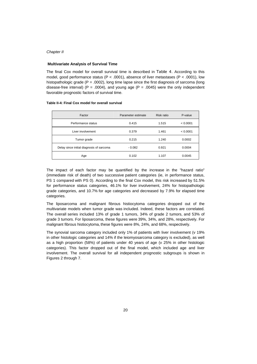#### **Multivariate Analysis of Survival Time**

The final Cox model for overall survival time is described in Table 4. According to this model, good performance status ( $P < .0001$ ), absence of liver metastases ( $P < .0001$ ), low histopathologic grade ( $P = .0002$ ), long time lapse since the first diagnosis of sarcoma (long disease-free interval) (P = .0004), and young age (P = .0045) were the only independent favorable prognostic factors of survival time.

#### **Table II-4: Final Cox model for overall survival**

| Factor                                   | Parameter estimate | Risk ratio | P-value  |
|------------------------------------------|--------------------|------------|----------|
| Performance status                       | 0.415              | 1.515      | < 0.0001 |
| Liver involvement                        | 0.379              | 1.461      | < 0.0001 |
| Tumor grade                              | 0.215              | 1.240      | 0.0002   |
| Delay since initial diagnosis of sarcoma | $-0.082$           | 0.921      | 0.0004   |
| Age                                      | 0.102              | 1.107      | 0.0045   |

The impact of each factor may be quantified by the increase in the "hazard ratio" (immediate risk of death) of two successive patient categories (ie, in performance status, PS 1 compared with PS 0). According to the final Cox model, this risk increased by 51.5% for performance status categories, 46.1% for liver involvement, 24% for histopathologic grade categories, and 10.7% for age categories and decreased by 7.9% for elapsed time categories.

The liposarcoma and malignant fibrous histiocytoma categories dropped out of the multivariate models when tumor grade was included. Indeed, these factors are correlated. The overall series included 13% of grade 1 tumors, 34% of grade 2 tumors, and 53% of grade 3 tumors. For liposarcoma, these figures were 39%, 34%, and 28%, respectively. For malignant fibrous histiocytoma, these figures were 8%, 24%, and 68%, respectively.

The synovial sarcoma category included only 1% of patients with liver involvement (v 19% in other histologic categories and 14% if the leiomyosarcoma category is excluded), as well as a high proportion (58%) of patients under 40 years of age (v 25% in other histologic categories). This factor dropped out of the final model, which included age and liver involvement. The overall survival for all independent prognostic subgroups is shown in Figures 2 through 7.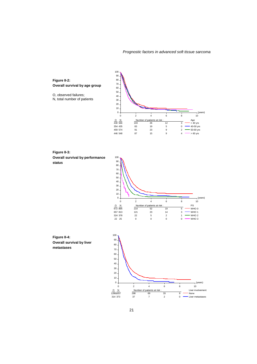# **Figure II-2: Overall survival by age group**

O, observed failures; N, total number of patients



**Figure II-3: Overall survival by performance status** 



**Figure II-4: Overall survival by liver metastases** 

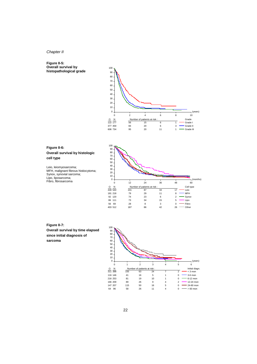#### **Figure II-5: Overall survival by histopathological grade**



# **Figure II-6: Overall survival by histologic cell type**

Leio, leiomyosarcoma; MFH, malignant fibrous histiocytoma; Synov, synovial sarcoma; Lipo, liposarcoma; Fibro, fibrosarcoma



**Figure II-7: Overall survival by time elapsed since initial diagnosis of sarcoma** 

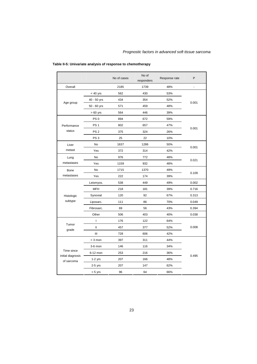# *Prognostic factors in advanced soft tissue sarcoma*

|                                 |                 | No of cases | No of<br>responders | Response rate | P     |  |
|---------------------------------|-----------------|-------------|---------------------|---------------|-------|--|
| Overall                         |                 | 2185        | 1739                | 48%           |       |  |
|                                 | $< 40$ yrs      | 562         | 430                 | 53%           |       |  |
|                                 | 40 - 50 yrs     | 434         | 354                 | 52%           |       |  |
| Age group                       | 50 - 60 yrs     | 571         | 459                 | 48%           | 0.001 |  |
|                                 | $>60$ yrs       | 564         | 446                 | 39%           |       |  |
|                                 | PS <sub>0</sub> | 894         | 672                 | 59%           |       |  |
| Performance                     | PS <sub>1</sub> | 802         | 657                 | 47%           |       |  |
| status                          | PS <sub>2</sub> | 375         | 324                 | 26%           | 0.001 |  |
|                                 | PS <sub>3</sub> | 25          | 22                  | 10%           |       |  |
| Liver                           | No              | 1637        | 1286                | 50%           |       |  |
| metast                          | Yes             | 372         | 314                 | 42%           | 0.001 |  |
| Lung                            | No              | 976         | 772                 | 48%           |       |  |
| metastases                      | Yes             | 1159        | 932                 | 48%           | 0.021 |  |
| Bone                            | No              | 1715        | 1370                | 49%           | 0.109 |  |
| metastases                      | Yes             | 222         | 174                 | 39%           |       |  |
|                                 | Leiomyos.       | 538         | 449                 | 49%           | 0.002 |  |
|                                 | <b>MFH</b>      | 218         | 181                 | 39%           | 0.716 |  |
| Histologic                      | Synovial        | 120         | 92                  | 67%           | 0.313 |  |
| subtype                         | Liposarc.       | 111         | 86                  | 70%           | 0.049 |  |
|                                 | Fibrosarc.      | 69          | 56                  | 43%           | 0.394 |  |
|                                 | Other           | 506         | 403                 | 40%           | 0.038 |  |
|                                 | L               | 176         | 122                 | 64%           |       |  |
| Tumor<br>grade                  | $\mathbf{II}$   | 457         | 377                 | 52%           | 0.008 |  |
|                                 | Ш               | 728         | 606                 | 42%           |       |  |
|                                 | $<$ 3 mon       | 397         | 311                 | 44%           |       |  |
|                                 | $3-6$ mon       | 146         | 116                 | 34%           |       |  |
| Time since                      | 6-12 mon        | 253         | 216                 | 36%           |       |  |
| initial diagnosis<br>of sarcoma | $1-2$ yrs       | 207         | 166                 | 48%           | 0.495 |  |
|                                 | $2-5$ yrs       | 207         | 147                 | 62%           |       |  |
|                                 | $> 5$ yrs       | 96          | 64                  | 66%           |       |  |

# **Table II-5: Univariate analysis of response to chemotherapy**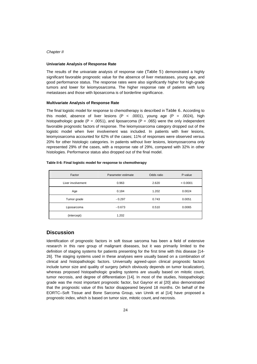#### **Univariate Analysis of Response Rate**

The results of the univariate analysis of response rate (Table 5) demonstrated a highly significant favorable prognostic value for the absence of liver metastases, young age, and good performance status. The response rates were also significantly higher for high-grade tumors and lower for leiomyosarcoma. The higher response rate of patients with lung metastases and those with liposarcoma is of borderline significance.

#### **Multivariate Analysis of Response Rate**

The final logistic model for response to chemotherapy is described in Table 6. According to this model, absence of liver lesions  $(P < .0001)$ , young age  $(P = .0024)$ , high histopathologic grade (P = .0051), and liposarcoma (P = .065) were the only independent favorable prognostic factors of response. The leiomyosarcoma category dropped out of the logistic model when liver involvement was included. In patients with liver lesions, leiomyosarcoma accounted for 62% of the cases; 11% of responses were observed versus 20% for other histologic categories. In patients without liver lesions, leiomyosarcoma only represented 29% of the cases, with a response rate of 29%, compared with 32% in other histologies. Performance status also dropped out of the final model.

| Factor            | Parameter estimate | Odds ratio | P-value  |
|-------------------|--------------------|------------|----------|
| Liver involvement | 0.963              | 2.620      | < 0.0001 |
| Age               | 0.184              | 1.202      | 0.0024   |
| Tumor grade       | $-0.297$           | 0.743      | 0.0051   |
| Liposarcoma       | $-0.673$           | 0.510      | 0.0065   |
| (intercept)       | 1.202              |            |          |

#### **Table II-6: Final logistic model for response to chemotherapy**

## **Discussion**

Identification of prognostic factors in soft tissue sarcoma has been a field of extensive research in this rare group of malignant diseases, but it was primarily limited to the definition of staging systems for patients presenting for the first time with this disease [14- 26]. The staging systems used in these analyses were usually based on a combination of clinical and histopathologic factors. Universally agreed-upon clinical prognostic factors include tumor size and quality of surgery (which obviously depends on tumor localization), whereas proposed histopathologic grading systems are usually based on mitotic count, tumor necrosis, and degree of differentiation [14]. In most of the studies, histopathologic grade was the most important prognostic factor, but Gaynor et al [20] also demonstrated that the prognostic value of this factor disappeared beyond 18 months. On behalf of the EORTC–Soft Tissue and Bone Sarcoma Group, van Unnik et al [14] have proposed a prognostic index, which is based on tumor size, mitotic count, and necrosis.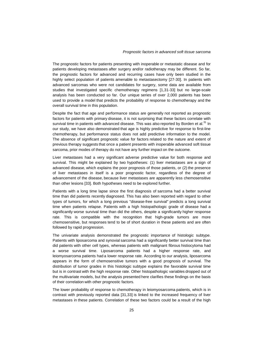The prognostic factors for patients presenting with inoperable or metastatic disease and for patients developing metastases after surgery and/or radiotherapy may be different. So far, the prognostic factors for advanced and recurring cases have only been studied in the highly select population of patients amenable to metastasectomy [27-30]. In patients with advanced sarcomas who were not candidates for surgery, some data are available from studies that investigated specific chemotherapy regimens [1,31-33] but no large-scale analysis has been conducted so far. Our unique series of over 2,000 patients has been used to provide a model that predicts the probability of response to chemotherapy and the overall survival time in this population.

Despite the fact that age and performance status are generally not reported as prognostic factors for patients with primary disease, it is not surprising that these factors correlate with survival time in patients with advanced disease. This was also reported by Borden et al.<sup>31</sup> In our study, we have also demonstrated that age is highly predictive for response to first-line chemotherapy, but performance status does not add predictive information to the model. The absence of significant prognostic value for factors related to the nature and extent of previous therapy suggests that once a patient presents with inoperable advanced soft tissue sarcoma, prior modes of therapy do not have any further impact on the outcome.

Liver metastases had a very significant adverse predictive value for both response and survival. This might be explained by two hypotheses: (1) liver metastases are a sign of advanced disease, which explains the poor prognosis of those patients, or (2) the presence of liver metastases in itself is a poor prognostic factor, regardless of the degree of advancement of the disease, because liver metastases are apparently less chemosensitive than other lesions [33]. Both hypotheses need to be explored further.

Patients with a long time lapse since the first diagnosis of sarcoma had a better survival time than did patients recently diagnosed. This has also been reported with regard to other types of tumors, for which a long previous "disease-free survival" predicts a long survival time when patients relapse. Patients with a high histopathologic grade of disease had a significantly worse survival time than did the others, despite a significantly higher response rate. This is compatible with the recognition that high-grade tumors are more chemosensitive, but responses tend to be of short duration in these patients and are often followed by rapid progression.

The univariate analysis demonstrated the prognostic importance of histologic subtype. Patients with liposarcoma and synovial sarcoma had a significantly better survival time than did patients with other cell types, whereas patients with malignant fibrous histiocytoma had a worse survival time. Liposarcoma patients had a higher response rate, and leiomyosarcoma patients had a lower response rate. According to our analysis, liposarcoma appears in the form of chemosensitive tumors with a good prognosis of survival. The distribution of tumor grades in this histologic subtype explains the favorable survival time but is in contrast with the high response rate. Other histopathologic variables dropped out of the multivariate models, but the analysis presented here clarifies these findings on the basis of their correlation with other prognostic factors.

The lower probability of response to chemotherapy in leiomyosarcoma patients, which is in contrast with previously reported data [31,33] is linked to the increased frequency of liver metastases in these patients. Correlation of these two factors could be a result of the high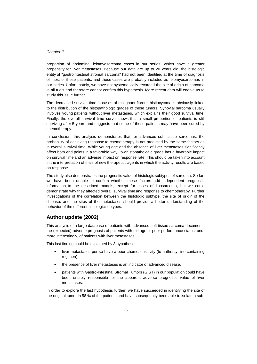proportion of abdominal leiomyosarcoma cases in our series, which have a greater propensity for liver metastases. Because our data are up to 20 years old, the histologic entity of "gastrointestinal stromal sarcoma" had not been identified at the time of diagnosis of most of these patients, and these cases are probably included as leiomyosarcomas in our series. Unfortunately, we have not systematically recorded the site of origin of sarcoma in all trials and therefore cannot confirm this hypothesis. More recent data will enable us to study this issue further.

The decreased survival time in cases of malignant fibrous histiocytoma is obviously linked to the distribution of the histopathologic grades of these tumors. Synovial sarcoma usually involves young patients without liver metastases, which explains their good survival time. Finally, the overall survival time curve shows that a small proportion of patients is still surviving after 5 years and suggests that some of these patients may have been cured by chemotherapy.

In conclusion, this analysis demonstrates that for advanced soft tissue sarcomas, the probability of achieving response to chemotherapy is not predicted by the same factors as in overall survival time. While young age and the absence of liver metastases significantly affect both end points in a favorable way, low histopathologic grade has a favorable impact on survival time and an adverse impact on response rate. This should be taken into account in the interpretation of trials of new therapeutic agents in which the activity results are based on response.

The study also demonstrates the prognostic value of histologic subtypes of sarcoma. So far, we have been unable to confirm whether these factors add independent prognostic information to the described models, except for cases of liposarcoma, but we could demonstrate why they affected overall survival time and response to chemotherapy. Further investigations of the correlation between the histologic subtype, the site of origin of the disease, and the sites of the metastases should provide a better understanding of the behavior of the different histologic subtypes.

# **Author update (2002)**

This analysis of a large database of patients with advanced soft tissue sarcoma documents the (expected) adverse prognosis of patients with old age or poor performance status, and, more interestingly, of patients with liver metastases.

This last finding could be explained by 3 hypotheses:

- liver metastases per se have a poor chemosensitivity (to anthracycline containing regimen),
- the presence of liver metastases is an indicator of advanced disease,
- patients with Gastro-Intestinal Stromal Tumors (GIST) in our population could have been entirely responsible for the apparent adverse prognostic value of liver metastases.

In order to explore the last hypothesis further, we have succeeded in identifying the site of the original tumor in 58 % of the patients and have subsequently been able to isolate a sub-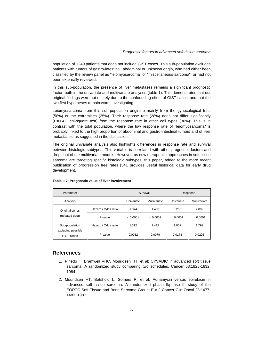population of 1249 patients that does not include GIST cases. This sub-population excludes patients with tumors of gastro-intestinal, abdominal or unknown origin, who had either been classified by the review panel as "leiomyosarcoma" or "miscellaneous sarcoma", or had not been externally reviewed.

In this sub-population, the presence of liver metastases remains a significant prognostic factor, both in the univariate and multivariate analyses (table 1). This demonstrates that our original findings were not entirely due to the confounding effect of GIST cases, and that the two first hypotheses remain worth investigating.

Leiomyosarcoma from this sub-population originate mainly from the gynecological tract (58%) or the extremities (25%). Their response rate (28%) does not differ significantly (P=0.42, chi-square test) from the response rate in other cell types (30%). This is in contrast with the total population, where the low response rate of "leiomyosarcoma" is probably linked to the high proportion of abdominal and gastro-intestinal tumors and of liver metastases, as suggested in the discussion.

The original univariate analysis also highlights differences in response rate and survival between histologic subtypes. This variable is correlated with other prognostic factors and drops out of the multivariate models. However, as new therapeutic approaches in soft tissue sarcoma are targeting specific histologic subtypes, this paper, added to the more recent publication of progression free rates [34], provides useful historical data for early drug development.

| Parameter                               |                     |            | Survival     | Response   |              |
|-----------------------------------------|---------------------|------------|--------------|------------|--------------|
| Analysis                                |                     | Univariate | Multivariate | Univariate | Multivariate |
| Original series                         | Hazard / Odds ratio | 1.374      | 1.450        | 3.236      | 2.899        |
| (updated data)                          | P-value             | < 0.0001   | < 0.0001     | < 0.0001   | < 0.0001     |
| Sub-population                          | Hazard / Odds ratio | 1.312      | 1.412        | 1.807      | 1.792        |
| excluding possible<br><b>GIST cases</b> | P-value             | 0.0082     | 0.0079       | 0.0178     | 0.0226       |

#### **Table II-7: Prognostic value of liver involvement**

# **References**

- 1. Pinedo H, Bramwell VHC, Mouridsen HT, et al: CYVADIC in advanced soft tissue sarcoma: A randomized study comparing two schedules. Cancer 53:1825-1832, 1984
- 2. Mouridsen HT, Batshold L, Somers R, et al: Adriamycin versus epirubicin in advanced soft tissue sarcoma: A randomized phase II/phase III study of the EORTC Soft Tissue and Bone Sarcoma Group. Eur J Cancer Clin Oncol 23:1477- 1483, 1987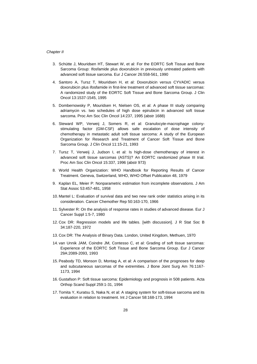- 3. Schütte J, Mouridsen HT, Stewart W, et al: For the EORTC Soft Tissue and Bone Sarcoma Group: Ifosfamide plus doxorubicin in previously untreated patients with advanced soft tissue sarcoma. Eur J Cancer 26:558-561, 1990
- 4. Santoro A, Tursz T, Mouridsen H, et al: Doxorubicin versus CYVADIC versus doxorubicin plus ifosfamide in first-line treatment of advanced soft tissue sarcomas: A randomized study of the EORTC Soft Tissue and Bone Sarcoma Group. J Clin Oncol 13:1537-1545, 1995
- 5. Dombernowsky P, Mouridsen H, Nielsen OS, et al: A phase III study comparing adriamycin vs. two schedules of high dose epirubicin in advanced soft tissue sarcoma. Proc Am Soc Clin Oncol 14:237, 1995 (abstr 1688)
- 6. Steward WP, Verweij J, Somers R, et al: Granulocyte-macrophage colonystimulating factor (GM-CSF) allows safe escalation of dose intensity of chemotherapy in metastatic adult soft tissue sarcoma: A study of the European Organization for Research and Treatment of Cancer Soft Tissue and Bone Sarcoma Group. J Clin Oncol 11:15-21, 1993
- 7. Tursz T, Verweij J, Judson I, et al: Is high-dose chemotherapy of interest in advanced soft tissue sarcomas (ASTS)? An EORTC randomized phase III trial. Proc Am Soc Clin Oncol 15:337, 1996 (abstr 973)
- 8. World Health Organization: WHO Handbook for Reporting Results of Cancer Treatment. Geneva, Switzerland, WHO, WHO Offset Publication 48, 1979
- 9. Kaplan EL, Meier P: Nonparametric estimation from incomplete observations. J Am Stat Assoc 53:457-481, 1958
- 10. Mantel L: Evaluation of survival data and two new rank order statistics arising in its consideration. Cancer Chemother Rep 50:163-170, 1966
- 11. Sylvester R: On the analysis of response rates in studies of advanced disease. Eur J Cancer Suppl 1:5-7, 1980
- 12. Cox DR: Regression models and life tables. [with discussion]. J R Stat Soc B 34:187-220, 1972
- 13. Cox DR: The Analysis of Binary Data. London, United Kingdom, Methuen, 1970
- 14. van Unnik JAM, Coindre JM, Contesso C, et al: Grading of soft tissue sarcomas: Experience of the EORTC Soft Tissue and Bone Sarcoma Group. Eur J Cancer 29A:2089-2093, 1993
- 15. Peabody TD, Monson D, Montag A, et al: A comparison of the prognoses for deep and subcutaneous sarcomas of the extremities. J Bone Joint Surg Am 76:1167- 1173, 1994
- 16. Gustafson P: Soft tissue sarcoma: Epidemiology and prognosis in 508 patients. Acta Orthop Scand Suppl 259:1-31, 1994
- 17. Tomita Y, Kuratsu S, Naka N, et al: A staging system for soft-tissue sarcoma and its evaluation in relation to treatment. Int J Cancer 58:168-173, 1994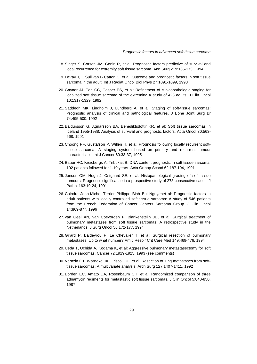- 18. Singer S, Corson JM, Gonin R, et al: Prognostic factors predictive of survival and local recurrence for extremity soft tissue sarcoma. Ann Surg 219:165-173, 1994
- 19. LeVay J, O'Sullivan B Catton C, et al: Outcome and prognostic factors in soft tissue sarcoma in the adult. Int J Radiat Oncol Biol Phys 27:1091-1099, 1993
- 20. Gaynor JJ, Tan CC, Casper ES, et al: Refinement of clinicopathologic staging for localized soft tissue sarcoma of the extremity: A study of 423 adults. J Clin Oncol 10:1317-1329, 1992
- 21. Saddegh MK, Lindholm J, Lundberg A, et al: Staging of soft-tissue sarcomas: Prognostic analysis of clinical and pathological features. J Bone Joint Surg Br 74:495-500, 1992
- 22. Baldursson G, Agnarsson BA, Benediktsdottir KR, et al: Soft tissue sarcomas in Iceland 1955-1988: Analysis of survival and prognostic factors. Acta Oncol 30:563- 568, 1991
- 23. Choong PF, Gustafson P, Willen H, et al: Prognosis following locally recurrent softtissue sarcoma: A staging system based on primary and recurrent tumour characteristics. Int J Cancer 60:33-37, 1995
- 24. Bauer HC, Kreicbergs A, Tribukait B: DNA content prognostic in soft tissue sarcoma: 102 patients followed for 1-10 years. Acta Orthop Scand 62:187-194, 1991
- 25. Jensen OM, Hogh J, Ostgaard SE, et al: Histopathological grading of soft tissue tumours: Prognostic significance in a prospective study of 278 consecutive cases. J Pathol 163:19-24, 1991
- 26. Coindre Jean-Michel Terrier Philippe Binh Bui Nguyenet al: Prognostic factors in adult patients with locally controlled soft tissue sarcoma: A study of 546 patients from the French Federation of Cancer Centers Sarcoma Group. J Clin Oncol 14:869-877, 1996
- 27. van Geel AN, van Coevorden F, Blankensteijn JD, et al: Surgical treatment of pulmonary metastases from soft tissue sarcomas: A retrospective study in the Netherlands. J Surg Oncol 56:172-177, 1994
- 28. Girard P, Baldeyrou P, Le Chevalier T, et al: Surgical resection of pulmonary metastases: Up to what number? Am J Respir Crit Care Med 149:469-476, 1994
- 29. Ueda T, Uchida A, Kodama K, et al: Aggressive pulmonary metastasectomy for soft tissue sarcomas. Cancer 72:1919-1925, 1993 (see comments)
- 30. Verazin GT, Warneke JA, Driscoll DL, et al: Resection of lung metastases from softtissue sarcomas: A multivariate analysis. Arch Surg 127:1407-1411, 1992
- 31. Borden EC, Amato DA, Rosenbaum CH, et al: Randomized comparison of three adriamycin regiments for metastastic soft tissue sarcomas. J Clin Oncol 5:840-850, 1987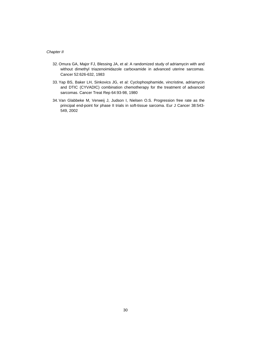- 32. Omura GA, Major FJ, Blessing JA, et al: A randomized study of adriamycin with and without dimethyl triazenoimidazole carboxamide in advanced uterine sarcomas. Cancer 52:626-632, 1983
- 33. Yap BS, Baker LH, Sinkovics JG, et al: Cyclophosphamide, vincristine, adriamycin and DTIC (CYVADIC) combination chemotherapy for the treatment of advanced sarcomas. Cancer Treat Rep 64:93-98, 1980
- 34. Van Glabbeke M, Verweij J, Judson I, Nielsen O.S. Progression free rate as the principal end-point for phase II trials in soft-tissue sarcoma. Eur J Cancer 38:543- 549, 2002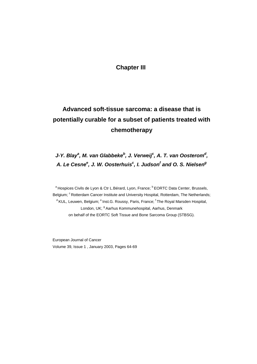# **Advanced soft-tissue sarcoma: a disease that is potentially curable for a subset of patients treated with chemotherapy**

# *J-Y. Blay<sup>a</sup> , M. van Glabbeke<sup>b</sup> , J. Verweij<sup>c</sup> , A. T. van Oosteromd , A. Le Cesne<sup>e</sup> , J. W. Oosterhuis<sup>c</sup> , I. Judsonf and O. S. Nielseng*

<sup>a</sup> Hospices Civils de Lyon & Ctr L.Bérard, Lyon, France; <sup>b</sup> EORTC Data Center, Brussels, Belgium; <sup>c</sup> Rotterdam Cancer Institute and University Hospital, Rotterdam, The Netherlands; <sup>d</sup> KUL, Leuwen, Belgium; <sup>e</sup> Inst.G. Roussy, Paris, France; <sup>f</sup> The Royal Marsden Hospital, London, UK; <sup>g</sup> Aarhus Kommunehospital, Aarhus, Denmark on behalf of the EORTC Soft Tissue and Bone Sarcoma Group (STBSG).

European Journal of Cancer Volume 39, Issue 1 , January 2003, Pages 64-69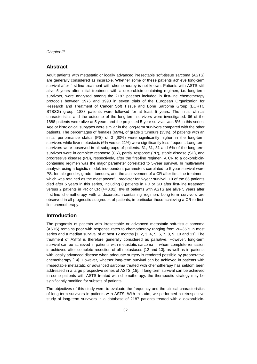# **Abstract**

Adult patients with metastatic or locally advanced irresectable soft-tissue sarcoma (ASTS) are generally considered as incurable. Whether some of these patients achieve long-term survival after first-line treatment with chemotherapy is not known. Patients with ASTS still alive 5 years after initial treatment with a doxorubicin-containing regimen, i.e. long-term survivors, were analysed among the 2187 patients included in first-line chemotherapy protocols between 1976 and 1990 in seven trials of the European Organization for Research and Treatment of Cancer Soft Tissue and Bone Sarcoma Group (EORTC STBSG) group. 1888 patients were followed for at least 5 years. The initial clinical characteristics and the outcome of the long-term survivors were investigated. 66 of the 1888 patients were alive at 5 years and the projected 5-year survival was 8% in this series. Age or histological subtypes were similar in the long-term survivors compared with the other patients. The percentages of females (69%), of grade 1 tumours (35%), of patients with an initial performance status (PS) of 0 (63%) were significantly higher in the long-term survivors while liver metastasis (6% versus 21%) were significantly less frequent. Long-term survivors were observed in all subgroups of patients. 31, 31, 31 and 6% of the long-term survivors were in complete response (CR), partial response (PR), stable disease (SD), and progressive disease (PD), respectively, after the first-line regimen. A CR to a doxorubicincontaining regimen was the major parameter correlated to 5-year survival. In multivariate analysis using a logistic model, independent parameters correlated to 5-year survival were PS, female gender, grade I tumours, and the achievement of a CR after first-line treatment, which was retained as the most powerful predictor for 5-year survival. 10 of the 66 patients died after 5 years in this series, including 8 patients in PD or SD after first-line treatment versus 2 patients in PR or CR (*P*=0.01). 8% of patients with ASTS are alive 5 years after first-line chemotherapy with a doxorubicin-containing regimen. Long-term survivors are observed in all prognostic subgroups of patients, in particular those achieving a CR to firstline chemotherapy.

# **Introduction**

The prognosis of patients with irresectable or advanced metastatic soft-tissue sarcoma (ASTS) remains poor with response rates to chemotherapy ranging from 20–35% in most series and a median survival of at best 12 months [1, 2, 3, 4, 5, 6, 7, 8, 9, 10 and 11]. The treatment of ASTS is therefore generally considered as palliative. However, long-term survival can be achieved in patients with metastatic sarcoma in whom complete remission is achieved after complete resection of all metastases [12 and 13], as well as in patients with locally advanced disease when adequate surgery is rendered possible by preoperative chemotherapy [14]. However, whether long-term survival can be achieved in patients with irresectable metastatic or advanced sarcoma treated with chemotherapy has seldom been addressed in a large prospective series of ASTS [15]. If long-term survival can be achieved in some patients with ASTS treated with chemotherapy, the therapeutic strategy may be significantly modified for subsets of patients.

The objectives of this study were to evaluate the frequency and the clinical characteristics of long-term survivors in patients with ASTS. With this aim, we performed a retrospective study of long-term survivors in a database of 2187 patients treated with a doxorubicin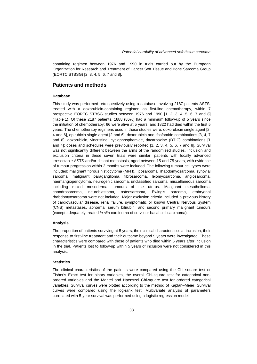containing regimen between 1976 and 1990 in trials carried out by the European Organization for Research and Treatment of Cancer Soft Tissue and Bone Sarcoma Group (EORTC STBSG) [2, 3, 4, 5, 6, 7 and 8].

# **Patients and methods**

#### **Database**

This study was performed retrospectively using a database involving 2187 patients ASTS, treated with a doxorubicin-containing regimen as first-line chemotherapy, within 7 prospective EORTC STBSG studies between 1976 and 1990 [1, 2, 3, 4, 5, 6, 7 and 8] (Table 1). Of these 2187 patients, 1888 (86%) had a minimum follow-up of 5 years since the initiation of chemotherapy: 66 were alive at 5 years, and 1822 had died within the first 5 years. The chemotherapy regimens used in these studies were: doxorubicin single agent [2, 4 and 6], epirubicin single agent [2 and 6], doxorubicin and ifosfamide combinations [3, 4, 7 and 8], doxorubicin, vincristine, cyclophosphamide, dacarbazine (DTIC) combinations [1 and 4]; doses and schedules were previously reported [1, 2, 3, 4, 5, 6, 7 and 8]. Survival was not significantly different between the arms of the randomised studies. Inclusion and exclusion criteria in these seven trials were similar: patients with locally advanced irresectable ASTS and/or distant metastasis, aged between 15 and 75 years, with evidence of tumour progression within 2 months were included. The following tumour cell types were included: malignant fibrous histiocytoma (MFH), liposarcoma, rhabdomyosarcoma, synovial sarcoma, malignant paraganglioma, fibrosarcoma, leiomyosarcoma, angiosarcoma, haemangiopericytoma, neurogenic sarcoma, unclassified sarcoma, miscellaneous sarcoma including mixed mesodermal tumours of the uterus. Malignant mesothelioma, chondrosarcoma, neuroblastoma, osteosarcoma, Ewing's sarcoma, embryonal rhabdomyosarcoma were not included. Major exclusion criteria included a previous history of cardiovascular disease, renal failure, symptomatic or known Central Nervous System (CNS) metastases, abnormal serum bilirubin, and second primary malignant tumours (except adequately treated *in situ* carcinoma of cervix or basal cell carcinoma).

#### **Analysis**

The proportion of patients surviving at 5 years, their clinical characteristics at inclusion, their response to first-line treatment and their outcome beyond 5 years were investigated. These characteristics were compared with those of patients who died within 5 years after inclusion in the trial. Patients lost to follow-up within 5 years of inclusion were not considered in this analysis.

#### **Statistics**

The clinical characteristics of the patients were compared using the Chi square test or Fisher's Exact test for binary variables, the overall Chi-square test for categorical nonordered variables and the Mantel and Haenszel Chi-square test for ordered categorical variables. Survival curves were plotted according to the method of Kaplan–Meier. Survival curves were compared using the log-rank test. Multivariate analysis of parameters correlated with 5-year survival was performed using a logistic regression model.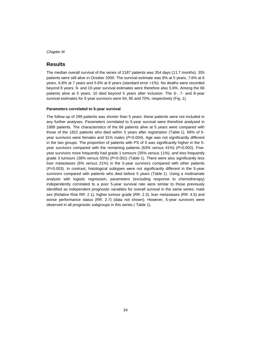# **Results**

The median overall survival of the series of 2187 patients was 354 days (11.7 months). 355 patients were still alive in October 2000. The survival estimate was 8% at 5 years, 7.6% at 6 years, 6.8% at 7 years and 5.6% at 8 years (standard error <1%). No deaths were recorded beyond 8 years; 9- and 10-year survival estimates were therefore also 5.6%. Among the 66 patients alive at 5 years, 10 died beyond 5 years after inclusion. The 6-, 7- and 8-year survival estimates for 5-year survivors were 94, 85 and 70%, respectively (Fig. 1).

#### **Parameters correlated to 5-year survival**

The follow-up of 299 patients was shorter than 5 years: these patients were not included in any further analyses. Parameters correlated to 5-year survival were therefore analysed in 1888 patients. The characteristics of the 66 patients alive at 5 years were compared with those of the 1822 patients who died within 5 years after registration (Table 1). 69% of 5 year survivors were females and 31% males (*P*=0.004). Age was not significantly different in the two groups. The proportion of patients with PS of 0 was significantly higher in the 5 year survivors compared with the remaining patients (63% versus 41%) (P=0.002). Fiveyear survivors more frequently had grade 1 tumours (35% versus 11%), and less frequently grade 3 tumours (38% versus 55%) (*P*<0.001) (Table 1). There were also significantly less liver metastases (6% versus 21%) in the 5-year survivors compared with other patients (*P*=0.003). In contrast, histological subtypes were not significantly different in the 5-year survivors compared with patients who died before 5 years (Table 1). Using a multivariate analysis with logistic regression, parameters (excluding response to chemotherapy) independently correlated to a poor 5-year survival rate were similar to those previously identified as independent prognostic variables for overall survival in the same series: male sex (Relative Risk RR: 2.1), higher tumour grade (RR: 2.3), liver metastases (RR: 4.5) and worse performance status (RR: 2.7) (data not shown). However, 5-year survivors were observed in all prognostic subgroups in this series ( Table 1).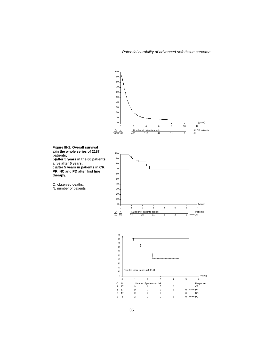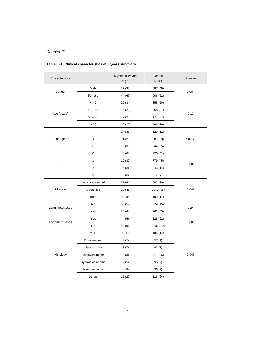## *Chapter III*

| Table III-1: Clinical characteristics of 5 years survivors |
|------------------------------------------------------------|
|------------------------------------------------------------|

| Characteristics  |                  | 5-years survivors<br>N(% ) | Others<br>N(% ) | P-value |  |
|------------------|------------------|----------------------------|-----------------|---------|--|
|                  | Male             | 22 (33)                    | 887 (49)        |         |  |
| Gender           | Female           | 44 (67)                    | 906 (51)        | 0.004   |  |
|                  | < 40             | 22 (34)                    | 858 (26)        |         |  |
|                  | $40 - 50$        | 13 (20)                    | 368 (21)        |         |  |
| Age (years)      | $50 - 60$        | 17 (26)                    | 477 (27)        | 0.13    |  |
|                  | >60              | 13 (20)                    | 468 (26)        |         |  |
|                  | $\mathbf{I}$     | 14 (35)                    | 129 (11)        |         |  |
| Tumor grade      | Ш                | 11 (28)                    | 389 (33)        | < 0.001 |  |
|                  | III              | 15 (38)                    | 644 (55)        |         |  |
|                  | 0                | 40 (63)                    | 720 (41)        |         |  |
|                  | $\mathbf{1}$     | 19 (30)                    | 779 (45)        |         |  |
| PS               | $\overline{2}$   | 5(8)                       | 243 (14)        | 0.002   |  |
|                  | 3                | 0(0)                       | 3(0.2)          |         |  |
|                  | Locally advanced | 27 (44)                    | 342 (20)        |         |  |
| <b>Disease</b>   | Metastatic       | 28 (46)                    | 1142 (68)       | 0.005   |  |
|                  | <b>Both</b>      | 6(10)                      | 190 (11)        |         |  |
|                  | No               | 33 (52)                    | 774 (45)        |         |  |
| Lung metastases  | Yes              | 30(48)                     | 962 (55)        | 0.24    |  |
|                  | Yes              | 4(6)                       | 326 (21)        |         |  |
| Liver metastases | No               | 59 (94)                    | 1236 (79)       | 0.003   |  |
|                  | <b>MFH</b>       | 6(14)                      | 185 (14)        |         |  |
|                  | Fibrosarcoma     | 2(5)                       | 57 (4)          |         |  |
|                  | Liposarcoma      | 3(7)                       | 92(7)           |         |  |
| Histology        | Leiomyosarcoma   | 13 (31)                    | 471 (36)        | 0.946   |  |
|                  | Synovialosarcoma | 2(5)                       | 95(7)           |         |  |
|                  | Neurosarcoma     | 4(10)                      | 96(7)           |         |  |
|                  | Others           | 12 (29)                    | 316 (24)        |         |  |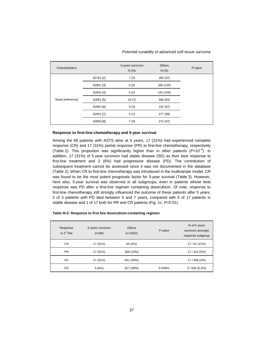| Potential curability of advanced soft tissue sarcoma |
|------------------------------------------------------|
|------------------------------------------------------|

| Characteristics   |           | 5-years survivors<br>N(% ) | <b>Others</b><br>N(% ) | P-value |
|-------------------|-----------|----------------------------|------------------------|---------|
|                   | 62761 [2] | 7(3)                       | 265 (97)               |         |
|                   | 62801 [3] | 0(0)                       | 168 (100)              |         |
|                   | 62842 [4] | 0(0)                       | 142 (100)              |         |
| Study [reference] | 62851 [5] | 44 (7)                     | 596 (93)               |         |
|                   | 62883 [6] | 3(3)                       | 102 (97)               |         |
|                   | 62901 [7] | 5(2)                       | 277 (98)               |         |
|                   | 62903 [8] | 7(3)                       | 272 (97)               |         |

#### **Response to first-line chemotherapy and 5-year survival**

Among the 66 patients with ASTS alive at 5 years, 17 (31%) had experienced complete response (CR) and 17 (31%) partial response (PR) to first-line chemotherapy, respectively (Table 2). This proportion was significantly higher than in other patients (*P*<10−5). In addition, 17 (31%) of 5-year survivors had stable disease (SD) as their best response to first-line treatment and 3 (6%) had progressive disease (PD). The contribution of subsequent treatment cannot be assessed since it was not documented in the database (Table 2). When CR to first-line chemotherapy was introduced in the multivariate model, CR was found to be the most potent prognostic factor for 5-year survival (Table 3). However, here also, 5-year survival was observed in all subgroups, even in patients whose best response was PD after a first-line regimen containing doxorubicin. Of note, response to first-line chemotherapy still strongly influenced the outcome of these patients *after* 5 years: 2 of 3 patients with PD died between 5 and 7 years, compared with 6 of 17 patients in stable disease and 1 of 17 both for PR and CR patients (Fig. 1c, *P*=0.01).

#### **Table III-2: Response to first line doxorubicin-containing regimen**

| Response<br>to $1st$ line | 5-years survivors<br>$(n=66)$ | <b>Others</b><br>$(n=1822)$ | P-value | % of 5 years<br>survivors amongst<br>response subgroup |
|---------------------------|-------------------------------|-----------------------------|---------|--------------------------------------------------------|
| CR.                       | 17 (31%)                      | 64 (4%)                     |         | 17 / 81 (21%)                                          |
| <b>PR</b>                 | 17 (31%)                      | 306 (19%)                   |         | 17 / 323 (5%)                                          |
| <b>NC</b>                 | 17 (31%)                      | 641 (39%)                   |         | 17 / 658 (3%)                                          |
| <b>PD</b>                 | 3(6%)                         | 627 (38%)                   | 0.00001 | 3/630(0.5%)                                            |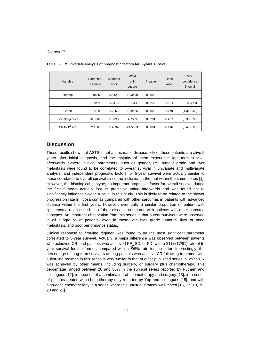#### *Chapter III*

| Variable           | Parameter<br>estimate | Standard<br>error | Wald<br>chi-<br>square | P-value | Odds<br>ratio | 95%<br>confidence<br>interval |
|--------------------|-----------------------|-------------------|------------------------|---------|---------------|-------------------------------|
| Intercept          | 2.8555                | 0.8128            | 12.3408                | 0.0004  |               |                               |
| PS                 | 0.7052                | 0.3113            | 5.1314                 | 0.0235  | 2.024         | $1.08 - 3.74$                 |
| Grade              | 0.7790                | 0.2353            | 10.9625                | 0.0009  | 2.179         | $(1.36 - 3.52)$               |
| Female gender      | $-0.8286$             | 0.3798            | 4.7589                 | 0.0291  | 0.437         | $(0.30 - 0.93)$               |
| $CR$ to $1st$ line | $-2.1505$             | 0.4634            | 21.5363                | 0.0001  | 0.116         | $(0.40 - 0.29)$               |

**Table III-3: Multivariate analysis of prognostic factors for 5-years survival** 

## **Discussion**

These results show that ASTS is not an incurable disease: 8% of these patients are alive 5 years after initial diagnosis, and the majority of them experience long-term survival afterwards. Several clinical parameters, such as gender, PS, tumour grade and liver metastasis were found to be correlated to 5-year survival in univariate and multivariate analysis, and independent prognostic factors for 5-year survival were actually similar to those correlated to overall survival since the inclusion in the trial within the same series [1]. However, the histological subtype, an important prognostic factor for overall survival during the first 5 years actually lost its predictive value afterwards and was found not to significantly influence 5-year survival in this study. This is likely to be related to the slower progression rate in liposarcomas compared with other sarcomas in patients with advanced disease within the first years; however, eventually a similar proportion of patient with liposarcoma relapse and die of their disease, compared with patients with other sarcoma subtypes. An important observation from this series is that 5-year survivors were observed in all subgroups of patients, even in those with high grade tumours, liver or bone metastasis, and poor performance status.

Clinical response to first-line regimen was found to be the most significant parameter correlated to 5-year survival. Actually, a major difference was observed between patients who achieved CR, and patients who achieved PR, SD, or PD, with a 21% (17/81) rate of 5year survival for the former, compared with a  $\leq 5\%$  rate for the latter. Interestingly, the percentage of long-term survivors among patients who achieve CR following treatment with a first-line regimen in this series is very similar to that of other published series in which CR was achieved by other means, including surgery, or surgery plus chemotherapy. This percentage ranged between 20 and 30% in the surgical series reported by Putnam and colleagues [12], in a series of a combination of chemotherapy and surgery [13], in a series of patients treated with chemotherapy only reported by Yap and colleagues [15], and with high-dose chemotherapy in a series where this unusual strategy was tested [16, 17, 18, 19, 20 and 21].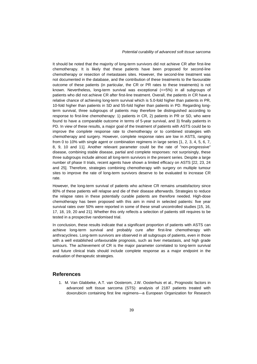#### *Potential curability of advanced soft tissue sarcoma*

It should be noted that the majority of long-term survivors did not achieve CR after first-line chemotherapy. It is likely that these patients have been proposed for second-line chemotherapy or resection of metastases sites. However, the second-line treatment was not documented in the database, and the contribution of these treatments to the favourable outcome of these patients (in particular, the CR or PR rates to these treatments) is not known. Nevertheless, long-term survival was exceptional  $\left( \langle =5\% \rangle \right)$  in all subgroups of patients who did not achieve CR after first-line treatment. Overall, the patients in CR have a relative chance of achieving long-term survival which is 5.0-fold higher than patients in PR, 10-fold higher than patients in SD and 55-fold higher than patients in PD. Regarding longterm survival, three subgroups of patients may therefore be distinguished according to response to first-line chemotherapy: 1) patients in CR, 2) patients in PR or SD, who were found to have a comparable outcome in terms of 5-year survival, and 3) finally patients in PD. In view of these results, a major goal of the treatment of patients with ASTS could be to improve the *complete* response rate to chemotherapy or to combined strategies with chemotherapy and surgery. However, complete response rates are low in ASTS, ranging from 0 to 10% with single agent or combination regimens in large series [1, 2, 3, 4, 5, 6, 7, 8, 9, 10 and 11]. Another relevant parameter could be the rate of "non-progressive" disease, combining stable disease, partial and complete responses: not surprisingly, these three subgroups include almost all long-term survivors in the present series. Despite a large number of phase II trials, recent agents have shown a limited efficacy on ASTS [22, 23, 24 and 25]. Therefore, strategies combining chemotherapy with surgery on multiple tumour sites to improve the rate of long-term survivors deserve to be evaluated to increase CR rate.

However, the long-term survival of patients who achieve CR remains unsatisfactory since 80% of these patients will relapse and die of their disease afterwards. Strategies to reduce the relapse rates in these potentially curable patients are therefore needed. High-dose chemotherapy has been proposed with this aim in mind in selected patients: five year survival rates over 50% were reported in some of these small uncontrolled studies [15, 16, 17, 18, 19, 20 and 21]. Whether this only reflects a selection of patients still requires to be tested in a prospective randomised trial.

In conclusion, these results indicate that a significant proportion of patients with ASTS can achieve long-term survival and probably cure after first-line chemotherapy with anthracyclines. Long-term survivors are observed in all subgroups of patients, even in those with a well established unfavourable prognosis, such as liver metastasis, and high grade tumours. The achievement of CR is the major parameter correlated to long-term survival and future clinical trials should include complete response as a major endpoint in the evaluation of therapeutic strategies.

## **References**

1. M. Van Glabbeke, A.T. van Oosterom, J.W. Oosterhuis et al., Prognostic factors in advanced soft tissue sarcoma (STS): analysis of 2187 patients treated with doxorubicin containing first line regimens—a European Organization for Research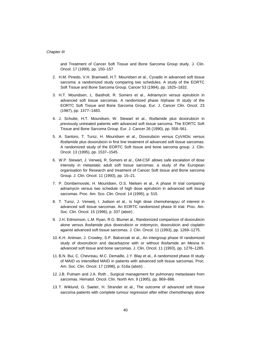#### *Chapter III*

and Treatment of Cancer Soft Tissue and Bone Sarcoma Group study. J. Clin. Oncol. 17 (1999), pp. 150–157

- 2. H.M. Pinedo, V.H. Bramwell, H.T. Mouridsen et al., Cyvadic in advanced soft tissue sarcoma: a randomized study comparing two schedules. A study of the EORTC Soft Tissue and Bone Sarcoma Group. Cancer 53 (1984), pp. 1825–1832.
- 3. H.T. Mouridsen, L. Bastholt, R. Somers et al., Adriamycin versus epirubicin in advanced soft tissue sarcomas. A randomized phase II/phase III study of the EORTC Soft Tissue and Bone Sarcoma Group. Eur. J. Cancer Clin. Oncol. 23 (1987), pp. 1477–1483.
- 4. J. Schutte, H.T. Mouridsen, W. Stewart et al., Ifosfamide plus doxorubicin in previously untreated patients with advanced soft tissue sarcoma. The EORTC Soft Tissue and Bone Sarcoma Group. Eur. J. Cancer 26 (1990), pp. 558–561.
- 5. A. Santoro, T. Tursz, H. Mouridsen et al., Doxorubicin versus CyVADic versus ifosfamide plus doxorubicin in first line treatment of advanced soft tissue sarcomas. A randomized study of the EORTC Soft tissue and bone sarcoma group. J. Clin. Oncol. 13 (1995), pp. 1537–1545.
- 6. W.P. Stewart, J. Verweij, R. Somers et al., GM-CSF allows safe escalation of dose intensity in metastatic adult soft tissue sarcomas: a study of the European organisation for Research and treatment of Cancer Soft tissue and Bone sarcoma Group. J. Clin. Oncol. 11 (1993), pp. 15–21.
- 7. P. Dombernovski, H. Mouridsen, O.S. Nielsen et al., A phase III trial comparing adriamycin versus two schedule of high dose epirubicin in advanced soft tissue sarcomas. Proc. Am. Sco. Clin. Oncol. 14 (1995), p. 515.
- 8. T. Tursz, J. Verweij, I. Judson et al., Is high dose chemoherapyu of interest in advanced soft tissue sarcomas. An EORTC randomized phase III trial. Proc. Am. Soc. Clin. Oncol. 15 (1996), p. 337 (abstr) .
- 9. J.H. Edmonson, L.M. Ryan, R.G. Blumet al., Randomized comparison of doxorubicin alone versus ifosfamide plus doxorubicin or mitomycin, doxorubicin and cisplatin against advanced soft tissue sarcomas. J. Clin. Oncol. 11 (1993), pp. 1269–1275.
- 10. K.H. Antman, J. Crowley, S.P. Balcerzak et al., An intergroup phase III randomized study of doxorubicin and dacarbazine with or without ifosfamide an Mesna in advanced soft tissue and bone sarcomas. J. Clin. Oncol. 11 (1993), pp. 1276–1285.
- 11. B.N. Bui, C. Chevreau, M.C. Demaille, J.Y. Blay et al., A randomized phase III study of MAID vs intensified MAID in patients with advanced soft tissue sarcomas. Proc. Am. Soc. Clin. Oncol. 17 (1998), p. 516a (abstr) .
- 12. J.B. Putnam and J.A. Roth , Surgical management for pulmonary metastases from sarcomas. Hematol. Oncol. Clin. North Am. 9 (1995), pp. 869–886.
- 13. T. Wiklund, G. Saeter, H. Strander et al., The outcome of advanced soft tissue sarcoma patients with complete tumour regression after either chemotherapy alone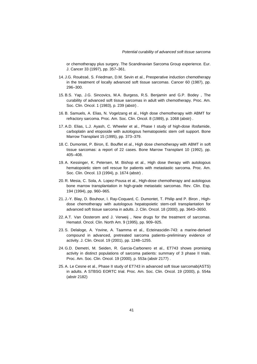or chemotherapy plus surgery. The Scandinavian Sarcoma Group experience. Eur. J. Cancer 33 (1997), pp. 357–361.

- 14. J.G. Rouëssé, S. Friedman, D.M. Sevin et al., Preoperative induction chemotherapy in the treatment of locally advanced soft tissue sarcomas. Cancer 60 (1987), pp. 296–300.
- 15. B.S. Yap, J.G. Sincovics, M.A. Burgess, R.S. Benjamin and G.P. Bodey , The curability of advanced soft tissue sarcomas in adult with chemotherapy. Proc. Am. Soc. Clin. Oncol. 1 (1983), p. 239 (abstr) .
- 16. B. Samuels, A. Elias, N. Vogelzang et al., High dose chemotherapy with ABMT for refractory sarcoma. Proc. Am. Soc. Clin. Oncol. 8 (1989), p. 1068 (abstr) .
- 17. A.D. Elias, L.J. Ayash, C. Wheeler et al., Phase I study of high-dose ifosfamide, carboplatin and etoposide with autologous hematopoietic stem cell support. Bone Marrow Transplant 15 (1995), pp. 373–379.
- 18. C. Dumontet, P. Biron, E. Bouffet et al., High dose chemotherapy with ABMT in soft tissue sarcomas: a report of 22 cases. Bone Marrow Transplant 10 (1992), pp. 405–408.
- 19. A. Kessinger, K. Petersen, M. Bishop et al., High dose therapy with autologous hematopoietic stem cell rescue for patients with metastastic sarcoma. Proc. Am. Soc. Clin. Oncol. 13 (1994), p. 1674 (abstr) .
- 20. R. Mesia, C. Sola, A. Lopez-Pousa et al., High-dose chemotherapy and autologous bone marrow transplantation in high-grade metastatic sarcomas. Rev. Clin. Esp. 194 (1994), pp. 960–965.
- 21. J.-Y. Blay, D. Bouhour, I. Ray-Coquard, C. Dumontet, T. Philip and P. Biron , Highdose chemotherapy with autologous hepatopoietic stem-cell transplantation for advanced soft tissue sarcoma in adults. J. Clin. Oncol. 18 (2000), pp. 3643–3650.
- 22. A.T. Van Oosterom and J. Verweij , New drugs for the treatment of sarcomas. Hematol. Oncol. Clin. North Am. 9 (1995), pp. 909–925.
- 23. S. Delaloge, A. Yovine, A. Taamma et al., Ecteinascidin-743: a marine-derived compound in advanced, pretreated sarcoma patients–preliminary evidence of activity. J. Clin. Oncol. 19 (2001), pp. 1248–1255.
- 24. G.D. Demetri, M. Seiden, R. Garcia-Carbonero et al., ET743 shows promising activity in distinct populations of sarcoma patients: summary of 3 phase II trials. Proc. Am. Soc. Clin. Oncol. 19 (2000), p. 553a (abstr 2177) .
- 25. A. Le Cesne et al., Phase II study of ET743 in advanced soft tisue sarcomab(ASTS) in adults. A STBSG EORTC trial. Proc. Am. Soc. Clin. Oncol. 19 (2000), p. 554a (abstr 2182)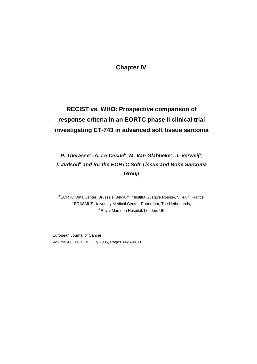# **RECIST vs. WHO: Prospective comparison of response criteria in an EORTC phase II clinical trial investigating ET-743 in advanced soft tissue sarcoma**

# *P. Therasse<sup>a</sup>, A. Le Cesne<sup>b</sup>, M. Van Glabbeke<sup>a</sup>, J. Verweij<sup>c</sup>, I. Judson<sup>d</sup> and for the EORTC Soft Tissue and Bone Sarcoma Group*

<sup>a</sup> EORTC Data Center, Brussels, Belgium, <sup>b</sup> Institut Gustave Roussy, Villejuif, France, c ERASMUS University Medical Center, Rotterdam, The Netherlands, <sup>d</sup> Royal Marsden Hospital, London, UK

European Journal of Cancer Volume 41, Issue 10 , July 2005, Pages 1426-1430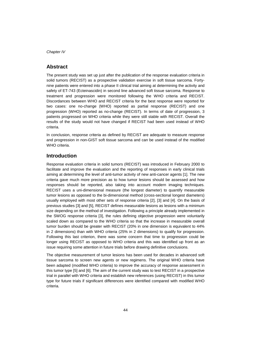## **Abstract**

The present study was set up just after the publication of the response evaluation criteria in solid tumors (RECIST) as a prospective validation exercise in soft tissue sarcoma. Fortynine patients were entered into a phase II clinical trial aiming at determining the activity and safety of ET-743 (Ecteinascidin) in second line advanced soft tissue sarcoma. Response to treatment and progression were monitored following the WHO criteria and RECIST. Discordances between WHO and RECIST criteria for the best response were reported for two cases: one no-change (WHO) reported as partial response (RECIST) and one progression (WHO) reported as no-change (RECIST). In terms of date of progression, 3 patients progressed on WHO criteria while they were still stable with RECIST. Overall the results of the study would not have changed if RECIST had been used instead of WHO criteria.

In conclusion, response criteria as defined by RECIST are adequate to measure response and progression in non-GIST soft tissue sarcoma and can be used instead of the modified WHO criteria.

## **Introduction**

Response evaluation criteria in solid tumors (RECIST) was introduced in February 2000 to facilitate and improve the evaluation and the reporting of responses in early clinical trials aiming at determining the level of anti-tumor activity of new anti-cancer agents [1]. The new criteria gave much more precision as to how tumor lesions should be assessed and how responses should be reported, also taking into account modern imaging techniques. RECIST uses a uni-dimensional measure (the longest diameter) to quantify measurable tumor lesions as opposed to the bi-dimensional method (cross-sectional longest diameters) usually employed with most other sets of response criteria [2], [3] and [4]. On the basis of previous studies [3] and [5], RECIST defines measurable lesions as lesions with a minimum size depending on the method of investigation. Following a principle already implemented in the SWOG response criteria [3], the rules defining objective progression were voluntarily scaled down as compared to the WHO criteria so that the increase in measurable overall tumor burden should be greater with RECIST (20% in one dimension is equivalent to 44% in 2 dimensions) than with WHO criteria (25% in 2 dimensions) to qualify for progression. Following this last criterion, there was some concern that time to progression could be longer using RECIST as opposed to WHO criteria and this was identified up front as an issue requiring some attention in future trials before drawing definitive conclusions.

The objective measurement of tumor lesions has been used for decades in advanced soft tissue sarcoma to screen new agents or new regimens. The original WHO criteria have been adapted (modified WHO criteria) to improve the accuracy of response assessment in this tumor type [5] and [6]. The aim of the current study was to test RECIST in a prospective trial in parallel with WHO criteria and establish new references (using RECIST) in this tumor type for future trials if significant differences were identified compared with modified WHO criteria.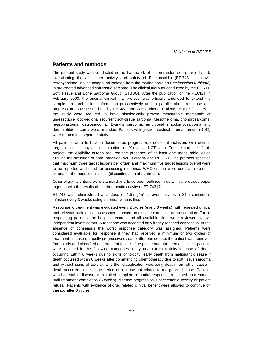## **Patients and methods**

The present study was conducted in the framework of a non-randomised phase II study investigating the anticancer activity and safety of Ecteinascidin (ET-743 – a novel tetrahydroisoquinoline compound isolated from the marine ascidian *Ecteinascidia turbinata*) in pre-treated advanced soft tissue sarcoma. The clinical trial was conducted by the EORTC Soft Tissue and Bone Sarcoma Group (STBSG). After the publication of the RECIST in February 2000, the original clinical trial protocol was officially amended to extend the sample size and collect information prospectively and in parallel about response and progression as assessed both by RECIST and WHO criteria. Patients eligible for entry in the study were required to have histologically proven measurable metastatic or unresectable loco-regional recurrent soft-tissue sarcoma. Mesothelioma, chondrosarcoma, neuroblastoma, osteosarcoma, Ewing's sarcoma, embryonal rhabdomyosarcoma and dermatofibrosarcoma were excluded. Patients with gastro intestinal stromal tumors (GIST) were treated in a separate study.

All patients were to have a documented progressive disease at inclusion, with defined target lesions at physical examination, on X-rays and CT scan. For the purpose of this project, the eligibility criteria required the presence of at least one measurable lesion fulfilling the definition of both (modified) WHO criteria and RECIST. The protocol specified that maximum three target lesions per organ and maximum five target lesions overall were to be reported and used for assessing response. WHO criteria were used as reference criteria for therapeutic decisions (discontinuation of treatment).

Other eligibility criteria were standard and have been outlined in detail in a previous paper together with the results of the therapeutic activity of ET-743 [7].

ET-743 was administered at a dose of 1.5 mg/m<sup>2</sup> intravenously as a 24 h continuous infusion every 3 weeks using a central venous line.

Response to treatment was evaluated every 2 cycles (every 6 weeks), with repeated clinical and relevant radiological assessments based on disease extension at presentation. For all responding patients, the hospital records and all available films were reviewed by two independent investigators. A response was accepted only if they reached consensus. In the absence of consensus the worst response category was assigned. Patients were considered evaluable for response if they had received a minimum of two cycles of treatment. In case of rapidly progressive disease after one course, the patient was removed from study and classified as treatment failure. If response had not been assessed, patients were included in the following categories: early death from toxicity in case of death occurring within 6 weeks due to signs of toxicity; early death from malignant disease if death occurred within 6 weeks after commencing chemotherapy due to soft tissue sarcoma and without signs of toxicity; a further classification was early death from other cause if death occurred in the same period of a cause not related to malignant disease. Patients who had stable disease or exhibited complete or partial responses remained on treatment until treatment completion (6 cycles), disease progression, unacceptable toxicity or patient refusal. Patients with evidence of drug related clinical benefit were allowed to continue on therapy after 6 cycles.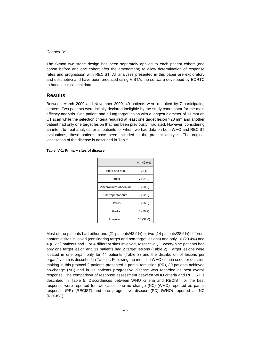The Simon two stage design has been separately applied to each patient cohort (one cohort before and one cohort after the amendment) to allow determination of response rates and progression with RECIST. All analyses presented in this paper are exploratory and descriptive and have been produced using VISTA, the software developed by EORTC to handle clinical trial data.

## **Results**

Between March 2000 and November 2000, 49 patients were recruited by 7 participating centers. Two patients were initially declared ineligible by the study coordinator for the main efficacy analysis. One patient had a lung target lesion with a longest diameter of 17 mm on CT scan while the selection criteria required at least one target lesion >20 mm and another patient had only one target lesion that had been previously irradiated. However, considering an intent to treat analysis for all patients for whom we had data on both WHO and RECIST evaluations, these patients have been included in the present analysis. The original localisation of the disease is described in Table 1.

#### **Table IV-1: Primary sites of disease**

|                          | $n = 49(%)$ |
|--------------------------|-------------|
| Head and neck            | 2(4)        |
| Trunk                    | 7(14.3)     |
| Visceral intra-abdominal | 5(10.2)     |
| Retroperitoneum          | 6(12.2)     |
| Uterus                   | 8(16.3)     |
| Girdle                   | 5(10.2)     |
| Lower arm                | 16 (32.6)   |

Most of the patients had either one (21 patients/42.9%) or two (14 patients/28.6%) different anatomic sites involved (considering target and non-target lesions) and only 10 (20.4%) and 4 (8.2%) patients had 3 or 4 different sites involved, respectively. Twenty-nine patients had only one target lesion and 11 patients had 2 target lesions (Table 2). Target lesions were located in one organ only for 44 patients (Table 3) and the distribution of lesions per organ/system is described in Table 4. Following the modified WHO criteria used for decision making in this protocol 2 patients presented a partial remission (PR), 30 patients achieved no-change (NC) and in 17 patients progressive disease was recorded as best overall response. The comparison of response assessment between WHO criteria and RECIST is described in Table 5. Discordances between WHO criteria and RECIST for the best response were reported for two cases: one no change (NC) (WHO) reported as partial response (PR) (RECIST) and one progressive disease (PD) (WHO) reported as NC (RECIST).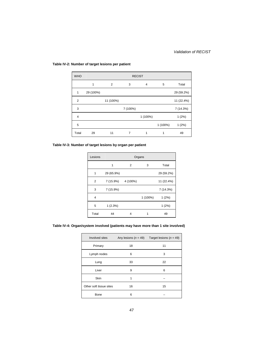## *Validation of RECIST*

| <b>WHO</b>     | <b>RECIST</b> |                |          |                |          |            |
|----------------|---------------|----------------|----------|----------------|----------|------------|
|                | 1             | $\overline{2}$ | 3        | $\overline{4}$ | 5        | Total      |
| 1              | 29 (100%)     |                |          |                |          | 29 (59.2%) |
| $\overline{2}$ |               | 11 (100%)      |          |                |          | 11 (22.4%) |
| 3              |               |                | 7 (100%) |                |          | 7 (14.3%)  |
| 4              |               |                |          | 1 (100%)       |          | 1(2%)      |
| 5              |               |                |          |                | 1 (100%) | 1(2%)      |
| Total          | 29            | 11             | 7        | 1              |          | 49         |

#### **Table IV-2: Number of target lesions per patient**

## **Table IV-3: Number of target lesions by organ per patient**

| Lesions | Organs     |          |          |            |
|---------|------------|----------|----------|------------|
|         | 1          | 2        | 3        | Total      |
| 1       | 29 (65.9%) |          |          | 29 (59.2%) |
| 2       | 7 (15.9%)  | 4 (100%) |          | 11 (22.4%) |
| 3       | 7 (15.9%)  |          |          | 7 (14.3%)  |
| 4       |            |          | 1 (100%) | 1(2%)      |
| 5       | 1(2.3%)    |          |          | 1(2%)      |
| Total   | 44         | 4        | 1        | 49         |

## **Table IV-4: Organ/system involved (patients may have more than 1 site involved)**

| Involved sites          | Any lesions $(n = 49)$ | Target lesions ( $n = 49$ ) |
|-------------------------|------------------------|-----------------------------|
| Primary                 | 18                     | 11                          |
| Lymph nodes             | 6                      | 3                           |
| Lung                    | 33                     | 22                          |
| Liver                   | 9                      | 6                           |
| Skin                    | 1                      |                             |
| Other soft tissue sites | 16                     | 15                          |
| Bone                    | 6                      |                             |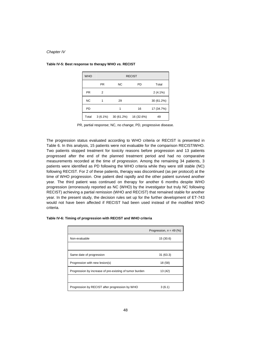| <b>WHO</b> |            | <b>RECIST</b> |            |            |
|------------|------------|---------------|------------|------------|
|            | PR         | <b>NC</b>     | <b>PD</b>  | Total      |
| <b>PR</b>  | 2          |               |            | $2(4.1\%)$ |
| <b>NC</b>  | 1          | 29            |            | 30 (61.2%) |
| PD         |            | 1             | 16         | 17 (34.7%) |
| Total      | $3(6.1\%)$ | 30 (61.2%)    | 16 (32.6%) | 49         |

#### **Table IV-5: Best response to therapy WHO** *vs.* **RECIST**

PR, partial response; NC, no change; PD, progressive disease.

The progression status evaluated according to WHO criteria or RECIST is presented in Table 6. In this analysis, 15 patients were not evaluable for the comparison RECIST/WHO. Two patients stopped treatment for toxicity reasons before progression and 13 patients progressed after the end of the planned treatment period and had no comparative measurements recorded at the time of progression. Among the remaining 34 patients, 3 patients were identified as PD following the WHO criteria while they were still stable (NC) following RECIST. For 2 of these patients, therapy was discontinued (as per protocol) at the time of WHO progression. One patient died rapidly and the other patient survived another year. The third patient was continued on therapy for another 6 months despite WHO progression (erroneously reported as NC (WHO) by the investigator but truly NC following RECIST) achieving a partial remission (WHO and RECIST) that remained stable for another year. In the present study, the decision rules set up for the further development of ET-743 would not have been affected if RECIST had been used instead of the modified WHO criteria.

|                                                         | Progression, $n = 49$ (%) |
|---------------------------------------------------------|---------------------------|
| Non-evaluable                                           | 15 (30.6)                 |
|                                                         |                           |
| Same date of progression                                | 31(63.3)                  |
| Progression with new lesion(s)                          | 18 (58)                   |
| Progression by increase of pre-existing of tumor burden | 13 (42)                   |
|                                                         |                           |
| Progression by RECIST after progression by WHO          | 3(6.1)                    |

**Table IV-6: Timing of progression with RECIST and WHO criteria**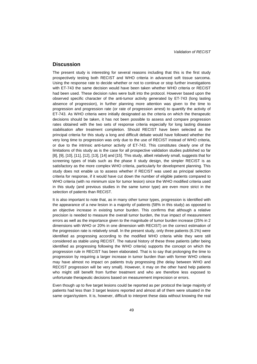## **Discussion**

The present study is interesting for several reasons including that this is the first study prospectively testing both RECIST and WHO criteria in advanced soft tissue sarcoma. Using the response rate to decide whether or not to continue or stop further investigations with ET-743 the same decision would have been taken whether WHO criteria or RECIST had been used. These decision rules were built into the protocol. However based upon the observed specific character of the anti-tumor activity generated by ET-743 (long lasting absence of progression), in further planning more attention was given to the time to progression and progression rate (or rate of progression arrest) to quantify the activity of ET-743. As WHO criteria were initially designated as the criteria on which the therapeutic decisions should be taken, it has not been possible to assess and compare progression rates obtained with the two sets of response criteria especially for long lasting disease stabilisation after treatment completion. Should RECIST have been selected as the principal criteria for this study a long and difficult debate would have followed whether the very long time to progression was only due to the use of RECIST instead of WHO criteria, or due to the intrinsic anti-tumor activity of ET-743. This constitutes clearly one of the limitations of this study as is the case for all prospective validation studies published so far [8], [9], [10], [11], [12], [13], [14] and [15]. This study, albeit relatively small, suggests that for screening types of trials such as the phase II study design, the simpler RECIST is as satisfactory as the more complex WHO criteria, particularly for development planning. This study does not enable us to assess whether if RECIST was used as principal selection criteria for response, if it would have cut down the number of eligible patients compared to WHO criteria (with no minimum size for tumor lesion) since the WHO modified criteria used in this study (and previous studies in the same tumor type) are even more strict in the selection of patients than RECIST.

It is also important to note that, as in many other tumor types, progression is identified with the appearance of a new lesion in a majority of patients (58% in this study) as opposed to an objective increase in existing tumor burden. This confirms that although a relative precision is needed to measure the overall tumor burden, the true impact of measurement errors as well as the importance given to the magnitude of tumor burden increase (25% in 2 dimensions with WHO or 20% in one dimension with RECIST) on the correct estimation of the progression rate is relatively small. In the present study, only three patients (6.1%) were identified as progressing according to the modified WHO criteria while they were still considered as stable using RECIST. The natural history of these three patients (after being identified as progressing following the WHO criteria) supports the concept on which the progression rule in RECIST has been elaborated. That is to say that prolonging the time to progression by requiring a larger increase in tumor burden than with former WHO criteria may have almost no impact on patients truly progressing (the delay between WHO and RECIST progression will be very small). However, it may on the other hand help patients who might still benefit from further treatment and who are therefore less exposed to unfortunate therapeutic decisions based on measurement imprecision or errors.

Even though up to five target lesions could be reported as per protocol the large majority of patients had less than 3 target lesions reported and almost all of them were situated in the same organ/system. It is, however, difficult to interpret these data without knowing the real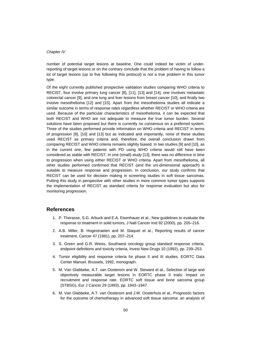number of potential target lesions at baseline. One could indeed be victim of underreporting of target lesions or on the contrary conclude that the problem of having to follow a lot of target lesions (up to five following this protocol) is not a true problem in this tumor type.

Of the eight currently published prospective validation studies comparing WHO criteria to RECIST, four involve primary lung cancer [8], [11], [13] and [14], one involves metastatic colorectal cancer [9], and one lung and liver lesions from breast cancer [10], and finally two involve mesothelioma [12] and [15]. Apart from the mesothelioma studies all indicate a similar outcome in terms of response rates regardless whether RECIST or WHO criteria are used. Because of the particular characteristics of mesothelioma, it can be expected that both RECIST and WHO are not adequate to measure the true tumor burden. Several solutions have been proposed but there is currently no consensus on a preferred system. Three of the studies performed provide information on WHO criteria and RECIST in terms of progression [9], [10] and [13] but as indicated and importantly, none of these studies used RECIST as primary criteria and, therefore, the overall conclusion drawn from comparing RECIST and WHO criteria remains slightly biased. In two studies [9] and [10], as in the current one, few patients with PD using WHO criteria would still have been considered as stable with RECIST. In one (small) study [13], there was no difference in time to progression when using either RECIST or WHO criteria. Apart from mesothelioma, all other studies performed confirmed that RECIST (and the uni-dimensional approach) is suitable to measure response and progression. In conclusion, our study confirms that RECIST can be used for decision making in screening studies in soft tissue sarcomas. Putting this study in perspective with other studies in more common tumor types supports the implementation of RECIST as standard criteria for response evaluation but also for monitoring progression.

### **References**

- 1. P. Therasse, S.G. Arbuck and E.A. Eisenhauer et al., New guidelines to evaluate the response to treatment in solid tumors, J Natl Cancer Inst 92 (2000), pp. 205–216.
- 2. A.B. Miller, B. Hogestraeten and M. Staquet et al., Reporting results of cancer treatment, Cancer 47 (1981), pp. 207–214.
- 3. S. Green and G.R. Weiss, Southwest oncology group standard response criteria, endpoint definitions and toxicity criteria, Invest New Drugs 10 (1992), pp. 239–253.
- 4. Tumor eligibility and response criteria for phase II and III studies. EORTC Data Center Manuel. Brussels, 1992, monograph.
- 5. M. Van Glabbeke, A.T. van Oosterom and W. Steward et al., Selection of large and objectively measurable target lesions in EORTC phase II trials: impact on recruitment and response rate. EORTC soft tissue and bone sarcoma group (STBSG), Eur J Cancer 29 (1993), pp. 1943–1947.
- 6. M. Van Glabbeke, A.T. van Oosterom and J.W. Oosterhuis et al., Prognostic factors for the outcome of chemotherapy in advanced soft tissue sarcoma: an analysis of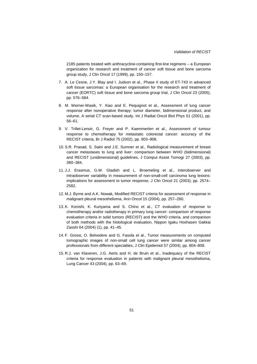2185 patients treated with anthracycline-containing first-line regimens – a European organization for research and treatment of cancer soft tissue and bone sarcoma group study, J Clin Oncol 17 (1999), pp. 150–157.

- 7. A. Le Cesne, J.Y. Blay and I. Judson et al., Phase II study of ET-743 in advanced soft tissue sarcomas: a European organisation for the research and treatment of cancer (EORTC) soft tissue and bone sarcoma group trial, J Clin Oncol 23 (2005), pp. 576–584.
- 8. M. Werner-Wasik, Y. Xiao and E. Pequignot et al., Assessment of lung cancer response after nonoperative therapy: tumor diameter, bidimensional product, and volume. A serial CT scan-based study, Int J Radiat Oncol Biol Phys 51 (2001), pp. 56–61.
- 9. V. Trillet-Lenoir, G. Freyer and P. Kaemmerlen et al., Assessment of tumour response to chemotherapy for metastatic colorectal cancer: accuracy of the RECIST criteria, Br J Radiol 75 (2002), pp. 903–908.
- 10. S.R. Prasad, S. Saini and J.E. Sumner et al., Radiological measurement of breast cancer metastases to lung and liver: comparison between WHO (bidimensional) and RECIST (unidimensional) guidelines, J Comput Assist Tomogr 27 (2003), pp. 380–384.
- 11. J.J. Erasmus, G.W. Gladish and L. Broemeling et al., Interobserver and intraobserver variability in measurement of non-small-cell carcinoma lung lesions: implications for assessment to tumor response, J Clin Oncol 21 (2003), pp. 2574– 2582.
- 12. M.J. Byrne and A.K. Nowak, Modified RECIST criteria for assessment of response in malignant pleural mesothelioma, Ann Oncol 15 (2004), pp. 257–260.
- 13. K. Konishi, K. Kuriyama and S. Chino et al., CT evaluation of response to chemotherapy and/or radiotherapy in primary lung cancer: comparison of response evaluation criteria in solid tumors (RECIST) and the WHO criteria, and comparison of both methods with the histological evaluation, Nippon Igaku Hoshasen Gakkai Zasshi 64 (2004) (1), pp. 41–45.
- 14. F. Grossi, O. Belvedere and G. Fasola et al., Tumor measurements on computed tomographic images of non-small cell lung cancer were similar among cancer professionals from different specialties, J Clin Epidemiol 57 (2004), pp. 804–808.
- 15. R.J. van Klaveren, J.G. Aerts and H. de Bruin et al., Inadequacy of the RECIST criteria for response evaluation in patients with malignant pleural mesothelioma, Lung Cancer 43 (2004), pp. 63–69.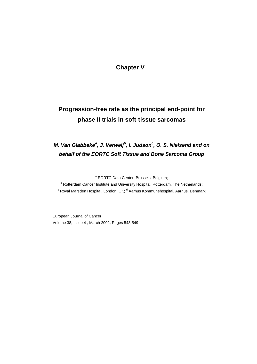# **Progression-free rate as the principal end-point for phase II trials in soft-tissue sarcomas**

# *M. Van Glabbeke<sup>a</sup>, J. Verweij<sup>b</sup>, I. Judson<sup>c</sup>, O. S. Nielsend and on behalf of the EORTC Soft Tissue and Bone Sarcoma Group*

<sup>a</sup> EORTC Data Center, Brussels, Belgium;

<sup>b</sup> Rotterdam Cancer Institute and University Hospital, Rotterdam, The Netherlands;

<sup>c</sup> Royal Marsden Hospital, London, UK; <sup>d</sup> Aarhus Kommunehospital, Aarhus, Denmark

European Journal of Cancer Volume 38, Issue 4 , March 2002, Pages 543-549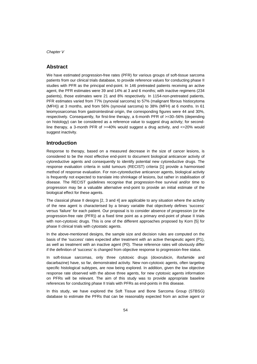## **Abstract**

We have estimated progression-free rates (PFR) for various groups of soft-tissue sarcoma patients from our clinical trials database, to provide reference values for conducting phase II studies with PFR as the principal end-point. In 146 pretreated patients receiving an active agent, the PFR estimates were 39 and 14% at 3 and 6 months; with inactive regimens (234 patients), those estimates were 21 and 8% respectively. In 1154-non-pretreated patients, PFR estimates varied from 77% (synovial sarcoma) to 57% (malignant fibrous histiocytoma (MFH)) at 3 months, and from 56% (synovial sarcoma) to 38% (MFH) at 6 months. In 61 leiomyosarcomas from gastrointestinal origin, the corresponding figures were 44 and 30%, respectively. Consequently, for first-line therapy, a 6-month PFR of >=30–56% (depending on histology) can be considered as a reference value to suggest drug activity; for secondline therapy, a 3-month PFR of  $>=$ 40% would suggest a drug activity, and  $<=$ 20% would suggest inactivity.

### **Introduction**

Response to therapy, based on a measured decrease in the size of cancer lesions, is considered to be the most effective end-point to document biological anticancer activity of cytoreductive agents and consequently to identify potential new cytoreductive drugs. The response evaluation criteria in solid tumours (RECIST) criteria [1] provide a harmonised method of response evaluation. For non-cytoreductive anticancer agents, biological activity is frequently not expected to translate into shrinkage of lesions, but rather in stabilisation of disease. The RECIST guidelines recognise that progression-free survival and/or time to progression may be a valuable alternative end-point to provide an initial estimate of the biological effect for these agents.

The classical phase II designs [2, 3 and 4] are applicable to any situation where the activity of the new agent is characterised by a binary variable that objectively defines 'success' versus 'failure' for each patient. Our proposal is to consider absence of progression (or the progression-free rate (PFR)) at a fixed time point as a primary end-point of phase II trials with non-cytotoxic drugs. This is one of the different approaches proposed by Korn [5] for phase II clinical trials with cytostatic agents.

In the above-mentioned designs, the sample size and decision rules are computed on the basis of the 'success' rates expected after treatment with an active therapeutic agent (P1), as well as treatment with an inactive agent (P0). These reference rates will obviously differ if the definition of 'success' is changed from objective response to progression-free status.

In soft-tissue sarcomas, only three cytotoxic drugs (doxorubicin, ifosfamide and dacarbazine) have, so far, demonstrated activity. New non-cytotoxic agents, often targeting specific histological subtypes, are now being explored. In addition, given the low objective response rate observed with the above three agents, for new cytotoxic agents information on PFRs will be relevant. The aim of this study was to provide appropriate baseline references for conducting phase II trials with PFRs as end-points in this disease.

In this study, we have explored the Soft Tissue and Bone Sarcoma Group (STBSG) database to estimate the PFRs that can be reasonably expected from an active agent or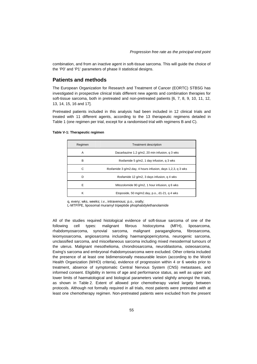combination, and from an inactive agent in soft-tissue sarcoma. This will guide the choice of the 'P0' and 'P1' parameters of phase II statistical designs.

## **Patients and methods**

The European Organization for Research and Treatment of Cancer (EORTC) STBSG has investigated in prospective clinical trials different new agents and combination therapies for soft-tissue sarcoma, both in pretreated and non-pretreated patients [6, 7, 8, 9, 10, 11, 12, 13, 14, 15, 16 and 17].

Pretreated patients included in this analysis had been included in 12 clinical trials and treated with 11 different agents, according to the 13 therapeutic regimens detailed in Table 1 (one regimen per trial, except for a randomised trial with regimens B and C).

| Regimen | <b>Treatment description</b>                                 |
|---------|--------------------------------------------------------------|
| A       | Dacarbazine 1.2 g/m2, 20 min infusion, q 3 wks               |
| в       | Ifosfamide 5 g/m2, 1 day infusion, g 3 wks                   |
| C       | lfosfamide 3 g/m2.day, 4 hours infusion, days 1,2,3, q 3 wks |
| D       | Ifosfamide 12 g/m2, 3 days infusion, g 4 wks                 |
| E       | Mitozolomide 90 g/m2, 1 hour infusion, g 6 wks               |
| κ       | Etoposide, 50 mg/m2.day, p.o., d1-21, q 4 wks                |

#### **Table V-1: Therapeutic regimen**

q, every; wks, weeks; i.v., intravenous; p.o., orally;

L-MTP/PE, liposomal muramyl tripeptide phophatidylethanolamide

All of the studies required histological evidence of soft-tissue sarcoma of one of the following cell types: malignant fibrous histiocytoma (MFH), liposarcoma, rhabdomyosarcoma, synovial sarcoma, malignant paraganglioma, fibrosarcoma, leiomyosarcoma, angiosarcoma including haemangiopericytoma, neurogenic sarcoma, unclassified sarcoma, and miscellaneous sarcoma including mixed mesodermal tumours of the uterus. Malignant mesothelioma, chrondrosarcoma, neuroblastoma, osteosarcoma, Ewing's sarcoma and embryonal rhabdomyosarcoma were excluded. Other criteria included the presence of at least one bidimensionally measurable lesion (according to the World Health Organization (WHO) criteria), evidence of progression within 4 or 6 weeks prior to treatment, absence of symptomatic Central Nervous System (CNS) metastases, and informed consent. Eligibility in terms of age and performance status, as well as upper and lower limits of haematological and biological parameters varied slightly amongst the trials, as shown in Table 2. Extent of allowed prior chemotherapy varied largely between protocols. Although not formally required in all trials, most patients were pretreated with at least one chemotherapy regimen. Non-pretreated patients were excluded from the present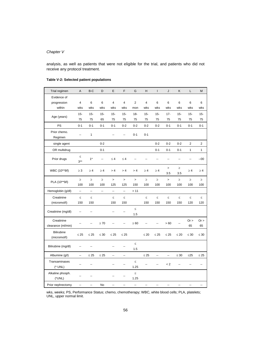analysis, as well as patients that were not eligible for the trial, and patients who did not receive any protocol treatment.

| Trial regimen                    | A                        | B-C          | D                        | E                        | F                        | G                        | Η              | I                        | J             | Κ             | Г              | M            |
|----------------------------------|--------------------------|--------------|--------------------------|--------------------------|--------------------------|--------------------------|----------------|--------------------------|---------------|---------------|----------------|--------------|
| Evidence of                      |                          |              |                          |                          |                          |                          |                |                          |               |               |                |              |
| progression                      | 4                        | 6            | 6                        | $\overline{\mathbf{4}}$  | 4                        | $\overline{2}$           | $\overline{4}$ | 6                        | 6             | 6             | 6              | 6            |
| within                           | wks                      | wks          | wks                      | wks                      | wks                      | mon                      | wks            | wks                      | wks           | wks           | wks            | wks          |
|                                  | $15 -$                   | $15 -$       | $15 -$                   | $15 -$                   | $15 -$                   | $18 -$                   | $15 -$         | $15 -$                   | $17 -$        | $15 -$        | $15 -$         | $15 -$       |
| Age (years)                      | 75                       | 75           | 65                       | 75                       | 75                       | 75                       | 75             | 75                       | 75            | 75            | 75             | 75           |
| PS                               | $0 - 1$                  | $0 - 1$      | $0 - 1$                  | $0 - 1$                  | $0 - 2$                  | $0 - 2$                  | $0 - 2$        | $0 - 2$                  | $0 - 1$       | $0 - 1$       | $0 - 1$        | $0 - 1$      |
| Prior chemo.<br>Regimen          | Ξ.                       | $\mathbf{1}$ |                          | ÷.                       | Ξ.                       | $0 - 1$                  | $0 - 1$        |                          |               |               |                |              |
| single agent                     |                          |              | $0 - 2$                  |                          |                          |                          |                | $0 - 2$                  | $0 - 2$       | $0 - 2$       | $\overline{2}$ | 2            |
| OR multidrug                     |                          |              | $0 - 1$                  |                          |                          |                          |                | $0 - 1$                  | $0 - 1$       | $0 - 1$       | $\mathbf{1}$   | $\mathbf{1}$ |
| Prior drugs                      | $\leq$<br>$3***$         | $1*$         | ÷.                       | $\leq 4$                 | $\leq 4$                 |                          |                | $\overline{a}$           | $\sim$        | Ξ.            | $\overline{a}$ | $-00$        |
| WBC (10**9/l)                    | $\geq 3$                 | $\geq 4$     | $\geq 4$                 | >4                       | >4                       | >4                       | $\geq 4$       | $\geq 4$                 | $\geq$<br>3.5 | $\geq$<br>3.5 | $\geq 4$       | $\geq 4$     |
| PLA (10**9/l)                    | $\geq$                   | $\geq$       | $\geq$                   | $\geq$                   | $\geq$                   | $\geq$                   | $\geq$         | $\geq$                   | $\geq$        | $\geq$        | $\geq$         | $\geq$       |
|                                  | 100                      | 100          | 100                      | 125                      | 125                      | 150                      | 100            | 100                      | 100           | 100           | 100            | 100          |
| Hemoglobin (g/dl)                | $\overline{a}$           | Ξ.           | $\overline{\phantom{a}}$ | $\overline{\phantom{a}}$ | $\overline{\phantom{a}}$ | >11                      |                |                          |               |               |                |              |
| Creatinine                       | $\leq$                   | $\leq$       |                          | $\leq$                   | $\leq$                   |                          | $\leq$         | $\leq$                   | $\leq$        | $\leq$        | $\leq$         | $\leq$       |
| (micromol/l)                     | 150                      | 150          |                          | 150                      | 150                      |                          | 150            | 150                      | 150           | 150           | 120            | 120          |
| Creatinine (mg/dl)               | --                       | Ξ.           |                          | $\overline{\phantom{a}}$ | --                       | $\leq$<br>1.5            |                |                          |               |               |                |              |
| Creatinine<br>clearance (ml/min) |                          |              | $\geq 70$                | ۵.                       | Ц.                       | $\geq 60$                |                |                          | >60           | ٠.            | Or ><br>65     | Or > 0<br>65 |
| Bilirubine<br>(micromol/l)       | $\leq 25$                | $\leq 25$    | $\leq 30$                | $\leq 25$                | $\leq 25$                |                          | $\leq 20$      | $\leq 25$                | $\leq 25$     | $\leq 20$     | $\leq 30$      | $\leq 30$    |
| Bilirubine (mg/dl)               | --                       |              |                          | $\overline{a}$           | Ξ.                       | $\leq$<br>1.5            |                |                          |               |               |                |              |
| Albumine (g/l)                   | $\overline{\phantom{a}}$ | $\leq 25$    | $\leq 25$                | $\overline{a}$           | --                       |                          | $\leq 25$      | $\ddot{\phantom{a}}$     | ц.            | $\leq 30$     | $\leq$ 25      | $\leq 25$    |
| Transaminases<br>$(* UNL)$       | Ξ.                       |              |                          | ۵.                       | Ξ.                       | $\leq$<br>1.25           |                |                          | < 2           |               |                |              |
| Alkaline phosph.<br>$(^*$ UNL)   | --                       |              |                          | $\overline{a}$           | --                       | $\leq$<br>1.25           |                |                          |               |               |                |              |
| Prior nephrectomy                | --                       | --           | No                       | --                       | --                       | $\overline{\phantom{a}}$ | --             | $\overline{\phantom{a}}$ | --            | --            | --             | --           |

### **Table V-2: Selected patient populations**

wks, weeks; PS, Performance Status; chemo, chemotherapy; WBC, white blood cells; PLA, platelets; UNL, upper normal limit.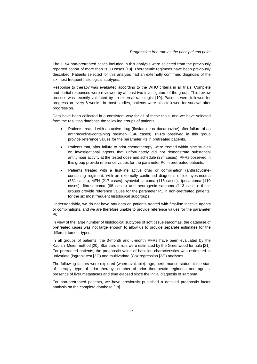The 1154 non-pretreated cases included in this analysis were selected from the previously reported cohort of more than 2000 cases [18]. Therapeutic regimens have been previously described. Patients selected for this analysis had an externally confirmed diagnosis of the six most frequent histological subtypes.

Response to therapy was evaluated according to the WHO criteria in all trials. Complete and partial responses were reviewed by at least two investigators of the group. This review process was recently validated by an external radiologist [19]. Patients were followed for progression every 6 weeks. In most studies, patients were also followed for survival after progression.

Data have been collected in a consistent way for all of these trials, and we have selected from the resulting database the following groups of patients:

- Patients treated with an active drug (ifosfamide or dacarbazine) after failure of an anthracycline-containing regimen (146 cases); PFRs observed in this group provide reference values for the parameter P1 in pretreated patients.
- Patients that, after failure to prior chemotherapy, were treated within nine studies on investigational agents that unfortunately did not demonstrate substantial antitumour activity at the tested dose and schedule (234 cases): PFRs observed in this group provide reference values for the parameter P0 in pretreated patients.
- Patients treated with a first-line active drug or combination (anthracyclinecontaining regimen), with an externally confirmed diagnosis of leiomyosarcoma (531 cases), MFH (217 cases), synovial sarcoma (115 cases), liposarcoma (110 cases), fibrosarcoma (68 cases) and neurogenic sarcoma (113 cases): these groups provide reference values for the parameter P1 in non-pretreated patients, for the six most frequent histological subgroups.

Understandably, we do not have any data on patients treated with first-line inactive agents or combinations, and we are therefore unable to provide reference values for the parameter P0.

In view of the large number of histological subtypes of soft tissue sarcomas, the database of pretreated cases was not large enough to allow us to provide separate estimates for the different tumour types.

In all groups of patients, the 3-month and 6-month PFRs have been evaluated by the Kaplan–Meier method [20]. Standard errors were estimated by the Greenwood formula [21]. For pretreated patients, the prognostic value of baseline characteristics was estimated in univariate (logrank test [22]) and multivariate (Cox regression [23]) analyses.

The following factors were explored (when available): age, performance status at the start of therapy, type of prior therapy, number of prior therapeutic regimens and agents, presence of liver metastases and time elapsed since the initial diagnosis of sarcoma.

For non-pretreated patients, we have previously published a detailed prognostic factor analysis on the complete database [18].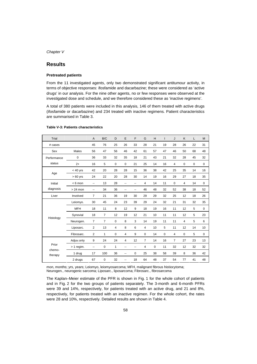## **Results**

#### **Pretreated patients**

From the 11 investigated agents, only two demonstrated significant antitumour activity, in terms of objective responses: ifosfamide and dacarbazine; these were considered as 'active drugs' in our analysis. For the nine other agents, no or few responses were observed at the investigated dose and schedule, and we therefore considered these as 'inactive regimens'.

A total of 380 patients were included in this analysis, 146 of them treated with active drugs (ifosfamide or dacarbazine) and 234 treated with inactive regimens. Patient characteristics are summarised in Table 3.

| Trial                      |              | Α                        | B/C            | D              | E              | F                        | G              | Н  | I           | J              | Κ              | L         | M           |
|----------------------------|--------------|--------------------------|----------------|----------------|----------------|--------------------------|----------------|----|-------------|----------------|----------------|-----------|-------------|
| # cases                    |              | 45                       | 76             | 25             | 26             | 33                       | 28             | 21 | 19          | 28             | 26             | 22        | 31          |
| Sex                        | Males        | 56                       | 47             | 56             | 46             | 42                       | 61             | 57 | 47          | 46             | 50             | 68        | 48          |
| Performance                | 0            | 36                       | 33             | 32             | 35             | 18                       | 21             | 43 | 21          | 32             | 28             | 45        | 32          |
| status                     | $2+$         | 16                       | 5              | $\mathbf 0$    | 0              | 21                       | 25             | 14 | 16          | 4              | 0              | $\pmb{0}$ | $\mathbf 0$ |
|                            | $< 40$ yrs   | 42                       | 20             | 28             | 28             | 15                       | 36             | 38 | 42          | 25             | 35             | 14        | 16          |
| Age                        | $>60$ yrs    | 24                       | 22             | 20             | 28             | 30                       | 14             | 19 | 16          | 29             | 27             | 18        | 35          |
| Initial                    | $< 6$ mon    | $\overline{\phantom{a}}$ | 13             | 28             | $\overline{a}$ | --                       | 4              | 14 | 11          | $\mathbf 0$    | $\overline{4}$ | 14        | $\mathbf 0$ |
| diagnosis                  | $> 24$ mon   | --                       | 34             | 36             | --             |                          | 46             | 48 | 32          | 52             | 38             | 18        | 52          |
| Liver                      | Involved     | $\overline{7}$           | 21             | 36             | 19             | 30                       | 29             | 29 | 32          | 25             | 12             | 18        | 26          |
|                            | Leiomyo.     | 30                       | 45             | 24             | 23             | 39                       | 29             | 24 | 32          | 21             | 31             | 32        | 35          |
|                            | <b>MFH</b>   | 18                       | 11             | 8              | 12             | 9                        | 18             | 19 | 16          | 11             | 12             | 5         | $\mathbf 0$ |
|                            | Synovial     | 18                       | $\overline{7}$ | 12             | 19             | 12                       | 21             | 10 | 11          | 11             | 12             | 5         | 23          |
| Histology                  | Neurogen.    | $\overline{7}$           | $\overline{7}$ | $\mathbf 0$    | 8              | 3                        | 14             | 19 | 11          | 11             | $\overline{4}$ | 5         | 6           |
|                            | Liposarc.    | $\overline{2}$           | 13             | $\overline{4}$ | 8              | 6                        | 4              | 10 | 5           | 11             | 12             | 14        | 10          |
|                            | Fibrosarc.   | $\overline{2}$           | 1              | 0              | 4              | 9                        | $\mathbf 0$    | 14 | $\mathbf 0$ | 4              | $\mathbf 0$    | 5         | $\mathbf 0$ |
| Prior<br>chemo-<br>therapy | Adjuv.only   | 9                        | 24             | 24             | 4              | 12                       | $\overline{7}$ | 14 | 16          | $\overline{7}$ | 27             | 23        | 13          |
|                            | $> 1$ regim. | $\overline{\phantom{a}}$ | 0              | 1              | $\overline{a}$ | $\overline{\phantom{a}}$ | 4              | 0  | 11          | 32             | 12             | 32        | 32          |
|                            | 1 drug       | 17                       | 100            | 36             | --             | $\mathbf 0$              | 25             | 38 | 58          | 39             | 8              | 36        | 42          |
|                            | 2 drugs      | 67                       | 0              | 32             | --             | 18                       | 64             | 48 | 37          | 54             | 77             | 41        | 48          |

#### **Table V-3: Patients characteristics**

mon, months; yrs, years; Leiomyo, leiomyosarcoma; MFH, malignant fibrous histiocytoma; Neurogen., neurogenic sarcoma; Liposarc., liposarcoma; Fibrosarc., fibrosarcoma

The Kaplan–Meier estimate of the PFR is shown in Fig. 1 for the whole cohort of patients and in Fig. 2 for the two groups of patients separately. The 3-month and 6-month PFRs were 39 and 14%, respectively, for patients treated with an active drug, and 21 and 8%, respectively, for patients treated with an inactive regimen. For the whole cohort, the rates were 28 and 10%, respectively. Detailed results are shown in Table 4.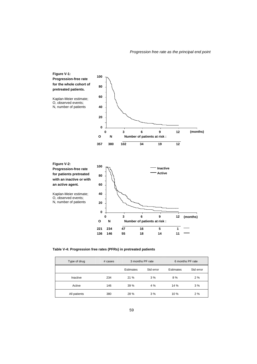#### *Progression free rate as the principal end point*



## **Table V-4: Progression free rates (PFRs) in pretreated patients**

| Type of drug | # cases |           | 3 months PF rate | 6 months PF rate |           |
|--------------|---------|-----------|------------------|------------------|-----------|
|              |         | Estimates | Std error        | <b>Estimates</b> | Std error |
| Inactive     | 234     | 21 %      | 3%               | 8%               | 2%        |
| Active       | 146     | 39 %      | 4%               | 14 %             | 3%        |
| All patients | 380     | 28 %      | 3%               | 10 %             | 2%        |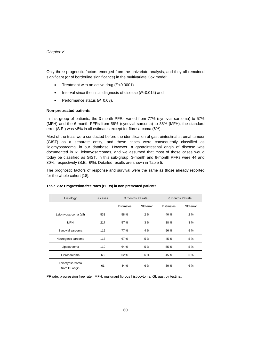Only three prognostic factors emerged from the univariate analysis, and they all remained significant (or of borderline significance) in the multivariate Cox model:

- Treatment with an active drug (*P*<0.0001)
- Interval since the initial diagnosis of disease ( $P=0.014$ ) and
- Performance status (*P*=0.08).

### **Non-pretreated patients**

In this group of patients, the 3-month PFRs varied from 77% (synovial sarcoma) to 57% (MFH) and the 6-month PFRs from 56% (synovial sarcoma) to 38% (MFH), the standard error (S.E.) was <5% in all estimates except for fibrosarcoma (6%).

Most of the trials were conducted before the identification of gastrointestinal stromal tumour (GIST) as a separate entity, and these cases were consequently classified as 'leiomyosarcoma' in our database. However, a gastrointestinal origin of disease was documented in 61 leiomyosarcomas, and we assumed that most of those cases would today be classified as GIST. In this sub-group, 3-month and 6-month PFRs were 44 and 30%, respectively (S.E.=6%). Detailed results are shown in Table 5.

The prognostic factors of response and survival were the same as those already reported for the whole cohort [18].

| Histology                        | # cases |           | 3 months PF rate | 6 months PF rate |           |  |
|----------------------------------|---------|-----------|------------------|------------------|-----------|--|
|                                  |         | Estimates | Std error        | <b>Estimates</b> | Std error |  |
| Leiomyosarcoma (all)             | 531     | 58 %      | 2%               | 40 %             | 2%        |  |
| <b>MFH</b>                       | 217     | 57 %      | 3%               | 38 %             | 3%        |  |
| Synovial sarcoma                 | 115     | 77 %      | 4 %              | 56 %             | 5 %       |  |
| Neurogenic sarcoma               | 113     | 67 %      | 5 %              | 45 %             | 5 %       |  |
| Liposarcoma                      | 110     | 64 %      | 5 %              | 55 %             | 5 %       |  |
| Fibrosarcoma                     | 68      | 62 %      | 6 %              | 45 %             | 6 %       |  |
| Leiomyosarcoma<br>from GI origin | 61      | 44 %      | 6 %              | 30%              | 6 %       |  |

#### **Table V-5: Progression-free rates (PFRs) in non pretreated patients**

PF rate, progression free rate ; MFH, malignant fibrous histiocytoma; GI, gastrointestinal.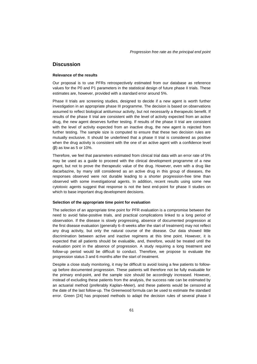## **Discussion**

#### **Relevance of the results**

Our proposal is to use PFRs retrospectively estimated from our database as reference values for the P0 and P1 parameters in the statistical design of future phase II trials. These estimates are, however, provided with a standard error around 5%.

Phase II trials are screening studies, designed to decide if a new agent is worth further investigation in an appropriate phase III programme. The decision is based on observations assumed to reflect biological antitumour activity, but not necessarily a therapeutic benefit. If results of the phase II trial are consistent with the level of activity expected from an active drug, the new agent deserves further testing. If results of the phase II trial are consistent with the level of activity expected from an inactive drug, the new agent is rejected from further testing. The sample size is computed to ensure that these two decision rules are mutually exclusive. It should be underlined that a phase II trial is considered as positive when the drug activity is consistent with the one of an active agent with a confidence level (β) as low as 5 or 10%.

Therefore, we feel that parameters estimated from clinical trial data with an error rate of 5% may be used as a guide to proceed with the clinical development programme of a new agent, but not to prove the therapeutic value of the drug. However, even with a drug like dacarbazine, by many still considered as an active drug in this group of diseases, the responses observed were not durable leading to a shorter progression-free time than observed with some investigational agents. In addition, recent results using some new cytotoxic agents suggest that response is not the best end-point for phase II studies on which to base important drug development decisions.

#### **Selection of the appropriate time point for evaluation**

The selection of an appropriate time point for PFR evaluation is a compromise between the need to avoid false-positive trials, and practical complications linked to a long period of observation. If the disease is slowly progressing, absence of documented progression at the first disease evaluation (generally 6–8 weeks after the start of treatment) may not reflect any drug activity, but only the natural course of the disease. Our data showed little discrimination between active and inactive regimens at this time point. However, it is expected that all patients should be evaluable, and, therefore, would be treated until the evaluation point in the absence of progression. A study requiring a long treatment and follow-up period would be difficult to conduct. Therefore, we propose to evaluate the progression status 3 and 6 months after the start of treatment.

Despite a close study monitoring, it may be difficult to avoid losing a few patients to followup before documented progression. These patients will therefore not be fully evaluable for the primary end-point, and the sample size should be accordingly increased. However, instead of excluding these patients from the analysis, the success rate can be estimated by an actuarial method (preferably Kaplan–Meier), and these patients would be censored at the date of the last follow-up. The Greenwood formula can be used to estimate the standard error. Green [24] has proposed methods to adapt the decision rules of several phase II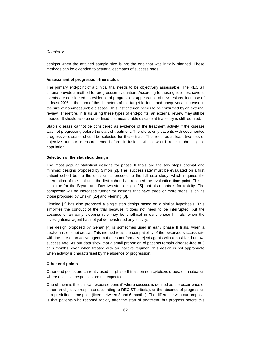designs when the attained sample size is not the one that was initially planned. These methods can be extended to actuarial estimates of success rates.

#### **Assessment of progression-free status**

The primary end-point of a clinical trial needs to be objectively assessable. The RECIST criteria provide a method for progression evaluation. According to these guidelines, several events are considered as evidence of progression: appearance of new lesions, increase of at least 20% in the sum of the diameters of the target lesions, and unequivocal increase in the size of non-measurable disease. This last criterion needs to be confirmed by an external review. Therefore, in trials using these types of end-points, an external review may still be needed. It should also be underlined that measurable disease at trial entry is still required.

Stable disease cannot be considered as evidence of the treatment activity if the disease was not progressing before the start of treatment. Therefore, only patients with documented progressive disease should be selected for these trials. This requires at least two sets of objective tumour measurements before inclusion, which would restrict the eligible population.

#### **Selection of the statistical design**

The most popular statistical designs for phase II trials are the two steps optimal and minimax designs proposed by Simon [2]. The 'success rate' must be evaluated on a first patient cohort before the decision to proceed to the full size study, which requires the interruption of the trial until the first cohort has reached the evaluation time point. This is also true for the Bryant and Day two-step design [25] that also controls for toxicity. The complexity will be increased further for designs that have three or more steps, such as those proposed by Ensign [26] and Fleming [3].

Fleming [3] has also proposed a single step design based on a similar hypothesis. This simplifies the conduct of the trial because it does not need to be interrupted, but the absence of an early stopping rule may be unethical in early phase II trials, when the investigational agent has not yet demonstrated any activity.

The design proposed by Gehan [4] is sometimes used in early phase II trials, when a decision rule is not crucial. This method tests the compatibility of the observed success rate with the rate of an active agent, but does not formally reject agents with a positive, but low, success rate. As our data show that a small proportion of patients remain disease-free at 3 or 6 months, even when treated with an inactive regimen, this design is not appropriate when activity is characterised by the absence of progression.

#### **Other end-points**

Other end-points are currently used for phase II trials on non-cytotoxic drugs, or in situation where objective responses are not expected.

One of them is the 'clinical response benefit' where success is defined as the occurrence of either an objective response (according to RECIST criteria), or the absence of progression at a predefined time point (fixed between 3 and 6 months). The difference with our proposal is that patients who respond rapidly after the start of treatment, but progress before this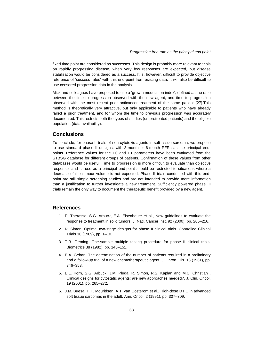fixed time point are considered as successes. This design is probably more relevant to trials on rapidly progressing disease, when very few responses are expected, but disease stabilisation would be considered as a success. It is, however, difficult to provide objective reference of 'success rates' with this end-point from existing data. It will also be difficult to use censored progression data in the analysis.

Mick and colleagues have proposed to use a 'growth modulation index', defined as the ratio between the time to progression observed with the new agent, and time to progression observed with the most recent prior anticancer treatment of the same patient [27].This method is theoretically very attractive, but only applicable to patients who have already failed a prior treatment, and for whom the time to previous progression was accurately documented. This restricts both the types of studies (on pretreated patients) and the eligible population (data availability).

## **Conclusions**

To conclude, for phase II trials of non-cytotoxic agents in soft-tissue sarcoma, we propose to use standard phase II designs, with 3-month or 6-month PFRs as the principal endpoints. Reference values for the P0 and P1 parameters have been evaluated from the STBSG database for different groups of patients. Confirmation of these values from other databases would be useful. Time to progression is more difficult to evaluate than objective response, and its use as a principal end-point should be restricted to situations where a decrease of the tumour volume is not expected. Phase II trials conducted with this endpoint are still simple screening studies and are not intended to provide more information than a justification to further investigate a new treatment. Sufficiently powered phase III trials remain the only way to document the therapeutic benefit provided by a new agent.

## **References**

- 1. P. Therasse, S.G. Arbuck, E.A. Eisenhauer et al., New guidelines to evaluate the response to treatment in solid tumors. J. Natl. Cancer Inst. 92 (2000), pp. 205–216.
- 2. R. Simon. Optimal two-stage designs for phase II clinical trials. Controlled Clinical Trials 10 (1989), pp. 1–10.
- 3. T.R. Fleming. One-sample multiple testing procedure for phase II clinical trials. Biometrics 38 (1982), pp. 143–151.
- 4. E.A. Gehan. The determination of the number of patients required in a preliminary and a follow-up trial of a new chemotherapeutic agent. J. Chron. Dis. 13 (1961), pp. 346–353.
- 5. E.L. Korn, S.G. Arbuck, J.M. Pluda, R. Simon, R.S. Kaplan and M.C. Christian , Clinical designs for cytostatic agents: are new approaches needed?. J. Clin. Oncol. 19 (2001), pp. 265–272.
- 6. J.M. Buesa, H.T. Mouridsen, A.T. van Oosterom et al., High-dose DTIC in advanced soft tissue sarcomas in the adult. Ann. Oncol. 2 (1991), pp. 307–309.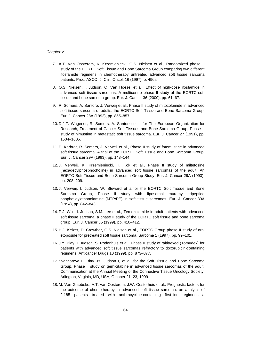- 7. A.T. Van Oosterom, K. Krzemienlecki, O.S. Nielsen et al., Randomized phase II study of the EORTC Soft Tissue and Bone Sarcoma Group comparing two different ifosfamide regimens in chemotherapy untreated advanced soft tissue sarcoma patients. Proc. ASCO. J. Clin. Oncol. 16 (1997), p. 496a.
- 8. O.S. Nielsen, I. Judson, Q. Van Hoesel et al., Effect of high-dose ifosfamide in advanced soft tissue sarcomas. A multicentre phase II study of the EORTC soft tissue and bone sarcoma group. Eur. J. Cancer 36 (2000), pp. 61–67.
- 9. R. Somers, A. Santoro, J. Verweij et al., Phase II study of mitozolomide in advanced soft tissue sarcoma of adults: the EORTC Soft Tissue and Bone Sarcoma Group. Eur. J. Cancer 28A (1992), pp. 855–857.
- 10. D.J.T. Wagener, R. Somers, A. Santono et al.for The European Organization for Research, Treatment of Cancer Soft Tissues and Bone Sarcoma Group, Phase II study of nimustine in metastatic soft tissue sarcoma. Eur. J. Cancer 27 (1991), pp. 1604–1605.
- 11. P. Kerbrat, R. Somers, J. Verweij et al., Phase II study of fotemustine in advanced soft tissue sarcoma. A trial of the EORTC Soft Tissue and Bone Sarcoma Group. Eur. J. Cancer 29A (1993), pp. 143–144.
- 12. J. Verweij, K. Krzemieniecki, T. Kok et al., Phase II study of miltefosine (hexadecylphosphocholine) in advanced soft tissue sarcomas of the adult. An EORTC Soft Tissue and Bone Sarcoma Group Study. Eur. J. Cancer 29A (1993), pp. 208–209.
- 13. J. Verweij, I. Judson, W. Steward et al.for the EORTC Soft Tissue and Bone Sarcoma Group, Phase II study with liposomal muramyl tripeptide phophatidylethanolamine (MTP/PE) in soft tissue sarcomas. Eur. J. Cancer 30A (1994), pp. 842–843.
- 14. P.J. Woll, I. Judson, S.M. Lee et al., Temozolomide in adult patients with advanced soft tissue sarcoma: a phase II study of the EORTC soft tissue and bone sarcoma group. Eur. J. Cancer 35 (1999), pp. 410–412.
- 15. H.J. Keizer, D. Crowther, O.S. Nielsen et al., EORTC Group phase II study of oral etoposide for pretreated soft tissue sarcoma. Sarcoma 1 (1997), pp. 99–101.
- 16. J.Y. Blay, I. Judson, S. Rodenhuis et al., Phase II study of raltitrexed (Tomudex) for patients with advanced soft tissue sarcomas refractory to doxorubicin-containing regimens. Anticancer Drugs 10 (1999), pp. 873–877.
- 17. Svancarova L, Blay JY, Judson I, et al. for the Soft Tissue and Bone Sarcoma Group. Phase II study on gemicitabine in advanced tissue sarcomas of the adult. Communication at the Annual Meeting of the Connective Tissue Oncology Society, Arlington, Virginia, MD, USA, October 21–23, 1999.
- 18. M. Van Glabbeke, A.T. van Oosterom, J.W. Oosterhuis et al., Prognostic factors for the outcome of chemotherapy in advanced soft tissue sarcoma: an analysis of 2,185 patients treated with anthracycline-containing first-line regimens—a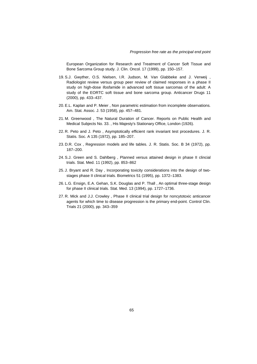European Organization for Research and Treatment of Cancer Soft Tissue and Bone Sarcoma Group study. J. Clin. Oncol. 17 (1999), pp. 150–157.

- 19. S.J. Gwyther, O.S. Nielsen, I.R. Judson, M. Van Glabbeke and J. Verweij , Radiologist review versus group peer review of claimed responses in a phase II study on high-dose ifosfamide in advanced soft tissue sarcomas of the adult: A study of the EORTC soft tissue and bone sarcoma group. Anticancer Drugs 11 (2000), pp. 433–437.
- 20. E.L. Kaplan and P. Meier , Non parametric estimation from incomplete observations. Am. Stat. Assoc. J. 53 (1958), pp. 457–481.
- 21. M. Greenwood , The Natural Duration of Cancer. Reports on Public Health and Medical Subjects No. 33. , His Majesty's Stationary Office, London (1926).
- 22. R. Peto and J. Peto , Asymptotically efficient rank invariant test procedures. J. R. Statis. Soc. A 135 (1972), pp. 185–207.
- 23. D.R. Cox , Regression models and life tables. J. R. Statis. Soc. B 34 (1972), pp. 187–200.
- 24. S.J. Green and S. Dahlberg , Planned versus attained design in phase II clincial trials. Stat. Med. 11 (1992), pp. 853–862
- 25. J. Bryant and R. Day , Incorporating toxicity considerations into the design of twostages phase II clinical trials. Biometrics 51 (1995), pp. 1372–1383.
- 26. L.G. Ensign, E.A. Gehan, S.K. Douglas and P. Thall , An optimal three-stage design for phase II clinical trials. Stat. Med. 13 (1994), pp. 1727–1736.
- 27. R. Mick and J.J. Crowley , Phase II clinical trial design for noncytotoxic anticancer agents for which time to disease progression is the primary end-point. Control Clin. Trials 21 (2000), pp. 343–359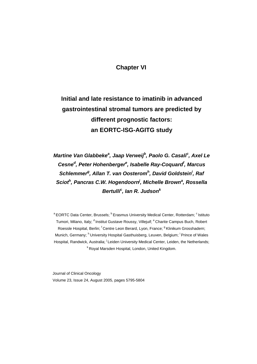# **Initial and late resistance to imatinib in advanced gastrointestinal stromal tumors are predicted by different prognostic factors: an EORTC-ISG-AGITG study**

*Martine Van Glabbeke<sup>a</sup> , Jaap Verweij<sup>b</sup> , Paolo G. Casali<sup>c</sup> , Axel Le*  Cesne<sup>d</sup>, Peter Hohenberger<sup>e</sup>, Isabelle Ray-Coquard<sup>f</sup>, Marcus *Schlemmer<sup>g</sup> , Allan T. van Oosterom<sup>h</sup> , David Goldsteini , Raf*  Sciot<sup>h</sup>, Pancras C.W. Hogendoorn<sup>j</sup>, Michelle Brown<sup>a</sup>, Rossella *Bertulli<sup>c</sup> , Ian R. Judson<sup>k</sup>*

<sup>a</sup> EORTC Data Center, Brussels; <sup>b</sup> Erasmus University Medical Center, Rotterdam; <sup>c</sup> Istituto Tumori, Milano, Italy; <sup>d</sup> Institut Gustave Roussy, Villejuif; <sup>e</sup> Charite Campus Buch, Robert Roessle Hospital, Berlin; <sup>f</sup> Centre Leon Berard, Lyon, France; <sup>g</sup> Klinikum Grosshadern; Munich, Germany; <sup>h</sup> University Hospital Gasthuisberg, Leuven, Belgium; <sup>i</sup> Prince of Wales Hospital, Randwick, Australia; <sup>j</sup> Leiden University Medical Center, Leiden, the Netherlands; k Royal Marsden Hospital, London, United Kingdom.

Journal of Clinical Oncology Volume 23, Issue 24, August 2005, pages 5795-5804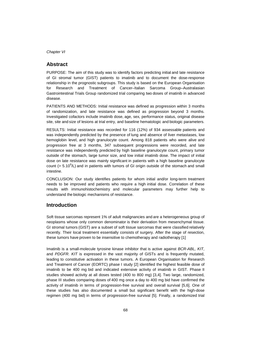## **Abstract**

PURPOSE: The aim of this study was to identify factors predicting initial and late resistance of GI stromal tumor (GIST) patients to imatinib and to document the dose-response relationship in the prognostic subgroups. This study is based on the European Organisation for Research and Treatment of Cancer–Italian Sarcoma Group–Australasian Gastrointestinal Trials Group randomized trial comparing two doses of imatinib in advanced disease.

PATIENTS AND METHODS: Initial resistance was defined as progression within 3 months of randomization, and late resistance was defined as progression beyond 3 months. Investigated cofactors include imatinib dose, age, sex, performance status, original disease site, site and size of lesions at trial entry, and baseline hematologic and biologic parameters.

RESULTS: Initial resistance was recorded for 116 (12%) of 934 assessable patients and was independently predicted by the presence of lung and absence of liver metastases, low hemoglobin level, and high granulocyte count. Among 818 patients who were alive and progression free at 3 months, 347 subsequent progressions were recorded, and late resistance was independently predicted by high baseline granulocyte count, primary tumor outside of the stomach, large tumor size, and low initial imatinib dose. The impact of initial dose on late resistance was mainly significant in patients with a high baseline granulocyte count (>  $5.10^9$ /L) and in patients with tumors of GI origin outside of the stomach and small intestine.

CONCLUSION: Our study identifies patients for whom initial and/or long-term treatment needs to be improved and patients who require a high initial dose. Correlation of these results with immunohistochemistry and molecular parameters may further help to understand the biologic mechanisms of resistance.

### **Introduction**

Soft tissue sarcomas represent 1% of adult malignancies and are a heterogeneous group of neoplasms whose only common denominator is their derivation from mesenchymal tissue. GI stromal tumors (GIST) are a subset of soft tissue sarcomas that were classified relatively recently. Their local treatment essentially consists of surgery. After the stage of resection, these tumors have proven to be insensitive to chemotherapy and radiotherapy [1]

Imatinib is a small-molecule tyrosine kinase inhibitor that is active against *BCR-ABL, KIT*, and *PDGFR. KIT* is expressed in the vast majority of GISTs and is frequently mutated, leading to constitutive activation in these tumors. A European Organisation for Research and Treatment of Cancer (EORTC) phase I study [2] identified the highest feasible dose of imatinib to be 400 mg bid and indicated extensive activity of imatinib in GIST. Phase II studies showed activity at all doses tested (400 to 800 mg) [3,4]. Two large, randomized, phase III studies comparing doses of 400 mg once a day to 400 mg bid have confirmed the activity of imatinib in terms of progression-free survival and overall survival [5,6]. One of these studies has also documented a small but significant benefit with the high-dose regimen (400 mg bid) in terms of progression-free survival [5]. Finally, a randomized trial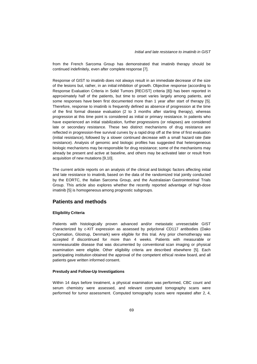from the French Sarcoma Group has demonstrated that imatinib therapy should be continued indefinitely, even after complete response [7].

Response of GIST to imatinib does not always result in an immediate decrease of the size of the lesions but, rather, in an initial inhibition of growth. Objective response (according to Response Evaluation Criteria in Solid Tumors [RECIST] criteria [8]) has been reported in approximately half of the patients, but time to onset varies largely among patients, and some responses have been first documented more than 1 year after start of therapy [5]. Therefore, response to imatinib is frequently defined as absence of progression at the time of the first formal disease evaluation (2 to 3 months after starting therapy), whereas progression at this time point is considered as initial or primary resistance. In patients who have experienced an initial stabilization, further progressions (or relapses) are considered late or secondary resistance. These two distinct mechanisms of drug resistance are reflected in progression-free survival curves by a rapid drop off at the time of first evaluation (initial resistance), followed by a slower continued decrease with a small hazard rate (late resistance). Analysis of genomic and biologic profiles has suggested that heterogeneous biologic mechanisms may be responsible for drug resistance; some of the mechanisms may already be present and active at baseline, and others may be activated later or result from acquisition of new mutations [9,10].

The current article reports on an analysis of the clinical and biologic factors affecting initial and late resistance to imatinib, based on the data of the randomized trial jointly conducted by the EORTC, the Italian Sarcoma Group, and the Australasian Gastrointestinal Trials Group. This article also explores whether the recently reported advantage of high-dose imatinib [5] is homogeneous among prognostic subgroups.

## **Patients and methods**

#### **Eligibility Criteria**

Patients with histologically proven advanced and/or metastatic unresectable GIST characterized by c-KIT expression as assessed by polyclonal CD117 antibodies (Dako Cytomation, Glostrup, Denmark) were eligible for this trial. Any prior chemotherapy was accepted if discontinued for more than 4 weeks. Patients with measurable or nonmeasurable disease that was documented by conventional scan imaging or physical examination were eligible. Other eligibility criteria are described elsewhere [5]. Each participating institution obtained the approval of the competent ethical review board, and all patients gave written informed consent.

#### **Prestudy and Follow-Up Investigations**

Within 14 days before treatment, a physical examination was performed, CBC count and serum chemistry were assessed, and relevant computed tomography scans were performed for tumor assessment. Computed tomography scans were repeated after 2, 4,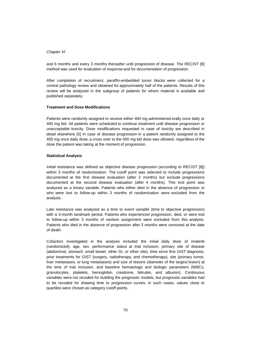and 6 months and every 3 months thereafter until progression of disease. The RECIST [8] method was used for evaluation of response and for documentation of progression.

After completion of recruitment, paraffin-embedded tumor blocks were collected for a central pathology review and obtained for approximately half of the patients. Results of this review will be analyzed in the subgroup of patients for whom material is available and published separately.

#### **Treatment and Dose Modifications**

Patients were randomly assigned to receive either 400 mg administered orally once daily or 400 mg bid. All patients were scheduled to continue treatment until disease progression or unacceptable toxicity. Dose modifications requested in case of toxicity are described in detail elsewhere [5] In case of disease progression in a patient randomly assigned to the 400 mg once daily dose, a cross over to the 400 mg bid dose was allowed, regardless of the dose the patient was taking at the moment of progression.

#### **Statistical Analysis**

Initial resistance was defined as objective disease progression (according to RECIST [8]) within 3 months of randomization. The cutoff point was selected to include progressions documented at the first disease evaluation (after 2 months) but exclude progressions documented at the second disease evaluation (after 4 months). This end point was analyzed as a binary variable. Patients who either died in the absence of progression or who were lost to follow-up within 3 months of randomization were excluded from the analysis.

Late resistance was analyzed as a time to event variable (time to objective progression) with a 3-month landmark period. Patients who experienced progression, died, or were lost to follow-up within 3 months of random assignment were excluded from this analysis. Patients who died in the absence of progression after 3 months were censored at the date of death.

Cofactors investigated in the analysis included the initial daily dose of imatinib (randomized), age, sex, performance status at trial inclusion, primary site of disease (abdominal, stomach, small bowel, other GI, or other site), time since first GIST diagnosis, prior treatments for GIST (surgery, radiotherapy, and chemotherapy), site (primary tumor, liver metastases, or lung metastases) and size of lesions (diameter of the largest lesion) at the time of trial inclusion, and baseline hematologic and biologic parameters (WBCs, granulocytes, platelets, hemoglobin, creatinine, bilirubin, and albumin). Continuous variables were not recoded for building the prognostic models, but prognostic variables had to be recoded for drawing time to progression curves; in such cases, values close to quartiles were chosen as category cutoff points.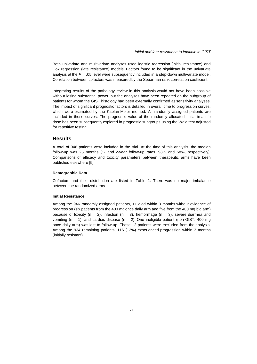Both univariate and multivariate analyses used logistic regression (initial resistance) and Cox regression (late resistance) models. Factors found to be significant in the univariate analysis at the  $P = 0.05$  level were subsequently included in a step-down multivariate model. Correlation between cofactors was measured by the Spearman rank correlation coefficient.

Integrating results of the pathology review in this analysis would not have been possible without losing substantial power, but the analyses have been repeated on the subgroup of patients for whom the GIST histology had been externally confirmed as sensitivity analyses. The impact of significant prognostic factors is detailed in overall time to progression curves, which were estimated by the Kaplan-Meier method. All randomly assigned patients are included in those curves. The prognostic value of the randomly allocated initial imatinib dose has been subsequently explored in prognostic subgroups using the Wald test adjusted for repetitive testing.

## **Results**

A total of 946 patients were included in the trial. At the time of this analysis, the median follow-up was 25 months (1- and 2-year follow-up rates, 98% and 58%, respectively). Comparisons of efficacy and toxicity parameters between therapeutic arms have been published elsewhere [5].

#### **Demographic Data**

Cofactors and their distribution are listed in Table 1. There was no major imbalance between the randomized arms

#### **Initial Resistance**

Among the 946 randomly assigned patients, 11 died within 3 months without evidence of progression (six patients from the 400 mg once daily arm and five from the 400 mg bid arm) because of toxicity ( $n = 2$ ), infection ( $n = 3$ ), hemorrhage ( $n = 3$ ), severe diarrhea and vomiting ( $n = 1$ ), and cardiac disease ( $n = 2$ ). One ineligible patient (non-GIST, 400 mg once daily arm) was lost to follow-up. These 12 patients were excluded from the analysis. Among the 934 remaining patients, 116 (12%) experienced progression within 3 months (initially resistant).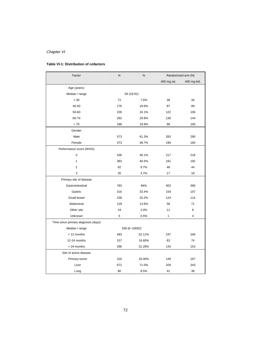| Factor                              | N<br>% |               |            | Randomized arm (N) |
|-------------------------------------|--------|---------------|------------|--------------------|
|                                     |        |               | 400 mg od. | 400 mg bid.        |
| Age (years):                        |        |               |            |                    |
| Median / range                      |        | 59 (18-91)    |            |                    |
| < 40                                | 72     | 7.6%          | 38         | 34                 |
| 40-50                               | 176    | 18.6%         | 87         | 89                 |
| 50-60                               | 228    | 24.1%         | 122        | 106                |
| 60-70                               | 282    | 29.8%         | 138        | 144                |
| > 70                                | 188    | 19.9%         | 88         | 100                |
| Gender                              |        |               |            |                    |
| Male                                | 573    | 61.3%         | 283        | 290                |
| Female                              | 373    | 38.7%         | 190        | 183                |
| Performance score (WHO)             |        |               |            |                    |
| 0                                   | 436    | 46.1%         | 217        | 219                |
| $\mathbf{1}$                        | 383    | 40.5%         | 191        | 192                |
| $\overline{2}$                      | 92     | 9.7%          | 48         | 44                 |
| 3                                   | 35     | 3.7%          | 17         | 18                 |
| Primary site of disease             |        |               |            |                    |
| Gastrointestinal                    | 793    | 84%           | 403        | 390                |
| Gastric                             | 316    | 33.4%         | 159        | 157                |
| Small bowel                         | 238    | 25.2%         | 124        | 114                |
| Abdominal                           | 129    | 13.6%         | 58         | 71                 |
| Other site                          | 19     | 2.0%          | 11         | 8                  |
| Unknown                             | 5      | 0.5%          | 1          | 4                  |
| Time since primary diagnosis (days) |        |               |            |                    |
| Median / range                      |        | 338 (6-10092) |            |                    |
| < 12 months                         | 493    | 52.11%        | 247        | 246                |
| 12-24 months                        | 157    | 16.60%        | 83         | 74                 |
| $> 24$ months                       | 296    | 31.29%        | 143        | 153                |
| Site of active disease              |        |               |            |                    |
| Primary tumor                       | 316    | 33.40%        | 149        | 167                |
| Liver                               | 672    | 71.0%         | 329        | 343                |
| Lung                                | 80     | 8.5%          | 41         | 39                 |

## **Table VI-1: Distribution of cofactors**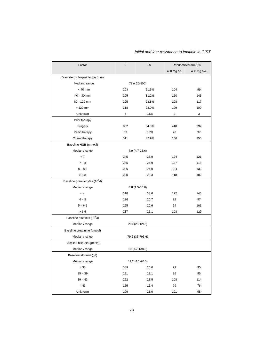## *Initial and late resistance to imatinib in GIST*

| Factor                                     | N<br>$\%$ |                 |                | Randomized arm (N) |
|--------------------------------------------|-----------|-----------------|----------------|--------------------|
|                                            |           |                 | 400 mg od.     | 400 mg bid.        |
| Diameter of largest lesion (mm)            |           |                 |                |                    |
| Median / range                             |           | 78 (<20-800)    |                |                    |
| $< 40$ mm                                  | 203       | 21.5%           | 104            | 99                 |
| $40 - 80$ mm                               | 295       | 31.2%           | 150            | 145                |
| 80 - 120 mm                                | 225       | 23.8%           | 108            | 117                |
| $>120$ mm                                  | 218       | 23.0%           | 109            | 109                |
| Unknown                                    | 5         | 0.5%            | $\overline{c}$ | 3                  |
| Prior therapy                              |           |                 |                |                    |
| Surgery                                    | 802       | 84.8%           | 410            | 392                |
| Radiotherapy                               | 63        | 6.7%            | 26             | 37                 |
| Chemotherapy                               | 311       | 32.9%           | 156            | 155                |
| Baseline HGB (mmol/l)                      |           |                 |                |                    |
| Median / range                             |           | 7.9 (4.7-15.6)  |                |                    |
| < 7                                        | 245       | 25.9            | 124            | 121                |
| $7 - 8$                                    | 245       | 25.9            | 127            | 118                |
| $8 - 8.8$                                  | 236       | 24.9            | 104            | 132                |
| > 8.8                                      | 220       | 23.3            | 118            | 102                |
| Baseline granulocytes (10 <sup>9</sup> /l) |           |                 |                |                    |
| Median / range                             |           | $4.8(1.5-30.6)$ |                |                    |
| < 4                                        | 318       | 33.6            | 172            | 146                |
| $4 - 5$                                    | 196       | 20.7            | 99             | 97                 |
| $5 - 6.5$                                  | 195       | 20.6            | 94             | 101                |
| > 6.5                                      | 237       | 25.1            | 108            | 129                |
| Baseline platelets (10 <sup>9</sup> /l)    |           |                 |                |                    |
| Median / range                             |           | 297 (28-1245)   |                |                    |
| Baseline creatinine (µmol/l)               |           |                 |                |                    |
| Median / range                             |           | 79.6 (35-795.6) |                |                    |
| Baseline bilirubin (umol/l)                |           |                 |                |                    |
| Median / range                             |           | 10 (1.7-138.8)  |                |                    |
| Baseline albumin (g/l)                     |           |                 |                |                    |
| Median / range                             |           | 39.2 (4.1-70.0) |                |                    |
| $< 35$                                     | 189       | 20.0            | 99             | 90                 |
| $35 - 39$                                  | 181       | 19.1            | 86             | 95                 |
| $39 - 43$                                  | 222       | 23.5            | 108            | 114                |
| > 43                                       | 155       | 16.4            | 79             | 76                 |
| Unknown                                    | 199       | 21.0            | 101            | 98                 |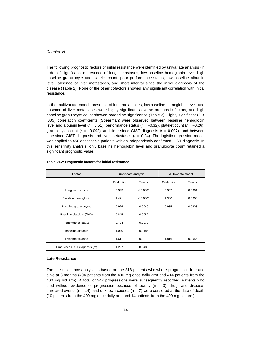The following prognostic factors of initial resistance were identified by univariate analysis (in order of significance): presence of lung metastases, low baseline hemoglobin level, high baseline granulocyte and platelet count, poor performance status, low baseline albumin level, absence of liver metastases, and short interval since the initial diagnosis of the disease (Table 2). None of the other cofactors showed any significant correlation with initial resistance.

In the multivariate model, presence of lung metastases, low baseline hemoglobin level, and absence of liver metastases were highly significant adverse prognostic factors, and high baseline granulocyte count showed borderline significance (Table 2). Highly significant (*P* < .005) correlation coefficients (Spearman) were observed between baseline hemoglobin level and albumin level  $(r = 0.51)$ , performance status  $(r = -0.32)$ , platelet count  $(r = -0.26)$ , granulocyte count  $(r = -0.092)$ , and time since GIST diagnosis  $(r = 0.097)$ , and between time since GIST diagnosis and liver metastases  $(r = 0.24)$ . The logistic regression model was applied to 456 assessable patients with an independently confirmed GIST diagnosis. In this sensitivity analysis, only baseline hemoglobin level and granulocyte count retained a significant prognostic value.

| Factor                        |           | Univariate analysis | Multivariate model |         |  |
|-------------------------------|-----------|---------------------|--------------------|---------|--|
|                               | Odd ratio | P-value             | Odd-ratio          | P-value |  |
| Lung metastases               | 0.323     | < 0.0001            | 0.332              | 0.0001  |  |
| Baseline hemoglobin           | 1.421     | < 0.0001            | 1.380              | 0.0004  |  |
| Baseline granulocytes         | 0.926     | 0.0049              | 0.935              | 0.0208  |  |
| Baseline platelets (/100)     | 0.845     | 0.0082              |                    |         |  |
| Performance status            | 0.734     | 0.0079              |                    |         |  |
| Baseline albumin              | 1.040     | 0.0186              |                    |         |  |
| Liver metastases              | 1.611     | 0.0212              | 1.816              | 0.0055  |  |
| Time since GIST diagnosis (m) | 1.297     | 0.0488              |                    |         |  |

#### **Table VI-2: Prognostic factors for initial resistance**

#### **Late Resistance**

The late resistance analysis is based on the 818 patients who where progression free and alive at 3 months (404 patients from the 400 mg once daily arm and 414 patients from the 400 mg bid arm). A total of 347 progressions were subsequently recorded. Patients who died without evidence of progression because of toxicity ( $n = 3$ ), drug- and diseaseunrelated events ( $n = 14$ ), and unknown causes ( $n = 7$ ) were censored at the date of death (10 patients from the 400 mg once daily arm and 14 patients from the 400 mg bid arm).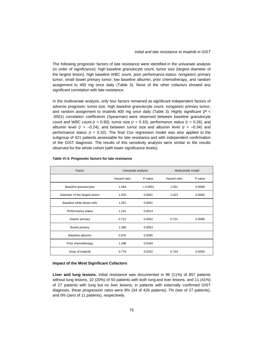The following prognostic factors of late resistance were identified in the univariate analysis (in order of significance): high baseline granulocyte count, tumor size (largest diameter of the largest lesion), high baseline WBC count, poor performance status, nongastric primary tumor, small bowel primary tumor, low baseline albumin, prior chemotherapy, and random assignment to 400 mg once daily (Table 3). None of the other cofactors showed any significant correlation with late resistance.

In the multivariate analysis, only four factors remained as significant independent factors of adverse prognosis: tumor size, high baseline granulocyte count, nongastric primary tumor, and random assignment to imatinib 400 mg once daily (Table 3). Highly significant (*P* < .0001) correlation coefficients (Spearman) were observed between baseline granulocyte count and WBC count  $(r = 0.90)$ , tumor size  $(r = 0.33)$ , performance status  $(r = 0.26)$ , and albumin level  $(r = -0.24)$ , and between tumor size and albumin level  $(r = -0.34)$  and performance status (*r* = 0.32). The final Cox regression model was also applied to the subgroup of 421 patients assessable for late resistance and with independent confirmation of the GIST diagnosis. The results of this sensitivity analysis were similar to the results observed for the whole cohort (with lower significance levels).

| Factor                         | Univariate analysis |          | Multivariate model |         |
|--------------------------------|---------------------|----------|--------------------|---------|
|                                | Hazard ratio        | P-value  | Hazard ratio       | P-value |
| Baseline granulocytes          | 1.064               | < 0.0001 | 1.051              | 0.0009  |
| Diameter of the largest lesion | 1.033               | 0.0001   | 1.023              | 0.0095  |
| Baseline white blood cells     | 1.051               | 0.0001   |                    |         |
| Performance status             | 1.241               | 0.0014   |                    |         |
| Gastric primary                | 0.712               | 0.0042   | 0.731              | 0.0088  |
| Bowel primary                  | 1.385               | 0.0053   |                    |         |
| Baseline albumin               | 0.976               | 0.0095   |                    |         |
| Prior chemotherapy             | 1.298               | 0.0184   |                    |         |
| Dose of imatinib               | 0.779               | 0.0202   | 0.754              | 0.0093  |

#### **Table VI-3: Prognostic factors for late resistance**

#### **Impact of the Most Significant Cofactors**

**Liver and lung lesions.** Initial resistance was documented in 96 (11%) of 857 patients without lung lesions, 10 (20%) of 50 patients with both lung and liver lesions, and 11 (41%) of 27 patients with lung but no liver lesions; in patients with externally confirmed GIST diagnosis, these progression rates were 8% (34 of 426 patients), 7% (two of 27 patients), and 0% (zero of 11 patients), respectively.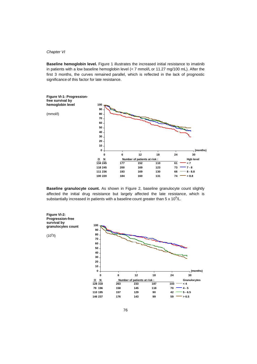**Baseline hemoglobin level.** Figure 1 illustrates the increased initial resistance to imatinib in patients with a low baseline hemoglobin level (< 7 mmol/L or 11.27 mg/100 mL). After the first 3 months, the curves remained parallel, which is reflected in the lack of prognostic significance of this factor for late resistance.



**Baseline granulocyte count.** As shown in Figure 2, baseline granulocyte count slightly affected the initial drug resistance but largely affected the late resistance, which is substantially increased in patients with a baseline count greater than 5 x 10 $^9$ /L.

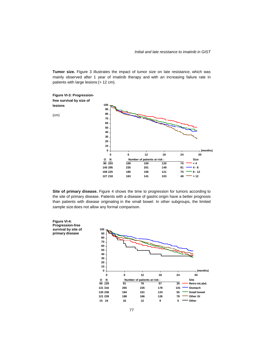**Tumor size.** Figure 3 illustrates the impact of tumor size on late resistance, which was mainly observed after 1 year of imatinib therapy and with an increasing failure rate in patients with large lesions (> 12 cm).



**Site of primary disease.** Figure 4 shows the time to progression for tumors according to the site of primary disease. Patients with a disease of gastric origin have a better prognosis than patients with disease originating in the small bowel. In other subgroups, the limited sample size does not allow any formal comparison.

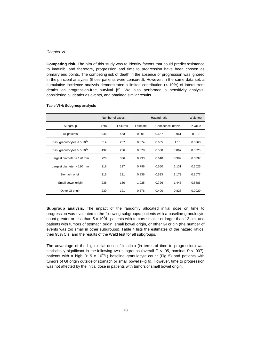**Competing risk.** The aim of this study was to identify factors that could predict resistance to imatinib, and therefore, progression and time to progression have been chosen as primary end points. The competing risk of death in the absence of progression was ignored in the principal analyses (those patients were censored). However, in the same data set, a cumulative incidence analysis demonstrated a limited contribution (< 10%) of intercurrent deaths on progression-free survival [5]. We also performed a sensitivity analysis, considering all deaths as events, and obtained similar results.

|                                |       | Number of cases |          | Wald test           |       |         |
|--------------------------------|-------|-----------------|----------|---------------------|-------|---------|
| Subgroup                       | Total | Failures        | Estimate | Confidence interval |       | P-value |
| All patients                   | 946   | 463             | 0.801    | 0.667               | 0.961 | 0.017   |
| Bas. granulocytes $< 510^9$ /I | 514   | 207             | 0.874    | 0.665               | 1.15  | 0.3368  |
| Bas. granulocytes $> 510^9/l$  | 432   | 256             | 0.678    | 0.530               | 0.867 | 0.0020  |
| Largest diameter < 120 mm      | 728   | 336             | 0.793    | 0.640               | 0.982 | 0.0337  |
| Largest diameter > 120 mm      | 218   | 127             | 0.796    | 0.560               | 1.131 | 0.2025  |
| Stomach origin                 | 316   | 131             | 0.836    | 0.593               | 1.179 | 0.3077  |
| Small bowel origin             | 238   | 130             | 1.025    | 0.726               | 1.446 | 0.8886  |
| Other GI origin                | 239   | 121             | 0.576    | 0.400               | 0.828 | 0.0029  |

#### **Table VI-4: Subgroup analysis**

**Subgroup analysis.** The impact of the randomly allocated initial dose on time to progression was evaluated in the following subgroups: patients with a baseline granulocyte count greater or less than 5 x 10 $^9$ /L; patients with tumors smaller or larger than 12 cm; and patients with tumors of stomach origin, small bowel origin, or other GI origin (the number of events was too small in other subgroups). Table 4 lists the estimates of the hazard ratios, their 95% CIs, and the results of the Wald test for all subgroups.

The advantage of the high initial dose of imatinib (in terms of time to progression) was statistically significant in the following two subgroups (overall *P* < .05, nominal *P* < .007): patients with a high (> 5 x 10<sup>9</sup>/L) baseline granulocyte count (Fig 5) and patients with tumors of GI origin outside of stomach or small bowel (Fig 6). However, time to progression was not affected by the initial dose in patients with tumors of small bowel origin.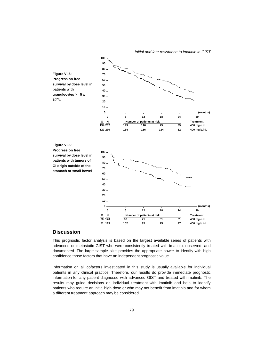

## **Discussion**

This prognostic factor analysis is based on the largest available series of patients with advanced or metastatic GIST who were consistently treated with imatinib, observed, and documented. The large sample size provides the appropriate power to identify with high confidence those factors that have an independent prognostic value.

Information on all cofactors investigated in this study is usually available for individual patients in any clinical practice. Therefore, our results do provide immediate prognostic information for any patient diagnosed with advanced GIST and treated with imatinib. The results may guide decisions on individual treatment with imatinib and help to identify patients who require an initial high dose or who may not benefit from imatinib and for whom a different treatment approach may be considered.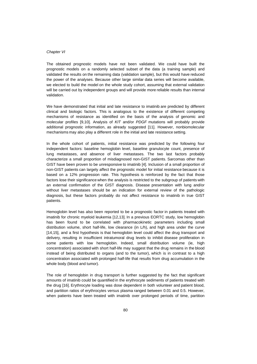The obtained prognostic models have not been validated. We could have built the prognostic models on a randomly selected subset of the data (a training sample) and validated the results on the remaining data (validation sample), but this would have reduced the power of the analyses. Because other large similar data series will become available, we elected to build the model on the whole study cohort, assuming that external validation will be carried out by independent groups and will provide more reliable results than internal validation.

We have demonstrated that initial and late resistance to imatinib are predicted by different clinical and biologic factors. This is analogous to the existence of different competing mechanisms of resistance as identified on the basis of the analysis of genomic and molecular profiles [9,10]. Analysis of *KIT* and/or *PDGF* mutations will probably provide additional prognostic information, as already suggested [11]. However, nonbiomolecular mechanisms may also play a different role in the initial and late resistance setting.

In the whole cohort of patients, initial resistance was predicted by the following four independent factors: baseline hemoglobin level, baseline granulocyte count, presence of lung metastases, and absence of liver metastases. The two last factors probably characterize a small proportion of misdiagnosed non-GIST patients. Sarcomas other than GIST have been proven to be unresponsive to imatinib [4]. Inclusion of a small proportion of non-GIST patients can largely affect the prognostic model for initial resistance because it is based on a 12% progression rate. This hypothesis is reinforced by the fact that those factors lose their significance when the analysis is restricted to the subgroup of patients with an external confirmation of the GIST diagnosis. Disease presentation with lung and/or without liver metastases should be an indication for external review of the pathologic diagnosis, but these factors probably do not affect resistance to imatinib in true GIST patients.

Hemoglobin level has also been reported to be a prognostic factor in patients treated with imatinib for chronic myeloid leukemia [12,13]. In a previous EORTC study, low hemoglobin has been found to be correlated with pharmacokinetic parameters including small distribution volume, short half-life, low clearance (in L/h), and high area under the curve [14,15], and a first hypothesis is that hemoglobin level could affect the drug transport and delivery, resulting in insufficient intratumoral drug levels to inhibit disease proliferation in some patients with low hemoglobin. Indeed, small distribution volume (ie, high concentration) associated with short half-life may suggest that the drug remains in the blood instead of being distributed to organs (and to the tumor), which is in contrast to a high concentration associated with prolonged half-life that results from drug accumulation in the whole body (blood and tumor).

The role of hemoglobin in drug transport is further suggested by the fact that significant amounts of imatinib could be quantified in the erythrocyte sediments of patients treated with the drug [16]. Erythrocyte loading was dose dependent in both volunteer and patient blood, and partition ratios of erythrocytes versus plasma ranged between 0.01 and 0.5. However, when patients have been treated with imatinib over prolonged periods of time, partition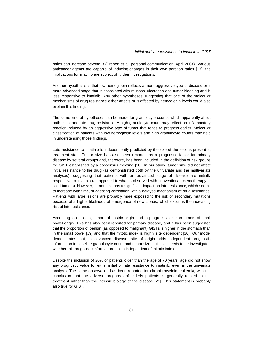ratios can increase beyond 3 (Prenen et al, personal communication, April 2004). Various anticancer agents are capable of inducing changes in their own partition ratios [17]; the implications for imatinib are subject of further investigations.

Another hypothesis is that low hemoglobin reflects a more aggressive type of disease or a more advanced stage that is associated with mucosal ulceration and tumor bleeding and is less responsive to imatinib. Any other hypotheses suggesting that one of the molecular mechanisms of drug resistance either affects or is affected by hemoglobin levels could also explain this finding.

The same kind of hypotheses can be made for granulocyte counts, which apparently affect both initial and late drug resistance. A high granulocyte count may reflect an inflammatory reaction induced by an aggressive type of tumor that tends to progress earlier. Molecular classification of patients with low hemoglobin levels and high granulocyte counts may help in understanding those findings.

Late resistance to imatinib is independently predicted by the size of the lesions present at treatment start. Tumor size has also been reported as a prognostic factor for primary disease by several groups and, therefore, has been included in the definition of risk groups for GIST established by a consensus meeting [18]. In our study, tumor size did not affect initial resistance to the drug (as demonstrated both by the univariate and the multivariate analyses), suggesting that patients with an advanced stage of disease are initially responsive to imatinib (as opposed to what is observed with conventional chemotherapy in solid tumors). However, tumor size has a significant impact on late resistance, which seems to increase with time, suggesting correlation with a delayed mechanism of drug resistance. Patients with large lesions are probably more exposed to the risk of secondary mutations because of a higher likelihood of emergence of new clones, which explains the increasing risk of late resistance.

According to our data, tumors of gastric origin tend to progress later than tumors of small bowel origin. This has also been reported for primary disease, and it has been suggested that the proportion of benign (as opposed to malignant) GISTs is higher in the stomach than in the small bowel [19] and that the mitotic index is highly site dependent [20]. Our model demonstrates that, in advanced disease, site of origin adds independent prognostic information to baseline granulocyte count and tumor size, but it still needs to be investigated whether this prognostic information is also independent of mitotic index.

Despite the inclusion of 20% of patients older than the age of 70 years, age did not show any prognostic value for either initial or late resistance to imatinib, even in the univariate analysis. The same observation has been reported for chronic myeloid leukemia, with the conclusion that the adverse prognosis of elderly patients is generally related to the treatment rather than the intrinsic biology of the disease [21]. This statement is probably also true for GIST.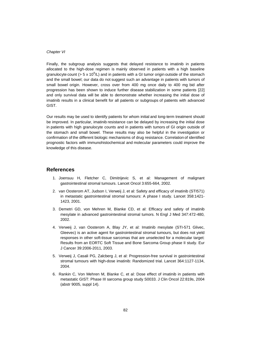Finally, the subgroup analysis suggests that delayed resistance to imatinib in patients allocated to the high-dose regimen is mainly observed in patients with a high baseline granulocyte count (> 5 x 10 $^9$ /L) and in patients with a GI tumor origin outside of the stomach and the small bowel; our data do not suggest such an advantage in patients with tumors of small bowel origin. However, cross over from 400 mg once daily to 400 mg bid after progression has been shown to induce further disease stabilization in some patients [22] and only survival data will be able to demonstrate whether increasing the initial dose of imatinib results in a clinical benefit for all patients or subgroups of patients with advanced GIST.

Our results may be used to identify patients for whom initial and long-term treatment should be improved. In particular, imatinib resistance can be delayed by increasing the initial dose in patients with high granulocyte counts and in patients with tumors of GI origin outside of the stomach and small bowel. These results may also be helpful in the investigation or confirmation of the different biologic mechanisms of drug resistance. Correlation of identified prognostic factors with immunohistochemical and molecular parameters could improve the knowledge of this disease.

## **References**

- 1. Joensuu H, Fletcher C, Dimitrijevic S, et al: Management of malignant gastrointestinal stromal tumours. Lancet Oncol 3:655-664, 2002.
- 2. van Oosterom AT, Judson I, Verweij J, et al: Safety and efficacy of imatinib (STI571) in metastatic gastrointestinal stromal tumours: A phase I study. Lancet 358:1421- 1423, 2001.
- 3. Demetri GD, von Mehren M, Blanke CD, et al: Efficacy and safety of imatinib mesylate in advanced gastrointestinal stromal tumors. N Engl J Med 347:472-480, 2002.
- 4. Verweij J, van Oosterom A, Blay JY, et al: Imatinib mesylate (STI-571 Glivec, Gleevec) is an active agent for gastrointestinal stromal tumours, but does not yield responses in other soft-tissue sarcomas that are unselected for a molecular target: Results from an EORTC Soft Tissue and Bone Sarcoma Group phase II study. Eur J Cancer 39:2006-2011, 2003.
- 5. Verweij J, Casali PG, Zalcberg J, et al: Progression-free survival in gastrointestinal stromal tumours with high-dose imatinib: Randomized trial. Lancet 364:1127-1134, 2004.
- 6. Rankin C, Von Mehren M, Blanke C, et al: Dose effect of imatinib in patients with metastatic GIST: Phase III sarcoma group study S0033. J Clin Oncol 22:819s, 2004 (abstr 9005, suppl 14).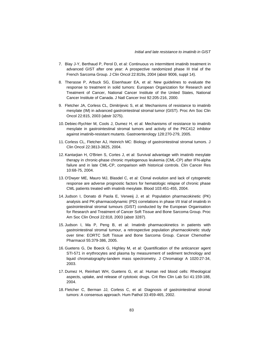- 7. Blay J-Y, Berthaud P, Perol D, et al: Continuous vs intermittent imatinib treatment in advanced GIST after one year: A prospective randomized phase III trial of the French Sarcoma Group. J Clin Oncol 22:819s, 2004 (abstr 9006, suppl 14).
- 8. Therasse P, Arbuck SG, Eisenhauer EA, et al: New guidelines to evaluate the response to treatment in solid tumors: European Organization for Research and Treatment of Cancer, National Cancer Institute of the United States, National Cancer Institute of Canada. J Natl Cancer Inst 92:205-216, 2000.
- 9. Fletcher JA, Corless CL, Dimitrijevic S, et al: Mechanisms of resistance to imatinib mesylate (IM) in advanced gastrointestinal stromal tumor (GIST). Proc Am Soc Clin Oncol 22:815, 2003 (abstr 3275).
- 10. Debiec-Rychter M, Cools J, Dumez H, et al: Mechanisms of resistance to imatinib mesylate in gastrointestinal stromal tumors and activity of the PKC412 inhibitor against imatinib-resistant mutants. Gastroenterology 128:270-279, 2005.
- 11. Corless CL, Fletcher AJ, Heinrich MC: Biology of gastrointestinal stromal tumors. J Clin Oncol 22:3813-3825, 2004.
- 12. Kantarjian H, O'Brien S, Cortes J, et al: Survival advantage with imatinib mesylate therapy in chronic-phase chronic myelogenous leukemia (CML-CP) after IFN-alpha failure and in late CML-CP, comparison with historical controls. Clin Cancer Res 10:68-75, 2004.
- 13. O'Dwyer ME, Mauro MJ, Blasdel C, et al: Clonal evolution and lack of cytogenetic response are adverse prognostic factors for hematologic relapse of chronic phase CML patients treated with imatinib mesylate. Blood 103:451-455, 2004.
- 14. Judson I, Donato di Paola E, Verweij J, et al: Population pharmacokinetic (PK) analysis and PK-pharmacodynamic (PD) correlations in phase I/II trial of imatinib in gastrointestinal stromal tumours (GIST) conducted by the European Organisation for Research and Treatment of Cancer Soft Tissue and Bone Sarcoma Group. Proc Am Soc Clin Oncol 22:818, 2003 (abstr 3287).
- 15. Judson I, Ma P, Peng B, et al: Imatinib pharmacokinetics in patients with gastrointestinal stromal tumour, a retrospective population pharmacokinetic study over time: EORTC Soft Tissue and Bone Sarcoma Group. Cancer Chemother Pharmacol 55:379-386, 2005.
- 16. Guetens G, De Boeck G, Highley M, et al: Quantification of the anticancer agent STI-571 in erythrocytes and plasma by measurement of sediment technology and liquid chromatography-tandem mass spectrometry. J Chromatogr A 1020:27-34, 2003.
- 17. Dumez H, Reinhart WH, Guetens G, et al: Human red blood cells: Rheological aspects, uptake, and release of cytotoxic drugs. Crit Rev Clin Lab Sci 41:159-188, 2004.
- 18. Fletcher C, Berman JJ, Corless C, et al: Diagnosis of gastrointestinal stromal tumors: A consensus approach. Hum Pathol 33:459-465, 2002.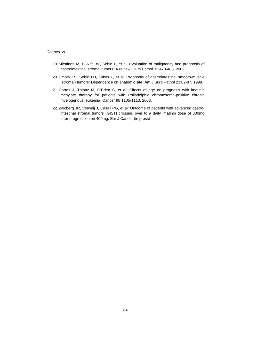- 19. Miettinen M, El-Rifai W, Sobin L, et al: Evaluation of malignancy and prognosis of gastrointestinal stromal tumors: A review. Hum Pathol 33:478-483, 2002.
- 20. Emory TS, Sobin LH, Lukes L, et al: Prognosis of gastrointestinal smooth-muscle (stromal) tumors: Dependence on anatomic site. Am J Surg Pathol 23:82-87, 1999.
- 21. Cortes J, Talpaz M, O'Brien S, et al: Effects of age on prognosis with imatinib mesylate therapy for patients with Philadelphia chromosome-positive chronic myelogenous leukemia. Cancer 98:1105-1113, 2003.
- 22. Zalcberg JR, Verweij J, Casali PG, et al: Outcome of patients with advanced gastrointestinal stromal tumors (GIST) crossing over to a daily imatinib dose of 800mg after progression on 400mg. Eur J Cancer (in press)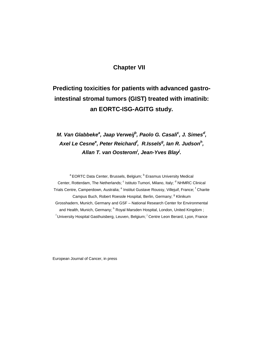# **Predicting toxicities for patients with advanced gastrointestinal stromal tumors (GIST) treated with imatinib: an EORTC-ISG-AGITG study.**

*M. Van Glabbeke<sup>a</sup>, Jaap Verweij<sup>b</sup>, Paolo G. Casali<sup>c</sup>, J. Simes<sup>d</sup>, Axel Le Cesne<sup>e</sup> , Peter Reichard<sup>f</sup> , R.Issels<sup>g</sup> , Ian R. Judson<sup>h</sup> , Allan T. van Oosterom<sup>i</sup> , Jean-Yves Blayj .* 

<sup>a</sup> EORTC Data Center, Brussels, Belgium; <sup>b</sup> Erasmus University Medical Center, Rotterdam, The Netherlands; <sup>c</sup> Istituto Tumori, Milano, Italy; <sup>d</sup> NHMRC Clinical Trials Centre, Camperdown, Australia; <sup>e</sup> Institut Gustave Roussy, Villejuif, France; <sup>f</sup> Charite Campus Buch, Robert Roessle Hospital, Berlin, Germany; <sup>g</sup> Klinikum Grosshadern, Munich, Germany and GSF – National Research Center for Environmental and Health, Munich, Germany; <sup>h</sup> Royal Marsden Hospital, London, United Kingdom ; <sup>I</sup> University Hospital Gasthuisberg, Leuven, Belgium; <sup>j</sup> Centre Leon Berard, Lyon, France

European Journal of Cancer, in press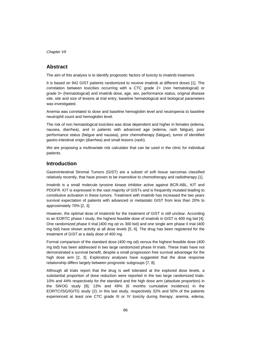## **Abstract**

The aim of this analysis is to identify prognostic factors of toxicity to imatinib treatment.

It is based on 942 GIST patients randomized to receive imatinib at different doses [1]. The correlation between toxicities occurring with a CTC grade 2+ (non hematological) or grade 3+ (hematological) and imatinib dose, age, sex, performance status, original disease site, site and size of lesions at trial entry, baseline hematological and biological parameters was investigated.

Anemia was correlated to dose and baseline hemoglobin level and neutropenia to baseline neutrophil count and hemoglobin level.

The risk of non hematological toxicities was dose dependent and higher in females (edema, nausea, diarrhea), and in patients with advanced age (edema, rash fatigue), poor performance status (fatigue and nausea), prior chemotherapy (fatigue), tumor of identified gastro-intestinal origin (diarrhea) and small lesions (rash).

We are proposing a multivariate risk calculator that can be used in the clinic for individual patients.

## **Introduction**

GastroIntestinal Stromal Tumors (GIST) are a subset of soft tissue sarcomas classified relatively recently, that have proven to be insensitive to chemotherapy and radiotherapy [1].

Imatinib is a small molecule tyrosine kinase inhibitor active against BCR-ABL, KIT and PDGFR. KIT is expressed in the vast majority of GISTs and is frequently mutated leading to constitutive activation in these tumors. Treatment with imatinib has increased the two years survival expectation of patients with advanced or metastatic GIST from less than 20% to approximately 70% [2, 3]

However, the optimal dose of imatininb for the treatment of GIST is still unclear. According to an EORTC phase I study, the highest feasible dose of imatinib in GIST is 400 mg bid [4]. One randomized phase II trial (400 mg od vs 300 bid) and one single arm phase II trial (400 mg bid) have shown activity at all dose levels [5, 6]. The drug has been registered for the treatment of GIST at a daily dose of 400 mg.

Formal comparison of the standard dose (400 mg od) versus the highest feasible dose (400 mg bid) has been addressed in two large randomized phase III trials. These trials have not demonstrated a survival benefit, despite a small progression free survival advantage for the high dose arm [2, 3]. Exploratory analyses have suggested that the dose response relationship differs largely between prognostic subgroups [7, 8].

Although all trials report that the drug is well tolerated at the explored dose levels, a substantial proportion of dose reduction were reported in the two large randomized trials: 10% and 44% respectively for the standard and the high dose arm (absolute proportion) in the SWOG study [9]; 13% and 49% (6 months cumulative incidence) in the EORTC/ISG/IGITG study (2); in this last study, respectively 32% and 50% of the patients experienced at least one CTC grade III or IV toxicity during therapy; anemia, edema,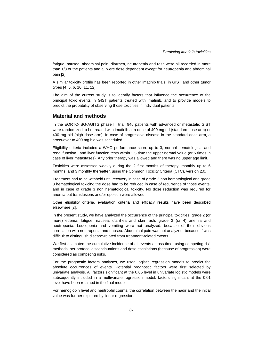fatigue, nausea, abdominal pain, diarrhea, neutropenia and rash were all recorded in more than 1/3 or the patients and all were dose dependent except for neutropenia and abdominal pain [2].

A similar toxicity profile has been reported in other imatinib trials, in GIST and other tumor types [4, 5, 6, 10, 11, 12].

The aim of the current study is to identify factors that influence the occurrence of the principal toxic events in GIST patients treated with imatinib, and to provide models to predict the probability of observing those toxicities in individual patients.

## **Material and methods**

In the EORTC-ISG-AGITG phase III trial, 946 patients with advanced or metastatic GIST were randomized to be treated with imatinib at a dose of 400 mg od (standard dose arm) or 400 mg bid (high dose arm). In case of progressive disease in the standard dose arm, a cross-over to 400 mg bid was scheduled.

Eligibility criteria included a WHO performance score up to 3, normal hematological and renal function , and liver function tests within 2.5 time the upper normal value (or 5 times in case of liver metastases). Any prior therapy was allowed and there was no upper age limit.

Toxicities were assessed weekly during the 2 first months of therapy, monthly up to 6 months, and 3 monthly thereafter, using the Common Toxicity Criteria (CTC), version 2.0.

Treatment had to be withheld until recovery in case of grade 2 non hematological and grade 3 hematological toxicity; the dose had to be reduced in case of recurrence of those events, and in case of grade 3 non hematological toxicity. No dose reduction was required for anemia but transfusions and/or epoietin were allowed.

Other eligibility criteria, evaluation criteria and efficacy results have been described elsewhere [2].

In the present study, we have analyzed the occurrence of the principal toxicities: grade 2 (or more) edema, fatigue, nausea, diarrhea and skin rash; grade 3 (or 4) anemia and neutropenia. Leucopenia and vomiting were not analyzed, because of their obvious correlation with neutropenia and nausea. Abdominal pain was not analyzed, because if was difficult to distinguish disease-related from treatment-related events.

We first estimated the cumulative incidence of all events across time, using competing risk methods: per protocol discontinuations and dose escalations (because of progression) were considered as competing risks.

For the prognostic factors analyses, we used logistic regression models to predict the absolute occurrences of events. Potential prognostic factors were first selected by univariate analysis. All factors significant at the 0.05 level in univariate logistic models were subsequently included in a multivariate regression model; factors significant at the 0.01 level have been retained in the final model.

For hemoglobin level and neutrophil counts, the correlation between the nadir and the initial value was further explored by linear regression.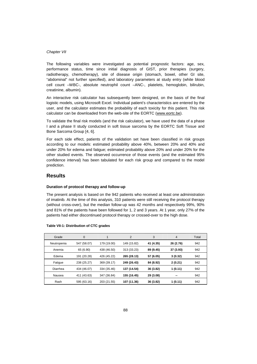The following variables were investigated as potential prognostic factors: age, sex, performance status, time since initial diagnosis of GIST, prior therapies (surgery, radiotherapy, chemotherapy), site of disease origin (stomach, bowel, other GI site, "abdominal" not further specified), and laboratory parameters at study entry (white blood cell count –WBC-, absolute neutrophil count –ANC-, platelets, hemoglobin, bilirubin, creatinine, albumin).

An interactive risk calculator has subsequently been designed, on the basis of the final logistic models, using Microsoft Excel. Individual patient's characteristics are entered by the user, and the calculator estimates the probability of each toxicity for this patient. This risk calculator can be downloaded from the web-site of the EORTC (www.eortc.be).

To validate the final risk models (and the risk calculator), we have used the data of a phase I and a phase II study conducted in soft tissue sarcoma by the EORTC Soft Tissue and Bone Sarcoma Group [4, 6].

For each side effect, patients of the validation set have been classified in risk groups according to our models: estimated probability above 40%, between 20% and 40% and under 20% for edema and fatigue; estimated probability above 20% and under 20% for the other studied events. The observed occurrence of those events (and the estimated 95% confidence interval) has been tabulated for each risk group and compared to the model prediction.

## **Results**

#### **Duration of protocol therapy and follow-up**

The present analysis is based on the 942 patients who received at least one administration of imatinib. At the time of this analysis, 310 patients were still receiving the protocol therapy (without cross-over), but the median follow-up was 42 months and respectively 99%, 90% and 81% of the patients have been followed for 1, 2 and 3 years. At 1 year, only 27% of the patients had either discontinued protocol therapy or crossed-over to the high dose.

| Grade       | $\mathbf 0$ |             | 2           | 3         | 4         | Total |
|-------------|-------------|-------------|-------------|-----------|-----------|-------|
| Neutropenia | 547 (58.07) | 179 (19.00) | 149 (15.82) | 41 (4.35) | 26 (2.76) | 942   |
| Anemia      | 65 (6.90)   | 438 (46.50) | 313 (33.23) | 89 (9.45) | 37 (3.93) | 942   |
| Edema       | 191 (20.28) | 426 (45.22) | 265 (28.13) | 57 (6.05) | 3(0.32)   | 942   |
| Fatigue     | 238 (25.27) | 369 (39.17) | 249 (26.43) | 84 (8.92) | 2(0.21)   | 942   |
| Diarrhea    | 434 (46.07) | 334 (35.46) | 137 (14.54) | 36 (3.82) | 1(0.11)   | 942   |
| Nausea      | 411 (43.63) | 347 (36.84) | 155 (16.45) | 29 (3.08) |           | 942   |
| Rash        | 595 (63.16) | 203 (21.55) | 107 (11.36) | 36 (3.82) | 1(0.11)   | 942   |

#### **Table VII-1: Distribution of CTC grades**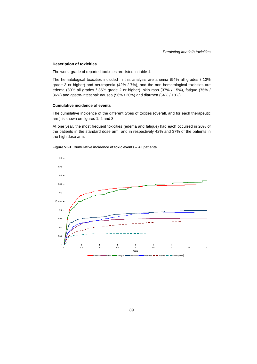#### **Description of toxicities**

The worst grade of reported toxicities are listed in table 1.

The hematological toxicities included in this analysis are anemia (94% all grades / 13% grade 3 or higher) and neutropenia (42% / 7%), and the non hematological toxicities are edema (80% all grades / 35% grade 2 or higher), skin rash (37% / 15%), fatigue (75% / 36%) and gastro-intestinal: nausea (56% / 20%) and diarrhea (54% / 18%).

#### **Cumulative incidence of events**

The cumulative incidence of the different types of toxities (overall, and for each therapeutic arm) is shown on figures 1, 2 and 3.

At one year, the most frequent toxicities (edema and fatigue) had each occurred in 20% of the patients in the standard dose arm, and in respectively 42% and 37% of the patients in the high dose arm.



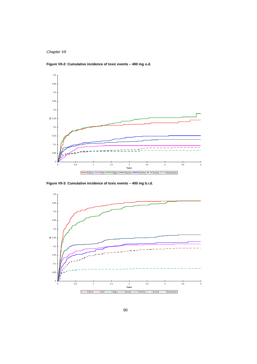

**Figure VII-2: Cumulative incidence of toxic events – 400 mg o.d.** 

**Figure VII-3: Cumulative incidence of toxic events – 400 mg b.i.d.** 

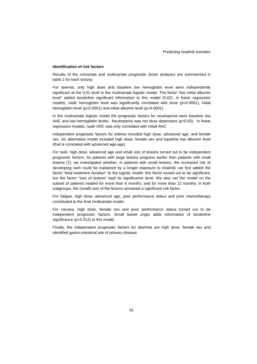#### **Identification of risk factors**

Results of the univariate and multivariate prognostic factor analyses are summarized in table 2 for each toxicity.

For anemia, only high dose and baseline low hemoglobin level were independently significant at the 0.01 level in the multivariate logistic model. The factor "low initial albumin level" added borderline significant information to this model (0.02). In linear regression models, nadir hemoglobin level was significantly correlated with dose (p<0.0001), initial hemoglobin level (p<0.0001) and initial albumin level (p=0.0001).

In the multivariate logistic model the prognostic factors for neutropenia were baseline low ANC and low hemoglobin levels.. Neutropenia was not dose dependant  $(p=0.93)$ . In linear regression models, nadir ANC was only correlated with initial ANC.

Independent prognostic factors for edema included high dose, advanced age, and female sex. An alternative model included high dose, female sex and baseline low albumin level (that is correlated with advanced age age).

For rash, high dose, advanced age and small size of lesions turned out to be independent prognostic factors. As patients with large lesions progress earlier than patients with small lesions [7], we investigated whether, in patients with small lesions, the increased risk of developing rash could be explained by a longer exposure to imatinib: we first added the factor "total treatment duration" to the logistic model: this factor turned out to be significant, but the factor "size of lesions" kept its significance level. We also ran the model on the subset of patients treated for more than 6 months, and for more than 12 months: in both subgroups, the (small) size of the lesions remained a significant risk factor.

For fatigue, high dose, advanced age, poor performance status and prior chemotherapy contributed to the final multivariate model.

For nausea, high dose, female sex and poor performance status turned out to be independent prognostic factors. Small bowel origin adds information of borderline significance (p=0.012) to this model.

Finally, the independent prognostic factors for diarrhea are high dose, female sex and identified gastro-intestinal site of primary disease.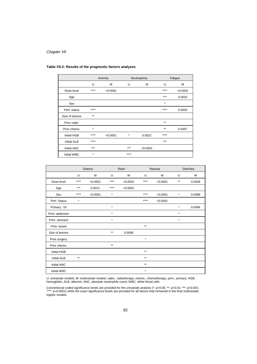|                    | Anemia  |          |         | Neutropenia | Fatigue |          |  |
|--------------------|---------|----------|---------|-------------|---------|----------|--|
|                    | U       | M        | U       | M           | U       | M        |  |
| Dose level         | ****    | < 0.0001 |         |             | ****    | < 0.0001 |  |
| Age                |         |          |         |             | ***     | 0.0023   |  |
| Sex                |         |          |         |             | $\star$ |          |  |
| Perf. status       | ****    |          |         |             | ****    | 0.0003   |  |
| Size of lesions    | $**$    |          |         |             |         |          |  |
| Prior radio.       |         |          |         |             | $**$    |          |  |
| Prior chemo.       | $\star$ |          |         |             | $**$    | 0.0007   |  |
| Initial HGB        | ****    | < 0.0001 | $\star$ | 0.0022      | $****$  |          |  |
| <b>Initial ALB</b> | ****    |          |         |             | ***     |          |  |
| Initial ANC        | $***$   |          | ***     | < 0.0001    |         |          |  |
| Initial WBC        | $\star$ |          | ****    |             |         |          |  |

## **Table VII-2: Results of the prognostic factors analyses**

|                    | Edema   |          |         | Rash     |         | Nausea   |         | Diarrhea |  |
|--------------------|---------|----------|---------|----------|---------|----------|---------|----------|--|
|                    | U       | M        | U       | M        | U       | М        | U       | M        |  |
| Dose level         | ****    | < 0.0001 | ****    | < 0.0001 | ****    | < 0.0001 | $**$    | 0.0028   |  |
| Age                | ***     | 0.0011   | ****    | < 0.0001 |         |          |         |          |  |
| Sex                | ****    | < 0.0001 | $\star$ |          | ****    | < 0.0001 | $\star$ | 0.0098   |  |
| Perf. Status       | $\star$ |          |         |          | ****    | < 0.0001 |         |          |  |
| Primary: GI        |         |          | $\star$ |          |         |          | $\star$ | 0.0084   |  |
| Prim: abdomen      |         |          | $\star$ |          |         |          | $\star$ |          |  |
| Prim: stomach      |         |          | $\star$ |          |         |          | $\star$ |          |  |
| Prim: bowel        |         |          |         |          | $**$    |          |         |          |  |
| Size of lesions    |         |          | $**$    | 0.0008   |         |          |         |          |  |
| Prior surgery      |         |          |         |          | $\star$ |          |         |          |  |
| Prior chemo.       |         |          | $**$    |          |         |          |         |          |  |
| Initial HGB        |         |          |         |          | $**$    |          |         |          |  |
| <b>Initial ALB</b> | $**$    |          |         |          | $**$    |          |         |          |  |
| <b>Initial ANC</b> |         |          |         |          | $**$    |          |         |          |  |
| Initial WBC        |         |          |         |          | $\star$ |          |         |          |  |

U: univariate models; M: multivariate models; radio., radiotherapy; chemo., chemotherapy; prim., primary; HGB, hemoglobin; ALB, albumin; ANC, absolute neutrophils count; WBC, white blood cells

Conventional coded significance levels are provided for the univariate analysis (\*: p<0.05; \*\*: p<0.01; \*\*\*: p<0.001; \*\*\*\*: p<0.0001) while the exact significance levels are provided for all factors that remained in the final multivariate logistic models.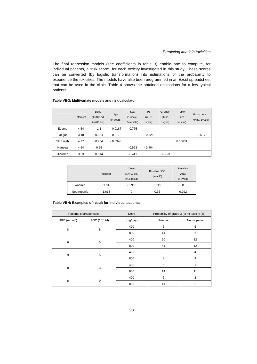#### *Predicting imatinib toxicities*

The final regression models (see coefficients in table 3) enable one to compute, for individual patients, a "risk score", for each toxicity investigated in this study. These scores can be converted (by logistic transformation) into estimations of the probability to experience the toxicities. The models have also been programmed in an Excel spreadsheet that can be used in the clinic. Table 4 shows the obtained estimations for a few typical patients.

#### **Table VII-3: Multivariate models and risk calculator**

|           | Intercept | Dose<br>$(1=400$ od,<br>$2=400$ bid) | Age<br>(in years) | Sex<br>$(1 = male,$<br>$2 = female$ | <b>PS</b><br>(WHO<br>scale) | GI origin<br>$(0=no,$<br>$1 = yes$ | Tumor<br>size<br>(in mm) | Prior chemo.<br>$(0=no, 1=yes)$ |
|-----------|-----------|--------------------------------------|-------------------|-------------------------------------|-----------------------------|------------------------------------|--------------------------|---------------------------------|
| Edema     | 4.54      | $-1.1$                               | $-0.0187$         | $-0.775$                            |                             |                                    |                          |                                 |
| Fatigue   | 3.48      | $-0.924$                             | $-0.0178$         |                                     | $-0.325$                    |                                    |                          | $-0.517$                        |
| Skin rash | 4.77      | $-0.954$                             | $-0.0343$         |                                     |                             |                                    | 0.00631                  |                                 |
| Nausea    | 4.64      | $-0.96$                              |                   | $-0.963$                            | $-0.404$                    |                                    |                          |                                 |
| Diarrhea  | 3.53      | $-0.514$                             |                   | $-0.441$                            |                             | $-0.723$                           |                          |                                 |

|             | Intercept | Dose<br>$(1=400$ od,<br>$2 = 400$ bid) | Baseline HGB<br>(mmol/l) | <b>Baseline</b><br><b>ANC</b><br>$(10**9/l)$ |
|-------------|-----------|----------------------------------------|--------------------------|----------------------------------------------|
| Anemia      | $-1.94$   | $-0.993$                               | 0.715                    |                                              |
| Neutropenia | $-1.618$  |                                        | 0.36                     | 0.292                                        |

#### **Table VII-4: Examples of result for individual patients**

|              | Patients characteristics |          |        | Probability of grade 3 (or 4) toxicity (%) |  |
|--------------|--------------------------|----------|--------|--------------------------------------------|--|
| HGB (mmol/l) | ANC (10**9/l)            | (mg/day) | Anemia | Neutropenia                                |  |
|              |                          | 400      | 6      | 6                                          |  |
| 8            | 5                        | 800      | 14     | 6                                          |  |
|              |                          | 400      | 20     | 12                                         |  |
| 6            | 5                        | 800      | 41     | 12                                         |  |
|              |                          | 400      | 3      | 4                                          |  |
| 9            | 5                        | 800      | 8      | 4                                          |  |
|              |                          | 400      | 6      |                                            |  |
| 8            | 3                        | 800      | 14     | 11                                         |  |
| 8            |                          | 400      | 6      | $\overline{2}$                             |  |
|              | 9                        | 800      | 14     | $\overline{2}$                             |  |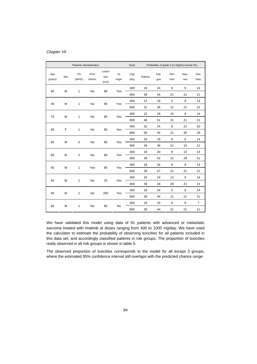|                               | Patients characteristics |                |                 |                        |              |              | Probability of grade 2 (or higher) toxicity (%) |              |              |             |                |    |
|-------------------------------|--------------------------|----------------|-----------------|------------------------|--------------|--------------|-------------------------------------------------|--------------|--------------|-------------|----------------|----|
| Age<br>(years)                | Sex                      | PS<br>(WHO)    | Prior<br>chemo. | Lesion<br>size<br>(mm) | GI<br>origin | (mg)<br>day) | Edema                                           | Fati-<br>gue | Skin<br>rash | Nau-<br>sea | Diar-<br>rhea. |    |
|                               | M                        |                |                 |                        |              | 400          | 18                                              | 24           | 9            | 9           | 14             |    |
| 60                            |                          | 1              | No              | 80                     | Yes          | 800          | 39                                              | 44           | 21           | 21          | 21             |    |
| 40                            | M                        | $\mathbf{1}$   | No              | 80                     | Yes          | 400          | 13                                              | 18           | 5            | 9           | 14             |    |
|                               |                          |                |                 |                        |              | 800          | 31                                              | 36           | 12           | 21          | 21             |    |
| 75                            | M                        | $\mathbf{1}$   | No              | 80                     | Yes          | 400          | 22                                              | 29           | 15           | 9           | 14             |    |
|                               |                          |                |                 |                        |              | 800          | 46                                              | 51           | 31           | 21          | 21             |    |
| F<br>60<br>$\mathbf{1}$<br>No |                          | 80             |                 | 400                    | 32           | 24           | 9                                               | 21           | 20           |             |                |    |
|                               |                          |                | Yes             | 800                    | 58           | 44           | 21                                              | 40           | 29           |             |                |    |
| 60                            | M<br>$\pmb{0}$           | No             | 80<br>Yes       |                        | 400          | 18           | 18                                              | 9            | 6            | 14          |                |    |
|                               |                          |                |                 |                        |              |              | 800                                             | 39           | 36           | 21          | 15             | 21 |
| 60                            | M                        | $\overline{2}$ | No              | 80                     | Yes          | 400          | 18                                              | 30           | 9            | 13          | 14             |    |
|                               |                          |                |                 |                        |              | 800          | 39                                              | 52           | 21           | 28          | 21             |    |
| 60                            | M                        | $\mathbf{1}$   | Yes             | 80                     | Yes          | 400          | 18                                              | 34           | 9            | 9           | 14             |    |
|                               |                          |                |                 |                        |              | 800          | 39                                              | 57           | 21           | 21          | 21             |    |
| 60                            | M                        | $\mathbf{1}$   | No              | 25                     | Yes          | 400          | 18                                              | 24           | 13           | 9           | 14             |    |
|                               |                          |                |                 |                        |              | 800          | 39                                              | 44           | 28           | 21          | 21             |    |
| 60                            | M                        | 1              | No              |                        |              | 400          | 18                                              | 24           | 5            | 9           | 14             |    |
|                               |                          |                |                 |                        | 200<br>Yes   | 800          | 39                                              | 44           | 11           | 21          | 21             |    |
|                               |                          |                |                 |                        |              | 400          | 18                                              | 24           | 9            | 9           | $\overline{7}$ |    |
| 60                            | М                        | 1              | No              |                        | 80<br>No     | 800          | 39                                              | 44           | 21           | 21          | 11             |    |

We have validated this model using data of 91 patients with advanced or metastatic sarcoma treated with imatinib at doses ranging from 400 to 1000 mg/day. We have used the calculator to estimate the probability of observing toxicities for all patients included in this data set, and accordingly classified patients in risk groups. The proportion of toxicities really observed in all risk groups is shown in table 5.

The observed proportion of toxicities corresponds to the model for all except 3 groups, where the estimated 95% confidence interval still overlaps with the predicted chance range.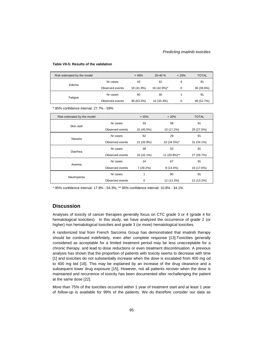#### *Predicting imatinib toxicities*

#### **Table VII-5: Results of the validation**

| Risk estimated by the model |                 | > 40%      | 20-40 %     | < 20% | <b>TOTAL</b> |
|-----------------------------|-----------------|------------|-------------|-------|--------------|
| Edema                       | Nr cases        | 43         | 42          | 6     | 91           |
|                             | Observed events | 18 (41.9%) | 18 (42.9%)* | 0     | 36 (39.6%)   |
| Fatigue                     | Nr cases        | 60         | 30          |       | 91           |
|                             | Observed events | 38 (63.3%) | 10 (33.3%)  | 0     | 48 (52.7%)   |

\* 95% confidence interval: 27.7% - 59%

| Risk estimated by the model |                 | $> 20\%$    | < 20%        | <b>TOTAL</b> |
|-----------------------------|-----------------|-------------|--------------|--------------|
| Skin rash                   | Nr cases        | 33          | 58           | 91           |
|                             | Observed events | 15 (45.5%)  | 10 (17.2%)   | 25 (27.5%)   |
|                             | Nr cases        | 62          | 29           | 91           |
| Nausea                      | Observed events | 21 (33.9%)  | 10 (34.5%)*  | 31 (34.1%)   |
|                             | Nr cases        | 38          | 53           | 91           |
| Diarrhea                    | Observed events | 16 (42.1%)  | 11 (20.8%)** | 27 (29.7%)   |
|                             | Nr cases        | 24          | 67           | 91           |
| Anemia                      | Observed events | $7(29.2\%)$ | $9(13.4\%)$  | 16 (17.6%)   |
| Neutropenia                 | Nr cases        | 1           | 90           | 91           |
|                             | Observed events | 0           | 12 (13.3%)   | 12 (13.2%)   |

\* 95% confidence interval: 17.9% - 54.3%; \*\* 95% confidence interval: 10.8% - 34.1%

## **Discussion**

Analyses of toxicity of cancer therapies generally focus on CTC grade 3 or 4 (grade 4 for hematological toxicities). In this study, we have analyzed the occurrence of grade 2 (or higher) non hematological toxicities and grade 3 (or more) hematological toxicities.

A randomized trial from French Sarcoma Group has demonstrated that imatinib therapy should be continued indefinitely, even after complete response [13].Toxicities generally considered as acceptable for a limited treatment period may be less unacceptable for a chronic therapy, and lead to dose reductions or even treatment discontinuation. A previous analysis has shown that the proportion of patients with toxicity seems to decrease with time [1] and toxicities do not substantially increase when the dose is escalated from 400 mg od to 400 mg bid [16]. This may be explained by an increase of the drug clearance and a subsequent lower drug exposure [15]. However, not all patients recover when the dose is maintained and recurrence of toxicity has been documented after rechallenging the patient at the same dose [22].

More than 75% of the toxicities occurred within 1 year of treatment start and at least 1 year of follow-up is available for 99% of the patients. We do therefore consider our data as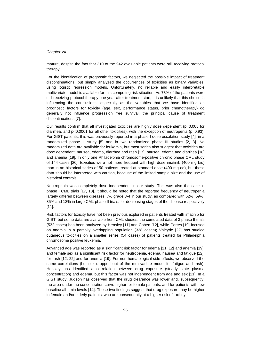mature, despite the fact that 310 of the 942 evaluable patients were still receiving protocol therapy.

For the identification of prognostic factors, we neglected the possible impact of treatment discontinuations, but simply analyzed the occurrences of toxicities as binary variables, using logistic regression models. Unfortunately, no reliable and easily interpretable multivariate model is available for this competing risk situation. As 73% of the patients were still receiving protocol therapy one year after treatment start, it is unlikely that this choice is influencing the conclusions, especially as the variables that we have identified as prognostic factors for toxicity (age, sex, performance status, prior chemotherapy) do generally not influence progression free survival, the principal cause of treatment discontinuations [7].

Our results confirm that all investigated toxicities are highly dose dependent (p=0.005 for diarrhea, and  $p<0.0001$  for all other toxicities), with the exception of neutropenia ( $p=0.93$ ). For GIST patients, this was previously reported in a phase I dose escalation study [4], in a randomized phase II study [5] and in two randomized phase III studies [2, 3]. No randomized data are available for leukemia, but most series also suggest that toxicities are dose dependent: nausea, edema, diarrhea and rash [17], nausea, edema and diarrhea [18] and anemia [19]. In only one Philadelphia chromosome-positive chronic phase CML study of 144 cases [20], toxicities were not more frequent with high dose imatinib (400 mg bid) than in an historical series of 50 patients treated at standard dose (400 mg od), but those data should be interpreted with caution, because of the limited sample size and the use of historical controls.

Neutropenia was completely dose independent in our study. This was also the case in phase I CML trials [17, 18]. It should be noted that the reported frequency of neutropenia largely differed between diseases: 7% grade 3-4 in our study, as compared with 62%, 59%, 35% and 13% in large CML phase II trials, for decreasing stages of the disease respectively [11].

Risk factors for toxicity have not been previous explored in patients treated with imatinib for GIST, but some data are available from CML studies: the cumulated data of 3 phase II trials (532 cases) has been analyzed by Hensley [11] and Cohen [12], while Cortes [19] focused on anemia in a partially overlapping population (338 cases); Valeyrie [22] has studied cutaneous toxicities on a smaller series (54 cases) of patients treated for Philadelphia chromosome positive leukemia.

Advanced age was reported as a significant risk factor for edema [11, 12] and anemia [19], and female sex as a significant risk factor for neutropenia, edema, nausea and fatigue [12], for rash [12, 22] and for anemia [19]. For non hematological side effects, we observed the same correlations (but sex dropped out of the multivariate model for fatigue and rash). Hensley has identified a correlation between drug exposure (steady state plasma concentration) and edema, but this factor was not independent from age and sex [11]. In a GIST study, Judson has observed that the drug clearance was lower and, subsequently, the area under the concentration curve higher for female patients, and for patients with low baseline albumin levels [14]. Those two findings suggest that drug exposure may be higher in female and/or elderly patients, who are consequently at a higher risk of toxicity.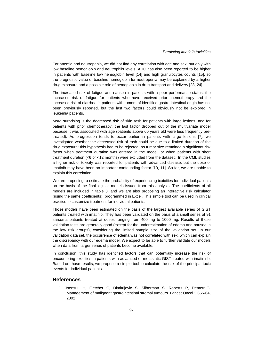For anemia and neutropenia, we did not find any correlation with age and sex, but only with low baseline hemoglobin and neutrophils levels. AUC has also been reported to be higher in patients with baseline low hemoglobin level [14] and high granulocytes counts [15], so the prognostic value of baseline hemoglobin for neutropenia may be explained by a higher drug exposure and a possible role of hemoglobin in drug transport and delivery [23, 24].

The increased risk of fatigue and nausea in patients with a poor performance status, the increased risk of fatigue for patients who have received prior chemotherapy and the increased risk of diarrhea in patients with tumors of identified gastro-intestinal origin has not been previously reported, but the last two factors could obviously not be explored in leukemia patients.

More surprising is the decreased risk of skin rash for patients with large lesions, and for patients with prior chemotherapy; the last factor dropped out of the multivariate model because it was associated with age (patients above 60 years old were less frequently pretreated). As progression tends to occur earlier in patients with large lesions [7], we investigated whether the decreased risk of rash could be due to a limited duration of the drug exposure: this hypothesis had to be rejected, as tumor size remained a significant risk factor when treatment duration was entered in the model, or when patients with short treatment duration (<6 or <12 months) were excluded from the dataset. In the CML studies a higher risk of toxicity was reported for patients with advanced disease, but the dose of imatinib may have been an important confounding factor [10, 11]. So far, we are unable to explain this correlation.

We are proposing to estimate the probability of experiencing toxicities for individual patients on the basis of the final logistic models issued from this analysis. The coefficients of all models are included in table 3, and we are also proposing an interactive risk calculator (using the same coefficients), programmed in Excel. This simple tool can be used in clinical practice to customize treatment for individual patients.

Those models have been estimated on the basis of the largest available series of GIST patients treated with imatinib. They has been validated on the basis of a small series of 91 sarcoma patients treated at doses ranging from 400 mg to 1000 mg. Results of those validation tests are generally good (except for the underestimation of edema and nausea in the low risk groups), considering the limited sample size of the validation set. In our validation data set, the occurrence of edema was not correlated with sex, which can explain the discrepancy with our edema model. We expect to be able to further validate our models when data from larger series of patients become available.

In conclusion, this study has identified factors that can potentially increase the risk of encountering toxicities in patients with advanced or metastatic GIST treated with imatininb. Based on those results, we propose a simple tool to calculate the risk of the principal toxic events for individual patients.

### **References**

1. Joensuu H, Fletcher C, Dimitrijevic S, Silberman S, Roberts P, Demetri G. Management of malignant gastrointestinal stromal tumours. Lancet Oncol 3:655-64, 2002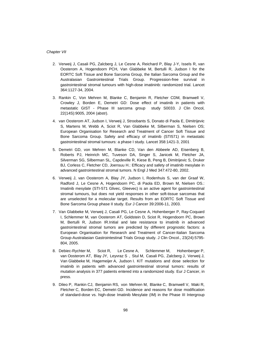- 2. Verweij J, Casali PG, Zalcberg J, Le Cesne A, Reichard P, Blay J-Y, Issels R, van Oosterom A, Hogendoorn PCH, Van Glabbeke M, Bertulli R, Judson I for the EORTC Soft Tissue and Bone Sarcoma Group, the Italian Sarcoma Group and the Australasian Gastrointestinal Trials Group. Progression-free survival in gastrointestinal stromal tumours with high-dose imatininb: randomized trial. Lancet 364:1127-34, 2004.
- 3. Rankin C, Von Mehren M, Blanke C, Benjamin R, Fletcher CDM, Bramwell V, Crowley J, Borden E, Demetri GD: Dose effect of imatinib in patients with metastatic GIST - Phase III sarcoma group study S0033. J Clin Oncol, 22(14S):9005, 2004 (abstr).
- 4. van Oosterom AT, Judson I, Verweij J, Stroobants S, Donato di Paola E, Dimitrijevic S, Martens M, Webb A, Sciot R, Van Glabbeke M, Silberman S, Nielsen OS; European Organisation for Research and Treatment of Cancer Soft Tissue and Bone Sarcoma Group. Safety and efficacy of imatinib (STI571) in metastatic gastrointestinal stromal tumours: a phase I study. Lancet 358:1421-3, 2001
- 5. Demetri GD, von Mehren M, Blanke CD, Van den Abbeele AD, Eisenberg B, Roberts PJ, Heinrich MC, Tuveson DA, Singer S, Janicek M, Fletcher JA, Silverman SG, Silberman SL, Capdeville R, Kiese B, Peng B, Dimitrijevic S, Druker BJ, Corless C, Fletcher CD, Joensuu H.: Efficacy and safety of imatinib mesylate in advanced gastrointestinal stromal tumors. N Engl J Med 347:472-80, 2002.
- 6. Verweij J, van Oosterom A, Blay JY, Judson I, Rodenhuis S, van der Graaf W, Radford J, Le Cesne A, Hogendoorn PC, di Paola ED, Brown M, Nielsen OS.: Imatinib mesylate (STI-571 Glivec, Gleevec) is an active agent for gastrointestinal stromal tumours, but does not yield responses in other soft-tissue sarcomas that are unselected for a molecular target. Results from an EORTC Soft Tissue and Bone Sarcoma Group phase II study. Eur J Cancer 39:2006-11, 2003.
- 7. Van Glabbeke M, Verweij J, Casali PG, Le Cesne A, Hohenberger P, Ray-Coquard I, Schlemmer M, van Oosterom AT, Goldstein D, Sciot R, Hogendoorn PC, Brown M, Bertulli R, Judson IR.Initial and late resistance to imatinib in advanced gastrointestinal stromal tumors are predicted by different prognostic factors: a European Organisation for Research and Treatment of Cancer-Italian Sarcoma Group-Australasian Gastrointestinal Trials Group study. J Clin Oncol., 23(24):5795- 804, 2005.
- 8. Debiec-Rychter M, Sciot R, Le Cesne A, Schlemmer M, Hohenberger P, van Oosterom AT, Blay JY, Leyvraz S , Stul M, Casali PG, Zalcberg J, Verweij J, Van Glabbeke M, Hagemeijer A, Judson I. KIT mutations and dose selection for imatinib in patients with advanced gastrointestinal stromal tumors: results of mutation analysis in 377 patients entered into a randomized study. Eur J Cancer, in press.
- 9. Dileo P, Rankin CJ, Benjamin RS, von Mehren M, Blanke C, Bramwell V, Maki R, Fletcher C, Borden EC, Demetri GD. Incidence and reasons for dose modification of standard-dose vs. high-dose Imatinib Mesylate (IM) in the Phase III Intergroup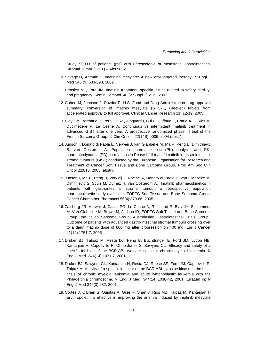Study S0033 of patients (pts) with unresectable or metastatic Gastrointestinal Stromal Tumor (GIST) – Abs 9032

- 10. Savage D, Antman K. Imatininb mesylate: A new oral targeted therapy. N Engl J Med 346 (9):683-693, 2002.
- 11. Hensley ML, Ford JM. Imatinib treatment: specific issues related to safety, fertility, and pregnancy. Semin Hematol. 40 (2 Suppl 2):21-5, 2003.
- 12. Cohen M, Johnson J, Pazdur R. U.S. Food and Drug Administration drug approval summary: conversion of imatinib mesylate (STI571, Gleevec) tablets from accelerated approval to full approval. Clinical Cancer Research 11: 12-19, 2005.
- 13. Blay J-Y, Berthaud P, Perol D, Ray-Coquard I, Bui B, Duffaud F, Braud A-C, Rios M, Ducimetiere F, Le Cesne A. Continuous vs intermittent imatinib treatment in advanced GIST after one year: A prospective randomized phase III trial of the French Sarcoma Group. J Clin Oncol, 22(14S):9006, 2004 (abstr).
- 14. Judson I, Donato di Paola E, Verweij J, van Glabbeke M, Ma P, Peng B, Dimitrijevic S, van Oosterom A. Population pharmacokinetic (PK) analysis and PKpharmacodynamic (PD) correlations in Phase I / II trial of imatinib in gastrointestinal stromal tumours (GIST) conducted by the European Organisation for Research and Treatment of Cancer Soft Tissue and Bone Sarcoma Group. Proc Am Soc Clin Oncol 22:818, 2003 (abstr).
- 15. Judson I, Ma P, Peng B, Verweij J, Racine A, Donato di Paola E, van Glabbeke M, Dimitrijevic S, Scurr M, Dumez H, van Oosterom A. Imatinib pharmacokinetics in patients with gastrointestinal stromal tumour, a retrospective population pharmacokinetic study over time: EORTC Soft Tissue and Bone Sarcoma Group. Cancer Chemother Pharmacol 55(4):379-86, 2005.
- 16. Zalcberg JR, Verweij J, Casali PG, Le Cesne A, Reichardt P, Blay JY, Schlemmer M, Van Glabbeke M, Brown M, Judson IR; EORTC Soft Tissue and Bone Sarcoma Group, the Italian Sarcoma Group; Australasian Gastrointestinal Trials Group.. Outcome of patients with advanced gastro-intestinal stromal tumours crossing over to a daily imatinib dose of 800 mg after progression on 400 mg. Eur J Cancer 41(12):1751-7, 2005
- 17. Druker BJ, Talpaz M, Resta DJ, Peng B, Buchdunger E, Ford JM, Lydon NB, Kantarjian H, Capdeville R, Ohno-Jones S, Sawyers CL. Efficacy and safety of a specific inhibitor of the BCR-ABL tyrosine kinase in chronic myeloid leukemia. N Engl J Med. 344(14):1031-7, 2001
- 18. Druker BJ, Sawyers CL, Kantarjian H, Resta DJ, Reese SF, Ford JM, Capdeville R, Talpaz M. Activity of a specific inhibitor of the BCR-ABL tyrosine kinase in the blast crisis of chronic myeloid leukemia and acute lymphoblastic leukemia with the Philadelphia chromosome. N Engl J Med. 344(14):1038-42, 2001. Erratum in: N Engl J Med 345(3):232, 2001.
- 19. Cortes J, O'Brien S, Quintas A, Giles F, Shan J, Rios MB, Talpaz M, Kantarjian H Erythropoietin is effective in improving the anemia induced by imatinib mesylate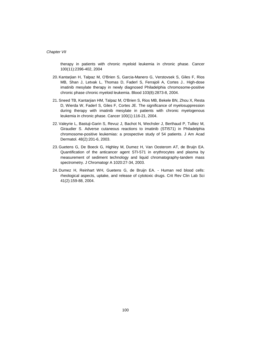therapy in patients with chronic myeloid leukemia in chronic phase. Cancer 100(11):2396-402, 2004

- 20. Kantarjian H, Talpaz M, O'Brien S, Garcia-Manero G, Verstovsek S, Giles F, Rios MB, Shan J, Letvak L, Thomas D, Faderl S, Ferrajoli A, Cortes J.. High-dose imatinib mesylate therapy in newly diagnosed Philadelphia chromosome-positive chronic phase chronic myeloid leukemia. Blood 103(8):2873-8, 2004.
- 21. Sneed TB, Kantarjian HM, Talpaz M, O'Brien S, Rios MB, Bekele BN, Zhou X, Resta D, Wierda W, Faderl S, Giles F, Cortes JE. The significance of myelosuppression during therapy with imatinib mesylate in patients with chronic myelogenous leukemia in chronic phase. Cancer 100(1):116-21, 2004.
- 22. Valeyrie L, Bastuji-Garin S, Revuz J, Bachot N, Wechsler J, Berthaud P, Tulliez M, Giraudier S. Adverse cutaneous reactions to imatinib (STI571) in Philadelphia chromosome-positive leukemias: a prospective study of 54 patients. J Am Acad Dermatol. 48(2):201-6, 2003.
- 23. Guetens G, De Boeck G, Highley M, Dumez H, Van Oosterom AT, de Bruijn EA. Quantification of the anticancer agent STI-571 in erythrocytes and plasma by measurement of sediment technology and liquid chromatography-tandem mass spectrometry. J Chromatogr A 1020:27-34, 2003.
- 24. Dumez H, Reinhart WH, Guetens G, de Bruijn EA. Human red blood cells: rheological aspects, uptake, and release of cytotoxic drugs. Crit Rev Clin Lab Sci 41(2):159-88, 2004.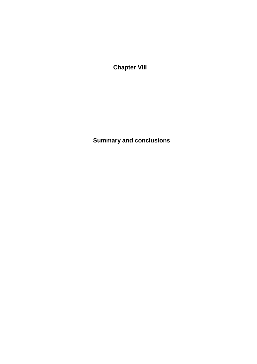**Summary and conclusions**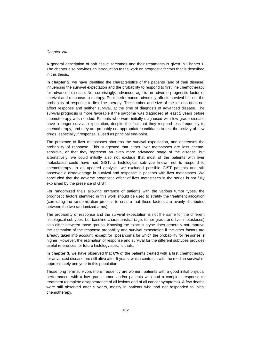A general description of soft tissue sarcomas and their treatments is given in Chapter 1. The chapter also provides an introduction to the work on prognostic factors that is described in this thesis.

**In chapter 2**, we have identified the characteristics of the patients (and of their disease) influencing the survival expectation and the probability to respond to first line chemotherapy for advanced disease. Not surprisingly, advanced age is an adverse prognostic factor of survival and response to therapy. Poor performance adversely affects survival but not the probability of response to first line therapy. The number and size of the lesions does not affect response and neither survival, at the time of diagnosis of advanced disease. The survival prognosis is more favorable if the sarcoma was diagnosed at least 2 years before chemotherapy was needed. Patients who were initially diagnosed with low grade disease have a longer survival expectation, despite the fact that they respond less frequently to chemotherapy; and they are probably not appropriate candidates to test the activity of new drugs, especially if response is used as principal end-point.

The presence of liver metastases shortens the survival expectation, and decreases the probability of response. This suggested that either liver metastases are less chemosensitive, or that they represent an even more advanced stage of the disease, but alternatively, we could initially also not exclude that most of the patients with liver metastases could have had GIST, a histological sub-type known not to respond to chemotherapy. In an updated analysis, we excluded possible GIST patients and still observed a disadvantage in survival and response in patients with liver metastases. We concluded that the adverse prognostic effect of liver metastases in the series is not fully explained by the presence of GIST.

For randomized trials allowing entrance of patients with the various tumor types, the prognostic factors identified in this work should be used to stratify the treatment allocation (correcting the randomization process to ensure that those factors are evenly distributed between the two randomized arms).

The probability of response and the survival expectation is not the same for the different histological subtypes, but baseline characteristics (age, tumor grade and liver metastases) also differ between those groups. Knowing the exact subtype does generally not improve the estimation of the response probability and survival expectation if the other factors are already taken into account, except for liposarcoma for which the probability for response is higher. However, the estimation of response and survival for the different subtypes provides useful references for future histology specific trials.

**In chapter 3**, we have observed that 8% of the patients treated with a first chemotherapy for advanced disease are still alive after 5 years, which contrasts with the median survival of approximately one year in this population.

Those long term survivors more frequently are women, patients with a good initial physical performance, with a low grade tumor, and/or patients who had a complete response to treatment (complete disappearance of all lesions and of all cancer symptoms). A few deaths were still observed after 5 years, mostly in patients who had not responded to initial chemotherapy.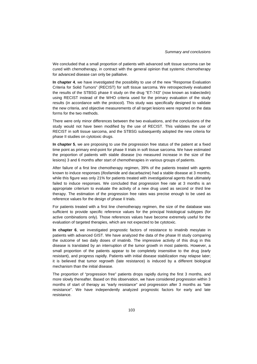We concluded that a small proportion of patients with advanced soft tissue sarcoma can be cured with chemotherapy, in contract with the general opinion that systemic chemotherapy for advanced disease can only be palliative.

**In chapter 4**, we have investigated the possibility to use of the new "Response Evaluation Criteria for Solid Tumors" (RECIST) for soft tissue sarcoma. We retrospectively evaluated the results of the STBSG phase II study on the drug "ET-743" (now known as trabectedin) using RECIST instead of the WHO criteria used for the primary evaluation of the study results (in accordance with the protocol). This study was specifically designed to validate the new criteria, and objective measurements of all target lesions were reported on the data forms for the two methods.

There were only minor differences between the two evaluations, and the conclusions of the study would not have been modified by the use of RECIST. This validates the use of RECIST in soft tissue sarcoma, and the STBSG subsequently adopted the new criteria for phase II studies on cytotoxic drugs.

**In chapter 5**, we are proposing to use the progression free status of the patient at a fixed time point as primary end-point for phase II trials in soft tissue sarcoma. We have estimated the proportion of patients with stable disease (no measured increase in the size of the lesions) 3 and 6 months after start of chemotherapies in various groups of patients.

After failure of a first line chemotherapy regimen, 39% of the patients treated with agents known to induce responses (ifosfamide and dacarbazine) had a stable disease at 3 months, while this figure was only 21% for patients treated with investigational agents that ultimately failed to induce responses. We concluded that progression free rate at 3 months is an appropriate criterium to evaluate the activity of a new drug used as second or third line therapy. The estimation of the progression free rates was precise enough to be used as reference values for the design of phase II trials.

For patients treated with a first line chemotherapy regimen, the size of the database was sufficient to provide specific reference values for the principal histological subtypes (for active combinations only). Those references values have become extremely useful for the evaluation of targeted therapies, which are not expected to be cytotoxic.

**In chapter 6**, we investigated prognostic factors of resistance to imatinib mesylate in patients with advanced GIST. We have analyzed the data of the phase III study comparing the outcome of two daily doses of imatinib. The impressive activity of this drug in this disease is translated by an interruption of the tumor growth in most patients. However, a small proportion of the patients appear to be completely insensitive to the drug (early resistant), and progress rapidly. Patients with initial disease stabilization may relapse later; it is believed that tumor regrowth (late resistance) is induced by a different biological mechanism than the initial disease.

The proportion of "progression free" patients drops rapidly during the first 3 months, and more slowly thereafter. Based on this observation, we have considered progression within 3 months of start of therapy as "early resistance" and progression after 3 months as "late resistance". We have independently analyzed prognostic factors for early and late resistance.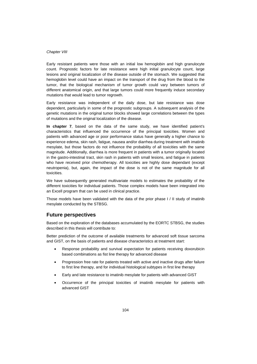Early resistant patients were those with an initial low hemoglobin and high granulocyte count. Prognostic factors for late resistance were high initial granulocyte count, large lesions and original localization of the disease outside of the stomach. We suggested that hemoglobin level could have an impact on the transport of the drug from the blood to the tumor, that the biological mechanism of tumor growth could vary between tumors of different anatomical origin, and that large tumors could more frequently induce secondary mutations that would lead to tumor regrowth.

Early resistance was independent of the daily dose, but late resistance was dose dependent, particularly in some of the prognostic subgroups. A subsequent analysis of the genetic mutations in the original tumor blocks showed large correlations between the types of mutations and the original localization of the disease.

**In chapter 7**, based on the data of the same study, we have identified patient's characteristics that influenced the occurrence of the principal toxicities. Women and patients with advanced age or poor performance status have generally a higher chance to experience edema, skin rash, fatigue, nausea and/or diarrhea during treatment with imatinib mesylate, but those factors do not influence the probability of all toxicities with the same magnitude. Additionally, diarrhea is more frequent in patients with a tumor originally located in the gastro-intestinal tract, skin rash in patients with small lesions, and fatigue in patients who have received prior chemotherapy. All toxicities are highly dose dependant (except neutropenia), but, again, the impact of the dose is not of the same magnitude for all toxicities.

We have subsequently generated multivariate models to estimates the probability of the different toxicities for individual patients. Those complex models have been integrated into an Excell program that can be used in clinical practice.

Those models have been validated with the data of the prior phase I / II study of imatinib mesylate conducted by the STBSG.

## **Future perspectives**

Based on the exploration of the databases accumulated by the EORTC STBSG, the studies described in this thesis will contribute to:

Better prediction of the outcome of available treatments for advanced soft tissue sarcoma and GIST, on the basis of patients and disease characteristics at treatment start:

- Response probability and survival expectation for patients receiving doxorubicin based combinations as fist line therapy for advanced disease
- Progression free rate for patients treated with active and inactive drugs after failure to first line therapy, and for individual histological subtypes in first line therapy
- Early and late resistance to imatinib mesylate for patients with advanced GIST
- Occurrence of the principal toxicities of imatinib mesylate for patients with advanced GIST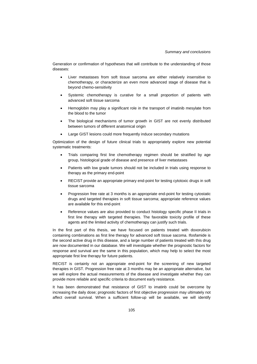Generation or confirmation of hypotheses that will contribute to the understanding of those diseases:

- Liver metastases from soft tissue sarcoma are either relatively insensitive to chemotherapy, or characterize an even more advanced stage of disease that is beyond chemo-sensitivity
- Systemic chemotherapy is curative for a small proportion of patients with advanced soft tissue sarcoma
- Hemoglobin may play a significant role in the transport of imatinib mesylate from the blood to the tumor
- The biological mechanisms of tumor growth in GIST are not evenly distributed between tumors of different anatomical origin
- Large GIST lesions could more frequently induce secondary mutations

Optimization of the design of future clinical trials to appropriately explore new potential systematic treatments:

- Trials comparing first line chemotherapy regimen should be stratified by age group, histological grade of disease and presence of liver metastases
- Patients with low grade tumors should not be included in trials using response to therapy as the primary end-point
- RECIST provide an appropriate primary end-point for testing cytotoxic drugs in soft tissue sarcoma
- Progression free rate at 3 months is an appropriate end-point for testing cytostatic drugs and targeted therapies in soft tissue sarcoma; appropriate reference values are available for this end-point
- Reference values are also provided to conduct histology specific phase II trials in first line therapy with targeted therapies. The favorable toxicity profile of these agents and the limited activity of chemotherapy can justify such trials.

In the first part of this thesis, we have focused on patients treated with doxorubicin containing combinations as first line therapy for advanced soft tissue sacoma. Ifosfamide is the second active drug in this disease, and a large number of patients treated with this drug are now documented in our database. We will investigate whether the prognostic factors for response and survival are the same in this population, which may help to select the most appropriate first line therapy for future patients.

RECIST is certainly not an appropriate end-point for the screening of new targeted therapies in GIST. Progression free rate at 3 months may be an appropriate alternative, but we will explore the actual measurements of the disease and investigate whether they can provide more reliable and specific criteria to document early resistance.

It has been demonstrated that resistance of GIST to imatinb could be overcome by increasing the daily dose; prognostic factors of first objective progression may ultimately not affect overall survival. When a sufficient follow-up will be available, we will identify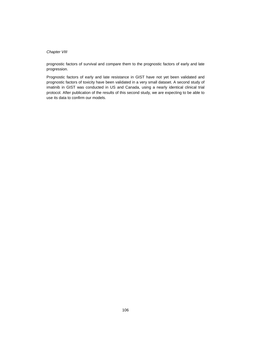prognostic factors of survival and compare them to the prognostic factors of early and late progression.

Prognostic factors of early and late resistance in GIST have not yet been validated and prognostic factors of toxicity have been validated in a very small dataset. A second study of imatinib in GIST was conducted in US and Canada, using a nearly identical clinical trial protocol. After publication of the results of this second study, we are expecting to be able to use its data to confirm our models.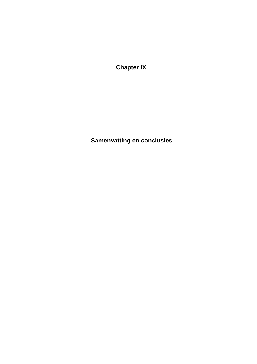**Samenvatting en conclusies**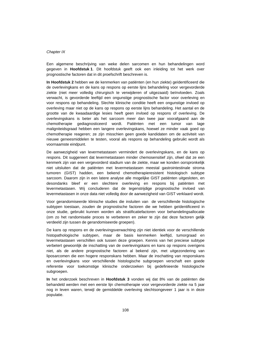Een algemene beschrijving van weke delen sarcomen en hun behandelingen word gegeven in **Hoofdstuk 1**. Dit hoofdstuk geeft ook een inleiding tot het werk over prognostische factoren dat in dit proefschrift beschreven is.

**In Hoofdstuk 2** hebben we de kenmerken van patiënten (en hun ziekte) geïdentificeerd die de overlevingkans en de kans op respons op eerste lijns behandeling voor vergevorderde ziekte (niet meer volledig chirurgisch te verwijderen of uitgezaaid) beïnvloeden. Zoals verwacht, is gevorderde leeftijd een ongunstige prognostische factor voor overleving en voor respons op behandeling. Slechte klinische conditie heeft een ongunstige invloed op overleving maar niet op de kans op respons op eerste lijns behandeling. Het aantal en de grootte van de kwaadaardige lesies heeft geen invloed op respons of overleving. De overlevingskans is beter als het sarcoom meer dan twee jaar voorafgaand aan de chemotherapie gediagnosticeerd wordt. Patiënten met een tumor van lage maligniteidsgraad hebben een langere overlevingskans, hoewel ze minder vaak goed op chemotherapie reageren; ze zijn misschien geen goede kandidaten om de activiteit van nieuwe geneesmiddelen te testen, vooral als respons op behandeling gebruikt wordt als voornaamste eindpunt.

De aanwezigheid van levermetastasen vermindert de overlevingskans, en de kans op respons. Dit suggereert dat levermetastasen minder chemosensitief zijn, ofwel dat ze een kenmerk zijn van een vergevorderd stadium van de ziekte, maar we konden oorspronkelijk niet uitsluiten dat de patiënten met levermetastasen meestal gastrointestinale stroma tumoren (GIST) hadden, een bekend chemotherapieresistent histologisch subtype sarcoom. Daarom zijn in een latere analyse alle mogelijke GIST patiënten uitgesloten, en desondanks bleef er een slechtere overleving en respons bij patiënten met levermetastasen. Wij concluderen dat de tegenstrijdige prognostische invloed van levermetastasen in onze data niet volledig door de aanwezigheid van GIST verklaard wordt.

Voor gerandomiseerde klinische studies die insluiten van de verschillende histologische subtypen toestaan, zouden de prognostische factoren die we hebben geïdentificeerd in onze studie, gebruikt kunnen worden als stratificatiefactoren voor behandelingsallocatie (om zo het randomisatie proces te verbeteren en zeker te zijn dat deze factoren gelijk verdeeld zijn tussen de gerandomiseerde groepen).

De kans op respons en de overlevingsverwachting zijn niet identiek voor de verschillende histopathologische subtypen, maar de basis kenmerken leeftijd, tumorgraad en levermetastasen verschillen ook tussen deze groepen. Kennis van het preciese subtype verbetert gewoonlijk de inschatting van de overlevingskans en kans op respons overigens niet, als de andere prognostische factoren al bekend zijn, met uitgezondering van liposarcomen die een hogere responskans hebben. Maar de inschatting van responskans en overlevingkans voor verschillende histologische subgroepen verschaft een goede referentie voor toekomstige klinische onderzoeken bij gedefinieerde histologische subgroepen.

**In** het onderzoek beschreven in **Hoofdstuk 3** vonden wij dat 8% van de patiënten die behandeld werden met een eerste lijn chemotherapie voor vergevorderde ziekte na 5 jaar nog in leven waren, terwijl de gemiddelde overleving slechtsongeveer 1 jaar is in deze populatie.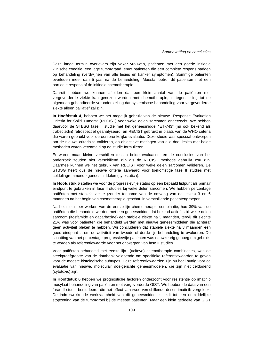Deze lange termijn overlevers zijn vaker vrouwen, patiënten met een goede initieele klinische conditie, een lage tumorgraad, en/of patiënten die een complete respons hadden op behandeling (verdwijnen van alle lesies en kanker symptomen). Sommige patienten overleden meer dan 5 jaar na de behandeling. Meestal betrof dit patiënten met een partieele respons of de initieele chemotherapie.

Daaruit hebben we kunnen afleiden dat een klein aantal van de patiënten met vergevorderde ziekte kan genezen worden met chemotherapie, in tegenstelling tot de algemeen gehandteerde veronderstelling dat systemische behandeling voor vergevorderde ziekte alleen palliatief zal zijn.

**In Hoofdstuk 4**, hebben we het mogelijk gebruik van de nieuwe "Response Evaluation Criteria for Solid Tumors" (RECIST) voor weke delen sarcomen onderzocht. We hebben daarvoor de STBSG fase II studie met het geneesmiddel "ET-743" (nu ook bekend als trabectedin) retrospectief geanalyseerd, en RECIST gebruikt in plaats van de WHO criteria die waren gebruikt voor de oorspronkelijke evaluatie. Deze studie was speciaal ontworpen om de nieuwe criteria te valideren, en objectieve metingen van alle doel lesies met beide methoden waren verzameld op de studie formulieren.

Er waren maar kleine verschillen tussen beide evaluaties, en de conclusies van het onderzoek zouden niet verschillend zijn als de RECIST methode gebruikt zou zijn. Daarmee kunnen we het gebruik van RECIST voor weke delen sarcomen valideren. De STBSG heeft dus de nieuwe criteria aanvaard voor toekomstige fase II studies met celdelingremmende geneesmiddelen (cytostatica).

**In Hoofdstuk 5** stellen we voor de progressievrije status op een bepaald tijdpunt als primair eindpunt te gebruiken in fase II studies bij weke delen sarcomen. We hebben percentage patiënten met stabiele ziekte (zonder toename van de omvang van de lesies) 3 en 6 maanden na het begin van chemotherapie geschat in verschillende patiëntengroepen.

Na het niet meer werken van de eerste lijn chemotherapie combinatie, had 39% van de patiënten die behandeld werden met een geneesmiddel dat bekend actief is bij weke delen sarcoom (ifosfamide en dacarbazine) een stabiele ziekte na 3 maanden, terwijl dit slechts 21% was voor patiënten die behandeld werden met nieuwe geneesmiddelen die achteraf geen activiteit bleken te hebben. Wij concluderen dat stabiele ziekte na 3 maanden een goed eindpunt is om de activiteit van tweede of derde lijn behandeling te evalueren. De schatting van het percentage progressievrije patiënten was nauwkeurig genoeg om gebruikt te worden als referentiewaarde voor het ontwerpen van fase II studies.

Voor patiënten behandeld met eerste lijn (aciteve) chemotherapie combinaties, was de steekproefgrootte van de databank voldoende om specifieke referentiewaarden te geven voor de meeste histologische subtypes. Deze referentiewaarden zijn nu heel nuttig voor de evaluatie van nieuwe, moleculair doelgerichte geneesmiddelen, die zijn niet celdodend (cytotoxic) zijn.

**In Hoofdstuk 6** hebben we prognostiche factoren onderzocht voor resistentie op imatinib mesylaat behandeling van patiënten met vergevorderde GIST. We hebben de data van een fase III studie bestudeerd, die het effect van twee verschillende doses imatinib vergeleek. De indrukwekkende werkzaamheid van dit geneesmiddel is leidt tot een onmiddellijke stopzetting van de tumorgroei bij de meeste patiënten. Maar een klein gedeelte van GIST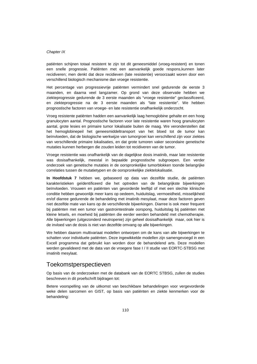patiënten schijnen totaal resistent te zijn tot dit geneesmiddel (vroeg-resistent) en tonen een snelle progressie. Patiënten met een aanvankelijk goede respons,kunnen later recidiveren; men denkt dat deze recidieven (late resistentie) veroorzaakt woren door een verschillend biologisch mechanisme dan vroege resistentie.

Het percentage van progressievrije patiënten vermindert snel gedurende de eerste 3 maanden, en daarna veel langzamer. Op grond van deze observatie hebben we ziekteprogressie gedurende de 3 eerste maanden als "vroege resistentie" geclassificeerd, en ziekteprogressie na de 3 eerste maanden als "late resistentie". We hebben prognostische factoren van vroege- en late resistentie onafhankelijk onderzocht.

Vroeg resistente patiënten hadden een aanvankelijk laag hemoglobine gehalte en een hoog granulocyten aantal. Prognostische factoren voor late resistentie waren hoog granulocyten aantal, grote lesies en primaire tumor lokalisatie buiten de maag. We veronderstellen dat het hemoglobinepeil het geneesmiddeltransport van het bloed tot de tumor kan beïnvloeden, dat de biologische werkwijze van tumorgroei kan verschillend zijn voor ziektes van verschillende primaire lokalisaties, en dat grote tumoren vaker secondaire genetische mutaties kunnen herbergen die zouden leiden tot recidiveren van de tumor.

Vroege resistentie was onafhankelijk van de dagelijkse dosis imatinib, maar late resistentie was dosisafhankelijk, meestal in bepaalde prognostische subgroepen. Een verder onderzoek van genetische mutaties in de oorspronkelijke tumorblokken toonde belangrijke correlaties tussen de mutatietypen en de oorspronkelijke ziektelokalisatie.

**In Hoofdstuk 7** hebben we, gebaseerd op data van dezelfde studie, de patiënten karakteristieken geïdentificeerd die het optreden van de belangrijkste bijwerkingen beïnvloeden. Vrouwen en patiënten van gevorderde leeftijd of met een slechte klinische conditie hebben gewoonlijk meer kans op oedeem, huiduitslag, vermoeidheid, misselijkheid en/of diarree gedurende de behandeling met imatinib mesylaat, maar deze factoren geven niet dezelfde mate van kans op de verschillende bijwerkingen. Diarree is ook meer frequent bij patiënten met een tumor van gastrointestinale oorspong, huiduitslag bij patiënten met kleine letsels, en moeheid bij patiënten die eerder werden behandeld met chemotherapie. Alle bijwerkingen (uitgezonderd neutropenie) zijn geheel dosisafhankelijk maar, ook hier is de invloed van de dosis is niet van dezelfde omvang op alle bijwerkingen.

We hebben daarom multivariaat modellen ontworpen om de kans van alle bijwerkingen te schatten voor individuele patiënten. Deze ingewikkelde modellen zijn samengevoegd in een Excell programma dat gebruikt kan worden door de behandelend arts. Deze modellen werden gevalideerd met de data van de vroegere fase I / II studie van EORTC-STBSG met imatinib mesylaat.

# Toekomstperspectieven

Op basis van de onderzoeken met de databank van de EORTC STBSG, zullen de studies beschreven in dit proefschrift bijdragen tot:

Betere voorspelling van de uitkomst van beschikbare behandelingen voor vergevorderde weke delen sarcomen en GIST, op basis van patiënten en ziekte kenmerken voor de behandeling: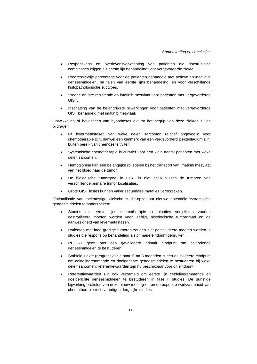- Responskans en overlevensverwachting van patiënten die doxorubicine combinaties krijgen als eerste lijn behandeling voor vergevorderde ziekte.
- Progressievrije percentage voor de patiënten behandeld met actieve en inactieve geneesmiddelen, na falen van eerste lijns behandeling, en voor verschillende histopathologische subtypes.
- Vroege en late resistentie op imatinib mesylaat voor patiënten met vergevorderde GIST.
- Inschatting van de belangrijkste bijwerkingen voor patiënten met vergevorderde GIST behandeld met imatinib mesylaat.

Ontwikkeling of bevestigen van hypotheses die tot het begrip van deze ziektes zullen bijdragen:

- Of levermetastasen van weke delen sarcomen relatief ongevoelig voor chemotherapie zijn, danwel een kenmerk van een vergevorderd ziektestadium zijn, buiten bereik van chemosensitiviteit.
- Systemische chemotherapie is curatief voor een klein aantal patiënten met weke delen sarcomen.
- Hemoglobine kan een belangrijke rol spelen bij het transport van imatinib mesylaat van het bloed naar de tumor.
- De biologische tumorgroei in GIST is niet gelijk tussen de tumoren van verschillende primaire tumor localisaties.
- Grote GIST lesies kunnen vaker secundaire mutaties veroorzaken.

Optimalisatie van toekomstige klinische studie-opzet om nieuwe potentiële systemische geneesmiddelen te onderzoeken:

- Studies die eerste lijns chemotherapie combinaties vergelijken zouden gestratifieerd moeten worden voor leeftijd, histologische tumorgraad en de aanwezigheid van levermetastasen.
- Patiënten met laag gradige tumoren zouden niet geincludeerd moeten worden in studies die respons op behandeling als primaire eindpunt gebruiken.
- RECIST geeft ons een gevalideerd primair eindpunt om celdodende geneesmiddelen te bestuderen.
- Stabiele ziekte (progressievrije status) na 3 maanden is een gevalideerd eindpunt om celdelingremmende en doelgerichte geneesmiddelen te bestuderen bij weke delen sarcomen; referentiewaarden zijn nu beschikbaar voor dit eindpunt.
- Referentiewaarden zijn ook verzameld om eerste lijn celdelingremmende en doelgerichte geneesmiddelen te bestuderen in fase II studies. De gunstige bijwerking profielen van deze nieuw medicijnen en de beperkte werkzaamheid van chemotherapie rechtvaardigen dergelijke studies.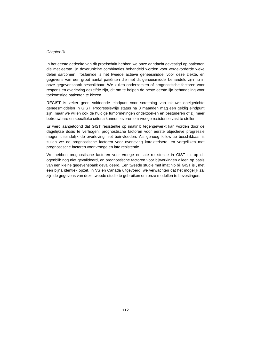In het eerste gedeelte van dit proefschrift hebben we onze aandacht gevestigd op patiënten die met eerste lijn doxorubicine combinaties behandeld worden voor vergevorderde weke delen sarcomen. Ifosfamide is het tweede actieve geneesmiddel voor deze ziekte, en gegevens van een groot aantal patiënten die met dit geneesmiddel behandeld zijn nu in onze gegevensbank beschikbaar. We zullen onderzoeken of prognostische factoren voor respons en overleving dezelfde zijn, dit om te helpen de beste eerste lijn behandeling voor toekomstige patiënten te kiezen.

RECIST is zeker geen voldoende eindpunt voor screening van nieuwe doelgerichte geneesmiddelen in GIST. Progressievrije status na 3 maanden mag een geldig eindpunt zijn, maar we willen ook de huidige tumormetingen onderzoeken en bestuderen of zij meer betrouwbare en specifieke criteria kunnen leveren om vroege resistentie vast te stellen.

Er werd aangetoond dat GIST resistentie op imatinib tegengewerkt kan worden door de dagelijkse dosis te verhogen; prognostische factoren voor eerste objectieve progressie mogen uiteindelijk de overleving niet beïnvloeden. Als genoeg follow-up beschikbaar is zullen we de prognostische factoren voor overleving karakterisere, en vergelijken met prognostische factoren voor vroege en late resistentie.

We hebben prognostische factoren voor vroege en late resistentie in GIST tot op dit ogenblik nog niet gevalideerd, en prognostische factoren voor bijwerkingen alleen op basis van een kleine gegevensbank gevalideerd. Een tweede studie met imatinib bij GIST is , met een bijna identiek opzet, in VS en Canada uitgevoerd; we verwachten dat het mogelijk zal zijn de gegevens van deze tweede studie te gebruiken om onze modellen te bevestingen.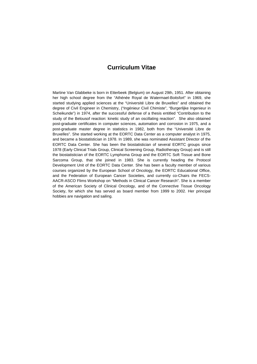# **Curriculum Vitae**

Martine Van Glabbeke is born in Etterbeek (Belgium) on August 29th, 1951. After obtaining her high school degree from the "Athénée Royal de Watermael-Boitsfort" in 1969, she started studying applied sciences at the "Université Libre de Bruxelles" and obtained the degree of Civil Engineer in Chemistry, ("Ingénieur Civil Chimiste", "Burgerlijke Ingenieur in Scheikunde") in 1974, after the successful defense of a thesis entitled "Contribution to the study of the Belousof reaction: kinetic study of an oscillating reaction". She also obtained post-graduate certificates in computer sciences, automation and corrosion in 1975, and a post-graduate master degree in statistics in 1982, both from the "Université Libre de Bruxelles". She started working at the EORTC Data Center as a computer analyst in 1975, and became a biostatistician in 1978. In 1989, she was nominated Assistant Director of the EORTC Data Center. She has been the biostatistician of several EORTC groups since 1978 (Early Clinical Trials Group, Clinical Screening Group, Radiotherapy Group) and is still the biostatistician of the EORTC Lymphoma Group and the EORTC Soft Tissue and Bone Sarcoma Group, that she joined in 1983. She is currently heading the Protocol Development Unit of the EORTC Data Center. She has been a faculty member of various courses organized by the European School of Oncology, the EORTC Educational Office, and the Federation of European Cancer Societies, and currently co-Chairs the FECS-AACR-ASCO Flims Workshop on "Methods in Clinical Cancer Research". She is a member of the American Society of Clinical Oncology, and of the Connective Tissue Oncology Society, for which she has served as board member from 1999 to 2002. Her principal hobbies are navigation and sailing.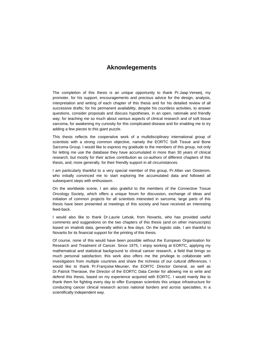# **Aknowlegements**

The completion of this thesis is an unique opportunity to thank Pr.Jaap Verweij, my promoter, for his support, encouragements and precious advice for the design, analysis, interpretation and writing of each chapter of this thesis and for his detailed review of all successive drafts; for his permanent availability, despite his countless activities, to answer questions, consider proposals and discuss hypotheses, in an open, rationale and friendly way; for teaching me so much about various aspects of clinical research and of soft tissue sarcoma, for awakening my curiosity for this complicated disease and for enabling me to try adding a few pieces to this giant puzzle.

This thesis reflects the cooperative work of a multidisciplinary international group of scientists with a strong common objective, namely the EORTC Soft Tissue and Bone Sarcoma Group. I would like to express my gratitude to the members of this group, not only for letting me use the database they have accumulated in more than 30 years of clinical research, but mostly for their active contribution as co-authors of different chapters of this thesis, and, more generally, for their friendly support in all circumstances.

I am particularly thankful to a very special member of this group, Pr.Allan van Oosterom, who initially convinced me to start exploring the accumulated data and followed all subsequent steps with enthusiasm.

On the worldwide scene, I am also grateful to the members of the Connective Tissue Oncology Society, which offers a unique forum for discussion, exchange of ideas and initiation of common projects for all scientists interested in sarcoma; large parts of this thesis have been presented at meetings of this society and have received an interesting feed-back.

I would also like to thank Dr.Laurie Letvak, from Novartis, who has provided useful comments and suggestions on the two chapters of this thesis (and on other manuscripts) based on imatinib data, generally within a few days. On the logistic side, I am thankful to Novartis for its financial support for the printing of this thesis.

Of course, none of this would have been possible without the European Organisation for Research and Treatment of Cancer. Since 1975, I enjoy working at EORTC, applying my mathematical and statistical background to clinical cancer research, a field that brings so much personal satisfaction; this work also offers me the privilege to collaborate with investigators from multiple countries and share the richness of our cultural differences. I would like to thank Pr.Françoise Meunier, the EORTC Director General, as well as Dr.Patrick Therasse, the Director of the EORTC Data Center for allowing me to write and defend this thesis, based on my experience acquired with EORTC. I would mainly like to thank them for fighting every day to offer European scientists this unique infrastructure for conducting cancer clinical research across national borders and across specialties, in a scientifically independent way.